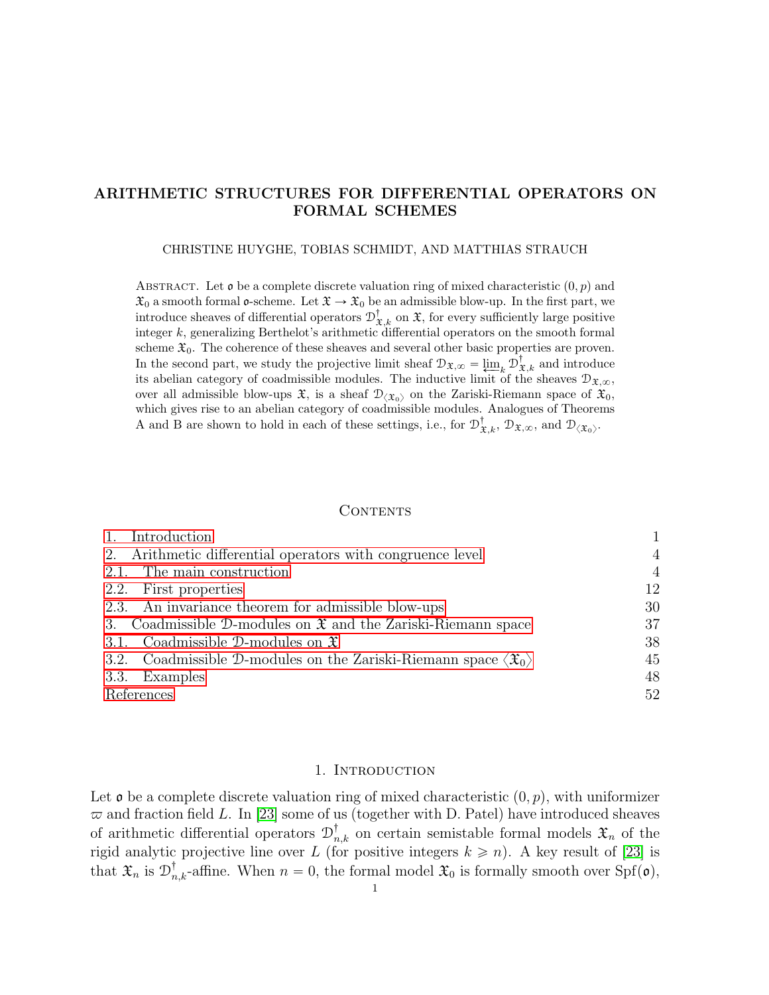# <span id="page-0-1"></span>ARITHMETIC STRUCTURES FOR DIFFERENTIAL OPERATORS ON FORMAL SCHEMES

#### CHRISTINE HUYGHE, TOBIAS SCHMIDT, AND MATTHIAS STRAUCH

ABSTRACT. Let  $\mathfrak o$  be a complete discrete valuation ring of mixed characteristic  $(0, p)$  and  $\mathfrak{X}_0$  a smooth formal  $\mathfrak{o}$ -scheme. Let  $\mathfrak{X} \to \mathfrak{X}_0$  be an admissible blow-up. In the first part, we introduce sheaves of differential operators  $\mathcal{D}^{\dagger}_{\mathfrak{X},k}$  on  $\mathfrak{X}$ , for every sufficiently large positive integer k, generalizing Berthelot's arithmetic differential operators on the smooth formal scheme  $\mathfrak{X}_0$ . The coherence of these sheaves and several other basic properties are proven. In the second part, we study the projective limit sheaf  $\mathcal{D}_{\mathfrak{X},\infty} = \lim_{k \to \infty} \mathcal{D}_{\mathfrak{X},k}^{\dagger}$  and introduce its abelian category of coadmissible modules. The inductive limit of the sheaves  $\mathcal{D}_{\mathfrak{X},\infty}$ , over all admissible blow-ups  $\mathfrak{X}$ , is a sheaf  $\mathcal{D}_{\langle \mathfrak{X}_0 \rangle}$  on the Zariski-Riemann space of  $\mathfrak{X}_0$ , which gives rise to an abelian category of coadmissible modules. Analogues of Theorems A and B are shown to hold in each of these settings, i.e., for  $\mathcal{D}^{\dagger}_{\mathfrak{X},k}$ ,  $\mathcal{D}_{\mathfrak{X},\infty}$ , and  $\mathcal{D}_{\langle\mathfrak{X}_0\rangle}$ .

## **CONTENTS**

| Introduction                                                                              |                |
|-------------------------------------------------------------------------------------------|----------------|
| 2. Arithmetic differential operators with congruence level                                | $\overline{4}$ |
| 2.1. The main construction                                                                | $\overline{4}$ |
| 2.2. First properties                                                                     | 12             |
| 2.3. An invariance theorem for admissible blow-ups                                        | 30             |
| 3. Coadmissible D-modules on $\mathfrak X$ and the Zariski-Riemann space                  | 37             |
| 3.1. Coadmissible D-modules on $\mathfrak{X}$                                             | 38             |
| 3.2. Coadmissible D-modules on the Zariski-Riemann space $\langle \mathfrak{X}_0 \rangle$ | 45             |
| 3.3. Examples                                                                             | 48             |
| References                                                                                | 52             |

### 1. INTRODUCTION

<span id="page-0-0"></span>Let  $\mathfrak o$  be a complete discrete valuation ring of mixed characteristic  $(0, p)$ , with uniformizer  $\varpi$  and fraction field L. In [\[23\]](#page-52-0) some of us (together with D. Patel) have introduced sheaves of arithmetic differential operators  $\mathcal{D}^{\dagger}_{n,k}$  on certain semistable formal models  $\mathfrak{X}_n$  of the rigid analytic projective line over L (for positive integers  $k \ge n$ ). A key result of [\[23\]](#page-52-0) is that  $\mathfrak{X}_n$  is  $\mathfrak{D}_{n,k}^{\dagger}$ -affine. When  $n = 0$ , the formal model  $\mathfrak{X}_0$  is formally smooth over  $\text{Spf}(\mathfrak{o})$ ,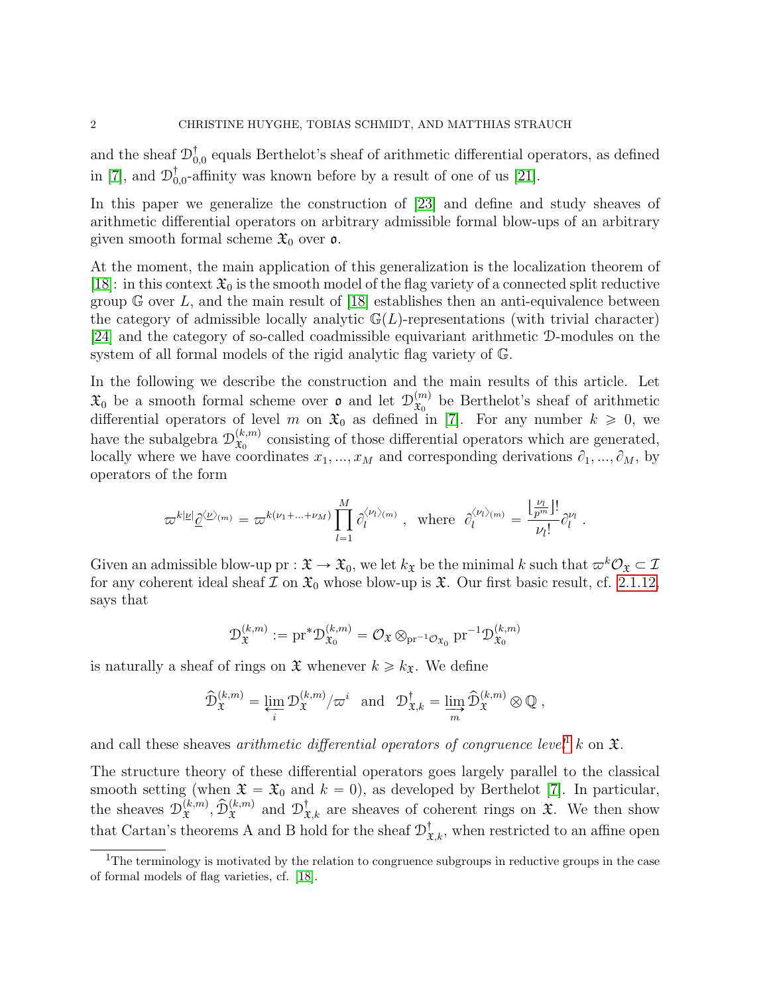and the sheaf  $\mathcal{D}_{0,0}^{\dagger}$  equals Berthelot's sheaf of arithmetic differential operators, as defined in [\[7\]](#page-52-1), and  $\mathcal{D}_{0,0}^{\dagger}$ -affinity was known before by a result of one of us [\[21\]](#page-52-2).

In this paper we generalize the construction of [\[23\]](#page-52-0) and define and study sheaves of arithmetic differential operators on arbitrary admissible formal blow-ups of an arbitrary given smooth formal scheme  $\mathfrak{X}_0$  over  $\mathfrak{o}$ .

At the moment, the main application of this generalization is the localization theorem of [\[18\]](#page-52-3): in this context  $\mathfrak{X}_0$  is the smooth model of the flag variety of a connected split reductive group  $G$  over L, and the main result of [\[18\]](#page-52-3) establishes then an anti-equivalence between the category of admissible locally analytic  $\mathbb{G}(L)$ -representations (with trivial character) [\[24\]](#page-52-4) and the category of so-called coadmissible equivariant arithmetic D-modules on the system of all formal models of the rigid analytic flag variety of G.

In the following we describe the construction and the main results of this article. Let  $\mathfrak{X}_0$  be a smooth formal scheme over  $\mathfrak{o}$  and let  $\mathcal{D}_{\mathfrak{X}_0}^{(m)}$  $\mathfrak{X}_0^{(m)}$  be Berthelot's sheaf of arithmetic differential operators of level m on  $\mathfrak{X}_0$  as defined in [\[7\]](#page-52-1). For any number  $k \geq 0$ , we have the subalgebra  $\mathcal{D}_{\mathfrak{X}_{0}}^{(k,m)}$  $(x_m^{(k,m)})$  consisting of those differential operators which are generated, locally where we have coordinates  $x_1, ..., x_M$  and corresponding derivations  $\partial_1, ..., \partial_M$ , by operators of the form

$$
\varpi^{k|\underline{\nu}|}\underline{\partial}^{\langle \underline{\nu}\rangle_{(m)}}=\varpi^{k(\nu_1+\ldots+\nu_M)}\prod_{l=1}^M\partial_l^{\langle \nu_l\rangle_{(m)}}\ ,\ \ \text{where}\ \ \partial_l^{\langle \nu_l\rangle_{(m)}}=\frac{\lfloor \frac{\nu_l}{p^m}\rfloor!}{\nu_l!}\partial_l^{\nu_l}\ .
$$

Given an admissible blow-up pr :  $\mathfrak{X} \to \mathfrak{X}_0$ , we let  $k_{\mathfrak{X}}$  be the minimal k such that  $\varpi^k \mathcal{O}_{\mathfrak{X}} \subset \mathcal{I}$ for any coherent ideal sheaf  $\mathcal I$  on  $\mathfrak X_0$  whose blow-up is  $\mathfrak X$ . Our first basic result, cf. [2.1.12,](#page-10-0) says that

$$
\mathcal{D}_{\mathfrak{X}}^{(k,m)} := \mathrm{pr}^* \mathcal{D}_{\mathfrak{X}_0}^{(k,m)} = \mathcal{O}_{\mathfrak{X}} \otimes_{\mathrm{pr}^{-1} \mathcal{O}_{\mathfrak{X}_0}} \mathrm{pr}^{-1} \mathcal{D}_{\mathfrak{X}_0}^{(k,m)}
$$

is naturally a sheaf of rings on  $\mathfrak{X}$  whenever  $k \geq k_{\mathfrak{X}}$ . We define

$$
\widehat {\mathcal D}_{\mathfrak X}^{(k,m)} = \varprojlim_i {\mathcal D}_{\mathfrak X}^{(k,m)}/\varpi^i \ \ \text{ and } \ \ {\mathcal D}_{\mathfrak X,k}^\dagger = \varinjlim_m \widehat {\mathcal D}_{\mathfrak X}^{(k,m)} \otimes \mathbb{Q} \ ,
$$

and call these sheaves *arithmetic differential operators of congruence level*<sup>[1](#page-1-0)</sup> k on  $\mathfrak{X}$ .

The structure theory of these differential operators goes largely parallel to the classical smooth setting (when  $\mathfrak{X} = \mathfrak{X}_0$  and  $k = 0$ ), as developed by Berthelot [\[7\]](#page-52-1). In particular, the sheaves  $\mathcal{D}_{\mathfrak{X}}^{(k,m)}$  $\hat{\mathcal{L}}_{\mathfrak{X}}^{(k,m)}$ ,  $\hat{\mathcal{D}}_{\mathfrak{X}}^{(k,m)}$  and  $\mathcal{D}_{\mathfrak{X},k}^{\dagger}$  are sheaves of coherent rings on  $\mathfrak{X}$ . We then show that Cartan's theorems A and B hold for the sheaf  $\mathcal{D}^{\dagger}_{\mathfrak{X},k}$ , when restricted to an affine open

<span id="page-1-0"></span><sup>&</sup>lt;sup>1</sup>The terminology is motivated by the relation to congruence subgroups in reductive groups in the case of formal models of flag varieties, cf. [\[18\]](#page-52-3).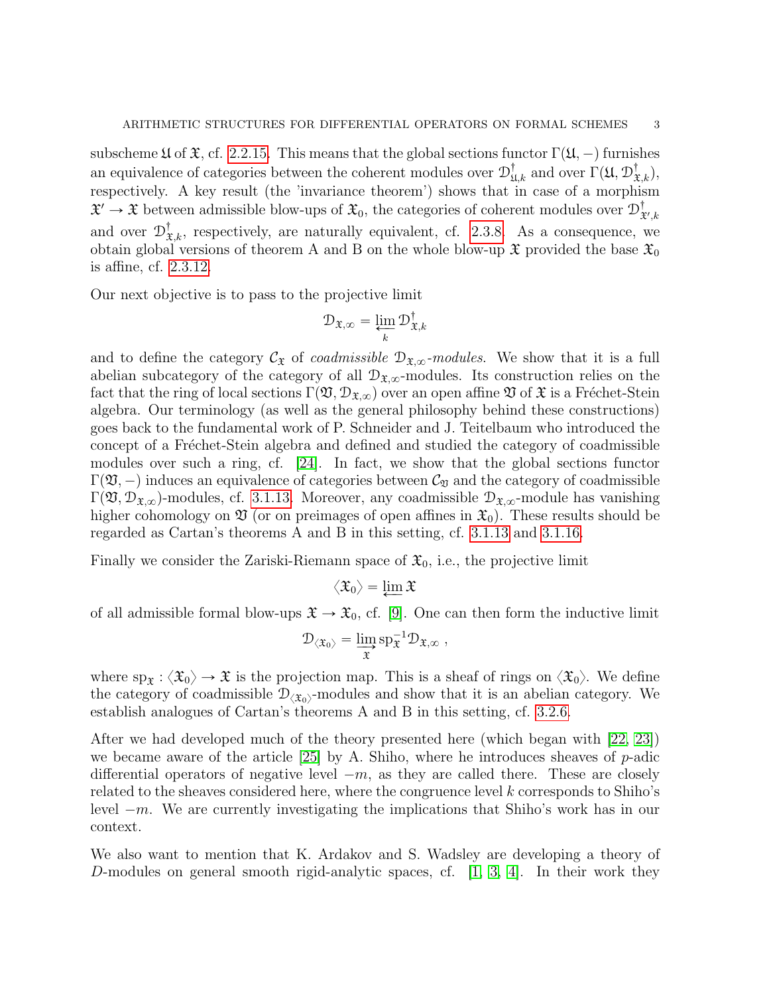subscheme  $\mathfrak U$  of  $\mathfrak X$ , cf. [2.2.15.](#page-18-0) This means that the global sections functor  $\Gamma(\mathfrak U, -)$  furnishes an equivalence of categories between the coherent modules over  $\mathcal{D}^{\dagger}_{\mathfrak{U},k}$  and over  $\Gamma(\mathfrak{U}, \mathcal{D}^{\dagger}_{\mathfrak{X},k}),$ respectively. A key result (the 'invariance theorem') shows that in case of a morphism  $\mathfrak{X}' \to \mathfrak{X}$  between admissible blow-ups of  $\mathfrak{X}_0$ , the categories of coherent modules over  $\mathcal{D}^{\dagger}_3$  $\mathfrak{X}', k$ and over  $\mathcal{D}^{\dagger}_{\mathfrak{X},k}$ , respectively, are naturally equivalent, cf. [2.3.8.](#page-34-0) As a consequence, we obtain global versions of theorem A and B on the whole blow-up  $\mathfrak X$  provided the base  $\mathfrak X_0$ is affine, cf. [2.3.12.](#page-36-1)

Our next objective is to pass to the projective limit

$$
\mathcal{D}_{\mathfrak{X},\infty} = \varprojlim_k \mathcal{D}_{\mathfrak{X},k}^\dagger
$$

and to define the category  $\mathcal{C}_{\mathfrak{X}}$  of *coadmissible*  $\mathcal{D}_{\mathfrak{X},\infty}$ -modules. We show that it is a full abelian subcategory of the category of all  $\mathcal{D}_{\mathfrak{X},\infty}$ -modules. Its construction relies on the fact that the ring of local sections  $\Gamma(\mathfrak{V}, \mathcal{D}_{\mathfrak{X},\infty})$  over an open affine  $\mathfrak V$  of  $\mathfrak X$  is a Fréchet-Stein algebra. Our terminology (as well as the general philosophy behind these constructions) goes back to the fundamental work of P. Schneider and J. Teitelbaum who introduced the concept of a Fréchet-Stein algebra and defined and studied the category of coadmissible modules over such a ring, cf. [\[24\]](#page-52-4). In fact, we show that the global sections functor  $\Gamma(\mathfrak{V},-)$  induces an equivalence of categories between  $\mathcal{C}_{\mathfrak{V}}$  and the category of coadmissible  $\Gamma(\mathfrak{V}, \mathcal{D}_{\mathfrak{X},\infty})$ -modules, cf. [3.1.13.](#page-42-0) Moreover, any coadmissible  $\mathcal{D}_{\mathfrak{X},\infty}$ -module has vanishing higher cohomology on  $\mathfrak V$  (or on preimages of open affines in  $\mathfrak X_0$ ). These results should be regarded as Cartan's theorems A and B in this setting, cf. [3.1.13](#page-42-0) and [3.1.16.](#page-43-0)

Finally we consider the Zariski-Riemann space of  $\mathfrak{X}_0$ , i.e., the projective limit

$$
\langle \mathfrak{X}_0 \rangle = \varprojlim \mathfrak{X}
$$

of all admissible formal blow-ups  $\mathfrak{X} \to \mathfrak{X}_0$ , cf. [\[9\]](#page-52-5). One can then form the inductive limit

$$
\mathcal{D}_{\langle \mathfrak{X}_0 \rangle} = \varinjlim_{\mathfrak{X}} \mathrm{sp}_{\mathfrak{X}}^{-1} \mathcal{D}_{\mathfrak{X}, \infty} \;,
$$

where  $\text{sp}_{\mathfrak{X}} : \langle \mathfrak{X}_0 \rangle \to \mathfrak{X}$  is the projection map. This is a sheaf of rings on  $\langle \mathfrak{X}_0 \rangle$ . We define the category of coadmissible  $\mathcal{D}_{\langle \mathfrak{X}_0 \rangle}$ -modules and show that it is an abelian category. We establish analogues of Cartan's theorems A and B in this setting, cf. [3.2.6.](#page-46-0)

After we had developed much of the theory presented here (which began with [\[22,](#page-52-6) [23\]](#page-52-0)) we became aware of the article  $[25]$  by A. Shiho, where he introduces sheaves of p-adic differential operators of negative level  $-m$ , as they are called there. These are closely related to the sheaves considered here, where the congruence level k corresponds to Shiho's level  $-m$ . We are currently investigating the implications that Shiho's work has in our context.

We also want to mention that K. Ardakov and S. Wadsley are developing a theory of D-modules on general smooth rigid-analytic spaces, cf. [\[1,](#page-51-1) [3,](#page-51-2) [4\]](#page-51-3). In their work they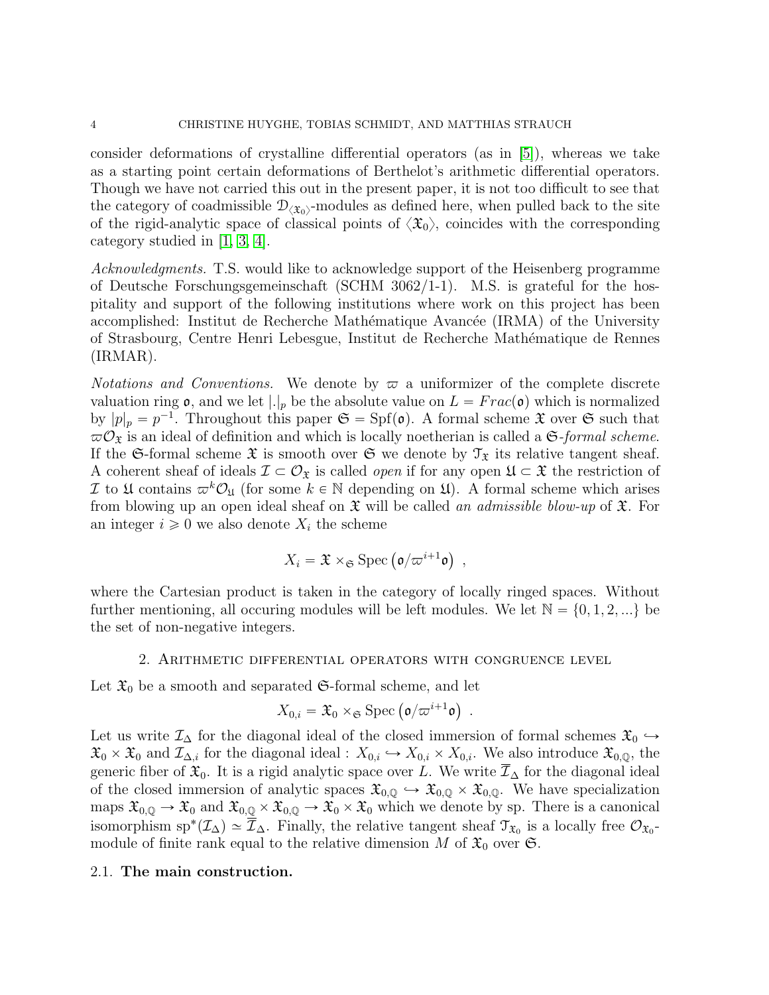consider deformations of crystalline differential operators (as in [\[5\]](#page-51-4)), whereas we take as a starting point certain deformations of Berthelot's arithmetic differential operators. Though we have not carried this out in the present paper, it is not too difficult to see that the category of coadmissible  $\mathcal{D}_{\langle \mathfrak{X}_0 \rangle}$ -modules as defined here, when pulled back to the site of the rigid-analytic space of classical points of  $\langle \mathfrak{X}_0 \rangle$ , coincides with the corresponding category studied in [\[1,](#page-51-1) [3,](#page-51-2) [4\]](#page-51-3).

Acknowledgments. T.S. would like to acknowledge support of the Heisenberg programme of Deutsche Forschungsgemeinschaft (SCHM 3062/1-1). M.S. is grateful for the hospitality and support of the following institutions where work on this project has been accomplished: Institut de Recherche Mathématique Avancée (IRMA) of the University of Strasbourg, Centre Henri Lebesgue, Institut de Recherche Math´ematique de Rennes (IRMAR).

*Notations and Conventions.* We denote by  $\varpi$  a uniformizer of the complete discrete valuation ring  $\mathfrak{o}$ , and we let  $|.|_p$  be the absolute value on  $L = Frac(\mathfrak{o})$  which is normalized by  $|p|_p = p^{-1}$ . Throughout this paper  $\mathfrak{S} = Spf(\mathfrak{o})$ . A formal scheme  $\mathfrak X$  over  $\mathfrak S$  such that  $\omega \mathcal{O}_{\mathfrak{X}}$  is an ideal of definition and which is locally noetherian is called a G-formal scheme. If the G-formal scheme  $\mathfrak X$  is smooth over  $\mathfrak S$  we denote by  $\mathfrak T_{\mathfrak X}$  its relative tangent sheaf. A coherent sheaf of ideals  $\mathcal{I} \subset \mathcal{O}_{\mathfrak{X}}$  is called *open* if for any open  $\mathfrak{U} \subset \mathfrak{X}$  the restriction of I to  $\mathfrak U$  contains  $\varpi^k\mathcal O_{\mathfrak U}$  (for some  $k \in \mathbb N$  depending on  $\mathfrak U$ ). A formal scheme which arises from blowing up an open ideal sheaf on  $\mathfrak X$  will be called an admissible blow-up of  $\mathfrak X$ . For an integer  $i \geq 0$  we also denote  $X_i$  the scheme

$$
X_i = \mathfrak{X} \times_{\mathfrak{S}} \text{Spec} \left( \mathfrak{o}/\varpi^{i+1} \mathfrak{o} \right) ,
$$

where the Cartesian product is taken in the category of locally ringed spaces. Without further mentioning, all occuring modules will be left modules. We let  $\mathbb{N} = \{0, 1, 2, ...\}$  be the set of non-negative integers.

#### 2. Arithmetic differential operators with congruence level

<span id="page-3-0"></span>Let  $\mathfrak{X}_0$  be a smooth and separated G-formal scheme, and let<br>  $X_{0,i} = \mathfrak{X}_0 \times_{\mathfrak{S}} \text{Spec} (\mathfrak{o}/\varpi^{i+1} \mathfrak{o})$ .

$$
X_{0,i} = \mathfrak{X}_0 \times_{\mathfrak{S}} \text{Spec} \left( \mathfrak{o}/\varpi^{i+1} \mathfrak{o} \right) .
$$

Let us write  $\mathcal{I}_{\Delta}$  for the diagonal ideal of the closed immersion of formal schemes  $\mathfrak{X}_{0} \hookrightarrow$  $\mathfrak{X}_0 \times \mathfrak{X}_0$  and  $\mathcal{I}_{\Delta,i}$  for the diagonal ideal :  $X_{0,i} \hookrightarrow X_{0,i} \times X_{0,i}$ . We also introduce  $\mathfrak{X}_{0,\mathbb{Q}}$ , the generic fiber of  $\mathfrak{X}_0$ . It is a rigid analytic space over L. We write  $\mathcal{I}_\Delta$  for the diagonal ideal of the closed immersion of analytic spaces  $\mathfrak{X}_{0,0} \hookrightarrow \mathfrak{X}_{0,0} \times \mathfrak{X}_{0,0}$ . We have specialization maps  $\mathfrak{X}_{0,\mathbb{Q}} \to \mathfrak{X}_0$  and  $\mathfrak{X}_{0,\mathbb{Q}} \times \mathfrak{X}_{0,\mathbb{Q}} \to \mathfrak{X}_0 \times \mathfrak{X}_0$  which we denote by sp. There is a canonical isomorphism sp<sup>\*</sup>( $\mathcal{I}_\Delta$ )  $\simeq \overline{\mathcal{I}}_\Delta$ . Finally, the relative tangent sheaf  $\mathcal{I}_{\mathfrak{X}_0}$  is a locally free  $\mathcal{O}_{\mathfrak{X}_0}$ module of finite rank equal to the relative dimension M of  $\mathfrak{X}_0$  over  $\mathfrak{S}$ .

#### <span id="page-3-1"></span>2.1. The main construction.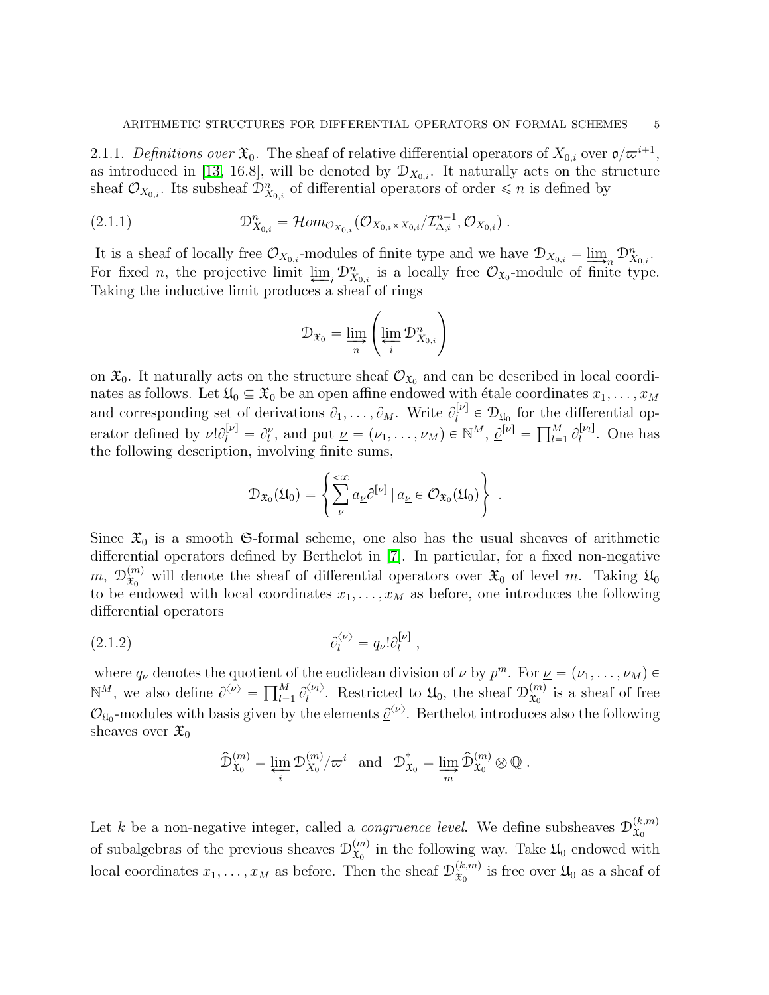<span id="page-4-0"></span>2.1.1. Definitions over  $\mathfrak{X}_0$ . The sheaf of relative differential operators of  $X_{0,i}$  over  $\mathfrak{o}/\varpi^{i+1}$ , as introduced in [\[13,](#page-52-8) 16.8], will be denoted by  $\mathcal{D}_{X_{0,i}}$ . It naturally acts on the structure sheaf  $\mathcal{O}_{X_{0,i}}$ . Its subsheaf  $\mathcal{D}_{X_{0,i}}^n$  of differential operators of order  $\leq n$  is defined by

(2.1.1) 
$$
\mathcal{D}_{X_{0,i}}^n = \mathcal{H}om_{\mathcal{O}_{X_{0,i}}}(\mathcal{O}_{X_{0,i}\times X_{0,i}}/\mathcal{I}_{\Delta,i}^{n+1}, \mathcal{O}_{X_{0,i}}) .
$$

It is a sheaf of locally free  $\mathcal{O}_{X_{0,i}}$ -modules of finite type and we have  $\mathcal{D}_{X_{0,i}} = \lim_{\epsilon \to 0} \mathcal{D}_{X_{0,i}}^n$ . For fixed *n*, the projective limit  $\lim_{i} \mathcal{D}_{X_{0,i}}^n$  is a locally free  $\mathcal{O}_{X_0}$ -module of finite type. Taking the inductive limit produces a sheaf of rings ˜

<span id="page-4-2"></span>
$$
\mathcal{D}_{\mathfrak{X}_0} = \varinjlim_n \left( \varprojlim_i \mathcal{D}^n_{X_{0,i}} \right)
$$

on  $\mathfrak{X}_0$ . It naturally acts on the structure sheaf  $\mathcal{O}_{\mathfrak{X}_0}$  and can be described in local coordinates as follows. Let  $\mathfrak{U}_0 \subseteq \mathfrak{X}_0$  be an open affine endowed with étale coordinates  $x_1, \ldots, x_M$ and corresponding set of derivations  $\partial_1, \ldots, \partial_M$ . Write  $\partial_l^{[\nu]}$  $l_l^{[\nu]} \in \mathcal{D}_{\mathfrak{U}_0}$  for the differential opand corresponding set of derivations  $v_1, \ldots, v_M$ . Write  $v_i^{\dagger} \in D_{\mathfrak{U}_0}$  for the erator defined by  $\nu! \partial_l^{[\nu]} = \partial_l^{\nu}$ , and put  $\underline{\nu} = (\nu_1, \ldots, \nu_M) \in \mathbb{N}^M$ ,  $\underline{\partial}^{[\underline{\nu}]} = \prod_{l=1}^M$  $\frac{M}{l=1} \frac{\partial [\nu_l]}{\partial l}$  $\iota^{|\nu_l|}$ . One has the following description, involving finite sums,  $\frac{1}{2}$ 

$$
\mathcal{D}_{\mathfrak{X}_0}(\mathfrak{U}_0) = \left\{ \sum_{\underline{\nu}}^{\infty} a_{\underline{\nu}} \underline{\partial}^{[\underline{\nu}]} \mid a_{\underline{\nu}} \in \mathcal{O}_{\mathfrak{X}_0}(\mathfrak{U}_0) \right\} .
$$

Since  $\mathfrak{X}_0$  is a smooth G-formal scheme, one also has the usual sheaves of arithmetic differential operators defined by Berthelot in [\[7\]](#page-52-1). In particular, for a fixed non-negative  $m, \; {\frak D}_{\frak x_0}^{(m)}$  $\mathfrak{X}_0^{(m)}$  will denote the sheaf of differential operators over  $\mathfrak{X}_0$  of level m. Taking  $\mathfrak{U}_0$ to be endowed with local coordinates  $x_1, \ldots, x_M$  as before, one introduces the following differential operators

$$
(2.1.2) \t\t\t \t\t \partial_l^{\langle \nu \rangle} = q_{\nu}! \partial_l^{[\nu]},
$$

where  $q_{\nu}$  denotes the quotient of the euclidean division of  $\nu$  by  $p^m$ . For  $\underline{\nu} = (\nu_1, \dots, \nu_M) \in$ where  $q_{\nu}$  denotes the quotient of  $\mathbb{R}^{M}$ , we also define  $\underline{\partial}^{\langle \underline{\nu} \rangle} = \prod_{l=1}^{M}$  $\prod_{l=1}^{M} \partial_l^{\langle \nu_l \rangle}$  $\mathcal{L}_{l}^{\langle \nu_{l} \rangle}$ . Restricted to  $\mathfrak{U}_{0}$ , the sheaf  $\mathcal{D}_{\mathfrak{X}_{0}}^{(m)}$  $\mathfrak{X}_0^{(m)}$  is a sheaf of free  $\mathcal{O}_{\mu_0}$ -modules with basis given by the elements  $\underline{\partial}^{\langle \nu \rangle}$ . Berthelot introduces also the following sheaves over  $\mathfrak{X}_0$ 

<span id="page-4-1"></span>
$$
\widehat{\mathcal{D}}_{\mathfrak{X}_0}^{(m)} = \varprojlim_i \mathcal{D}_{X_0}^{(m)}/\varpi^i \text{ and } \mathcal{D}_{\mathfrak{X}_0}^{\dagger} = \varinjlim_m \widehat{\mathcal{D}}_{\mathfrak{X}_0}^{(m)} \otimes \mathbb{Q}.
$$

Let k be a non-negative integer, called a *congruence level*. We define subsheaves  $\mathcal{D}_{\mathcal{F}_0}^{(k,m)}$  $\mathfrak{X}_0$ of subalgebras of the previous sheaves  $\mathcal{D}_{\mathfrak{X}_{0}}^{(m)}$  $\mathfrak{X}_0^{(m)}$  in the following way. Take  $\mathfrak{U}_0$  endowed with local coordinates  $x_1, \ldots, x_M$  as before. Then the sheaf  $\mathcal{D}_{\mathfrak{X}_0}^{(k,m)}$  $\mathfrak{X}_0^{(k,m)}$  is free over  $\mathfrak{U}_0$  as a sheaf of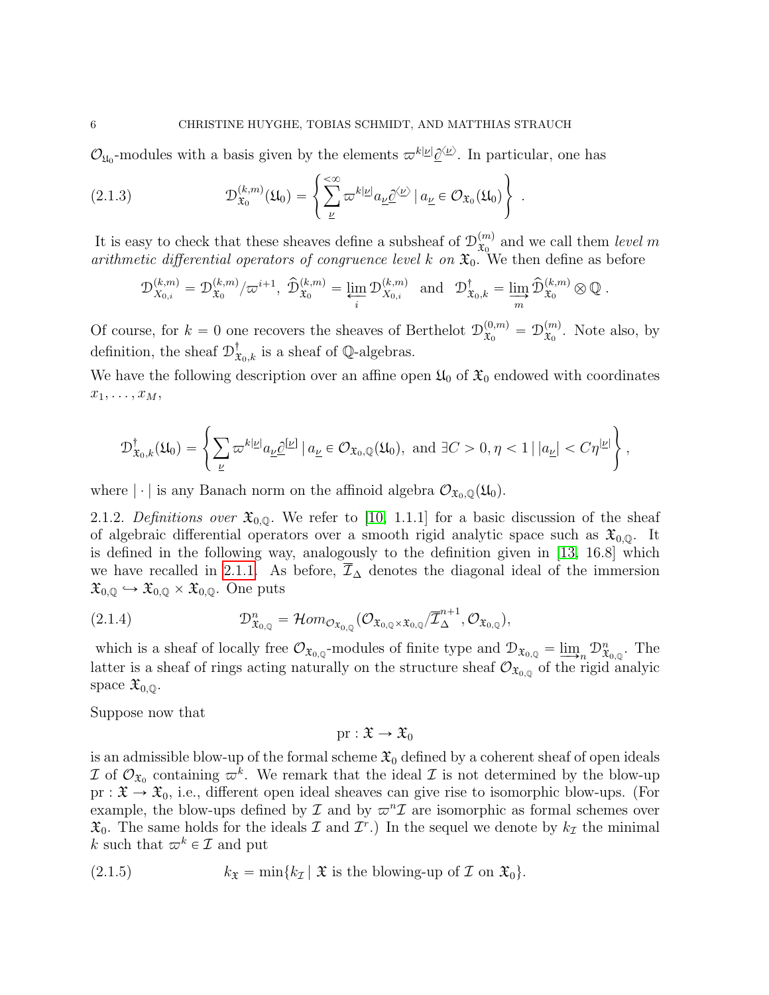$\mathcal{O}_{\mu_0}$ -modules with a basis given by the elements  $\varpi^{k|\underline{\nu}|}\underline{\partial}^{\langle \underline{\nu}\rangle}$ . In particular, one has +

(2.1.3) 
$$
\mathcal{D}_{\mathfrak{X}_0}^{(k,m)}(\mathfrak{U}_0) = \left\{ \sum_{\underline{\nu}}^{\infty} \varpi^{k|\underline{\nu}|} a_{\underline{\nu}} \underline{\partial}^{\langle \underline{\nu} \rangle} | a_{\underline{\nu}} \in \mathcal{O}_{\mathfrak{X}_0}(\mathfrak{U}_0) \right\}.
$$

It is easy to check that these sheaves define a subsheaf of  $\mathcal{D}_{\mathfrak{X}_{0}}^{(m)}$  $x_0^{(m)}$  and we call them *level* m arithmetic differential operators of congruence level k on  $\mathfrak{X}_0$ . We then define as before

$$
\mathfrak{D}_{X_{0,i}}^{(k,m)}=\mathfrak{D}_{\mathfrak{X}_0}^{(k,m)}/\varpi^{i+1},\ \widehat{\mathfrak{D}}_{\mathfrak{X}_0}^{(k,m)}=\varprojlim_i \mathfrak{D}_{X_{0,i}}^{(k,m)}\ \ \text{and}\ \ \ \mathfrak{D}_{\mathfrak{X}_0,k}^\dagger=\varinjlim_m \widehat{\mathfrak{D}}_{\mathfrak{X}_0}^{(k,m)}\otimes \mathbb{Q}\ .
$$

Of course, for  $k = 0$  one recovers the sheaves of Berthelot  $\mathcal{D}_{x_0}^{(0,m)} = \mathcal{D}_{x_0}^{(m)}$  $\mathfrak{X}_0^{(m)}$ . Note also, by definition, the sheaf  $\mathcal{D}^{\dagger}_{\mathfrak{X}_{0},k}$  is a sheaf of  $\mathbb{Q}$ -algebras.

We have the following description over an affine open  $\mathfrak{U}_0$  of  $\mathfrak{X}_0$  endowed with coordinates  $x_1, \ldots, x_M,$ 

$$
\mathcal{D}^{\dagger}_{\mathfrak{X}_0,k}(\mathfrak{U}_0)=\left\{\sum_{\underline{\nu}}\varpi^{k|\underline{\nu}|}a_{\underline{\nu}}\underline{\partial}^{[\underline{\nu}]}\mid a_{\underline{\nu}}\in\mathcal{O}_{\mathfrak{X}_0,\mathbb{Q}}(\mathfrak{U}_0),\ \text{and}\ \exists C>0,\eta<1\ |\,|a_{\underline{\nu}}|
$$

where  $|\cdot|$  is any Banach norm on the affinoid algebra  $\mathcal{O}_{\mathfrak{X}_0,\mathbb{Q}}(\mathfrak{U}_0)$ .

2.1.2. Definitions over  $\mathfrak{X}_{0,0}$ . We refer to [\[10,](#page-52-9) 1.1.1] for a basic discussion of the sheaf of algebraic differential operators over a smooth rigid analytic space such as  $\mathfrak{X}_{0,0}$ . It is defined in the following way, analogously to the definition given in [\[13,](#page-52-8) 16.8] which we have recalled in [2.1.1.](#page-4-0) As before,  $\overline{\mathcal{I}}_{\Delta}$  denotes the diagonal ideal of the immersion  $\mathfrak{X}_{0,\mathbb{Q}} \hookrightarrow \mathfrak{X}_{0,\mathbb{Q}} \times \mathfrak{X}_{0,\mathbb{Q}}$ . One puts

<span id="page-5-0"></span>(2.1.4) 
$$
\mathcal{D}^n_{\mathfrak{X}_{0,\mathbb{Q}}} = \mathcal{H}om_{\mathcal{O}_{\mathfrak{X}_{0,\mathbb{Q}}}}(\mathcal{O}_{\mathfrak{X}_{0,\mathbb{Q}}\times\mathfrak{X}_{0,\mathbb{Q}}}/\overline{\mathcal{I}}^{n+1}_{\Delta}, \mathcal{O}_{\mathfrak{X}_{0,\mathbb{Q}}}),
$$

which is a sheaf of locally free  $\mathcal{O}_{\mathfrak{X}_{0,\mathbb{Q}}}$ -modules of finite type and  $\mathcal{D}_{\mathfrak{X}_{0,\mathbb{Q}}} = \underline{\lim}_{n} \mathcal{D}_{\mathfrak{X}_{0,\mathbb{Q}}}^n$ . The latter is a sheaf of rings acting naturally on the structure sheaf  $\mathcal{O}_{\mathfrak{X}_{0,\mathbb{Q}}}$  of the rigid analyic space  $\mathfrak{X}_{0,\mathbb{Q}}$ .

Suppose now that

 $pr : \mathfrak{X} \to \mathfrak{X}_0$ 

is an admissible blow-up of the formal scheme  $\mathfrak{X}_0$  defined by a coherent sheaf of open ideals I of  $\mathcal{O}_{\mathfrak{X}_0}$  containing  $\varpi^k$ . We remark that the ideal I is not determined by the blow-up  $pr : \mathfrak{X} \to \mathfrak{X}_0$ , i.e., different open ideal sheaves can give rise to isomorphic blow-ups. (For example, the blow-ups defined by  $\mathcal I$  and by  $\varpi^n\mathcal I$  are isomorphic as formal schemes over  $\mathfrak{X}_0$ . The same holds for the ideals  $\mathcal I$  and  $\mathcal I^r$ .) In the sequel we denote by  $k_{\mathcal I}$  the minimal k such that  $\varpi^k \in \mathcal{I}$  and put

<span id="page-5-1"></span>(2.1.5) 
$$
k_{\mathfrak{X}} = \min\{k_{\mathcal{I}} \mid \mathfrak{X} \text{ is the blowing-up of } \mathcal{I} \text{ on } \mathfrak{X}_0\}.
$$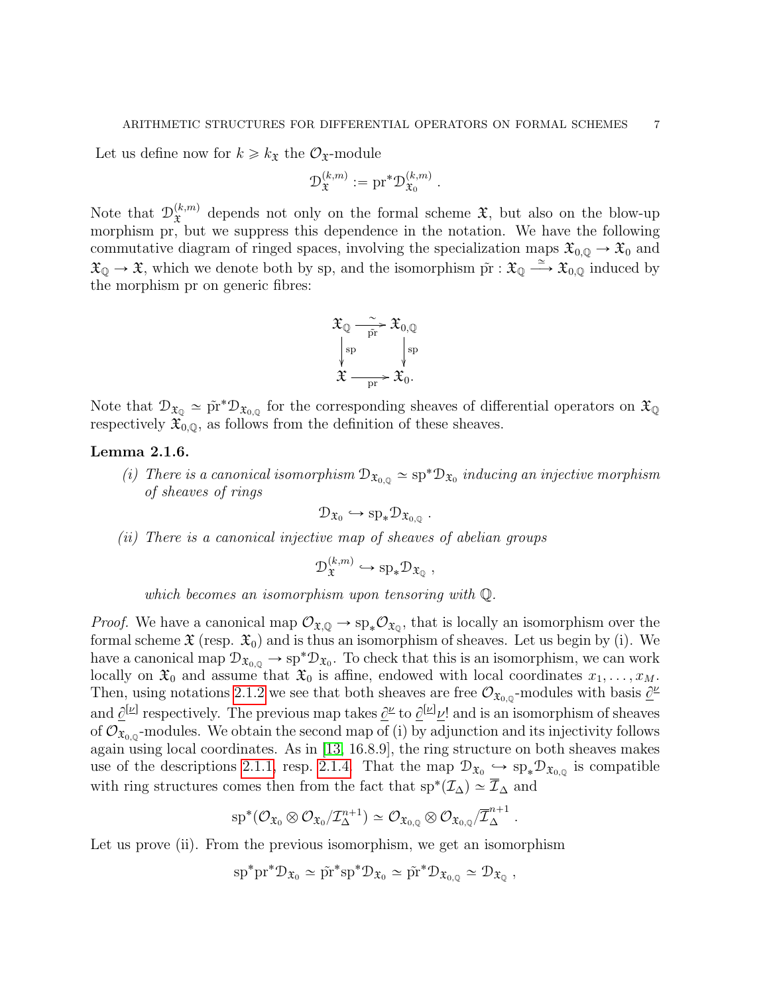.

Let us define now for  $k \geq k_{\mathfrak{X}}$  the  $\mathcal{O}_{\mathfrak{X}}$ -module

$$
\mathcal{D}_{\mathfrak{X}}^{(k,m)}:=\mathrm{pr}^*\mathcal{D}_{\mathfrak{X}_0}^{(k,m)}
$$

Note that  $\mathcal{D}_{\mathfrak{X}}^{(k,m)}$  $\mathfrak{X}^{(k,m)}$  depends not only on the formal scheme  $\mathfrak{X}$ , but also on the blow-up morphism pr, but we suppress this dependence in the notation. We have the following commutative diagram of ringed spaces, involving the specialization maps  $\mathfrak{X}_{0,\mathbb{Q}} \to \mathfrak{X}_0$  and  $\mathfrak{X}_{\mathbb{Q}} \to \mathfrak{X}$ , which we denote both by sp, and the isomorphism  $\tilde{\mathrm{pr}} : \mathfrak{X}_{\mathbb{Q}} \xrightarrow{\simeq} \mathfrak{X}_{0,\mathbb{Q}}$  induced by the morphism pr on generic fibres:



Note that  $\mathcal{D}_{\mathfrak{X}_{\mathbb{Q}}} \simeq \tilde{\mathrm{pr}}^* \mathcal{D}_{\mathfrak{X}_{0,\mathbb{Q}}}$  for the corresponding sheaves of differential operators on  $\mathfrak{X}_{\mathbb{Q}}$ respectively  $\mathfrak{X}_{0,0}$ , as follows from the definition of these sheaves.

### <span id="page-6-0"></span>Lemma 2.1.6.

(i) There is a canonical isomorphism  $\mathcal{D}_{\mathfrak{X}_{0,\mathbb{Q}}} \simeq sp^* \mathcal{D}_{\mathfrak{X}_{0}}$  inducing an injective morphism of sheaves of rings

.

$$
\mathcal{D}_{\mathfrak{X}_0}\hookrightarrow {\rm sp}_*\mathcal{D}_{\mathfrak{X}_{0,{\mathbb{Q}}}}
$$

(ii) There is a canonical injective map of sheaves of abelian groups

$$
\mathcal{D}_{\mathfrak{X}}^{(k,m)} \hookrightarrow \mathrm{sp}_*\mathcal{D}_{\mathfrak{X}_{\mathbb{Q}}},
$$

which becomes an isomorphism upon tensoring with Q.

*Proof.* We have a canonical map  $\mathcal{O}_{\mathfrak{X},\mathbb{Q}} \to sp_*\mathcal{O}_{\mathfrak{X}_{\mathbb{Q}}},$  that is locally an isomorphism over the formal scheme  $\mathfrak{X}$  (resp.  $\mathfrak{X}_0$ ) and is thus an isomorphism of sheaves. Let us begin by (i). We have a canonical map  $\mathcal{D}_{\mathfrak{X}_{0,\mathbb{Q}}}\to sp^*\mathcal{D}_{\mathfrak{X}_0}$ . To check that this is an isomorphism, we can work locally on  $\mathfrak{X}_0$  and assume that  $\mathfrak{X}_0$  is affine, endowed with local coordinates  $x_1, \ldots, x_M$ . Then, using notations [2.1.2](#page-4-1) we see that both sheaves are free  $\mathcal{O}_{\mathfrak{X}_{0,\mathbb{Q}}}$ -modules with basis  $\underline{\partial}^{\nu}$ and  $\underline{\partial}^{[\underline{\nu}]}$  respectively. The previous map takes  $\underline{\partial}^{\underline{\nu}}$  to  $\underline{\partial}^{[\underline{\nu}]} \underline{\nu}!$  and is an isomorphism of sheaves of  $\mathcal{O}_{\mathfrak{X}_{0,\mathbb{Q}}}$ -modules. We obtain the second map of (i) by adjunction and its injectivity follows again using local coordinates. As in [\[13,](#page-52-8) 16.8.9], the ring structure on both sheaves makes use of the descriptions [2.1.1,](#page-4-2) resp. [2.1.4.](#page-5-0) That the map  $\mathcal{D}_{\mathfrak{X}_0} \hookrightarrow sp_*\mathcal{D}_{\mathfrak{X}_{0,\mathbb{Q}}}$  is compatible with ring structures comes then from the fact that  $\text{sp}^*(\mathcal{I}_\Delta) \simeq \overline{\mathcal{I}}_\Delta$  and

$$
\mathrm{sp}^*(\mathcal{O}_{\mathfrak{X}_0}\otimes\mathcal{O}_{\mathfrak{X}_0}/\mathcal{I}_{\Delta}^{n+1})\simeq \mathcal{O}_{\mathfrak{X}_{0,\mathbb{Q}}}\otimes\mathcal{O}_{\mathfrak{X}_{0,\mathbb{Q}}}/\overline{\mathcal{I}}_{\Delta}^{n+1}.
$$

Let us prove (ii). From the previous isomorphism, we get an isomorphism

$$
\mathrm{sp}^*\mathrm{pr}^*\mathcal{D}_{\mathfrak{X}_0} \simeq \tilde{\mathrm{pr}}^*\mathrm{sp}^*\mathcal{D}_{\mathfrak{X}_0} \simeq \tilde{\mathrm{pr}}^*\mathcal{D}_{\mathfrak{X}_{0, \mathbb{Q}}} \simeq \mathcal{D}_{\mathfrak{X}_{\mathbb{Q}}},
$$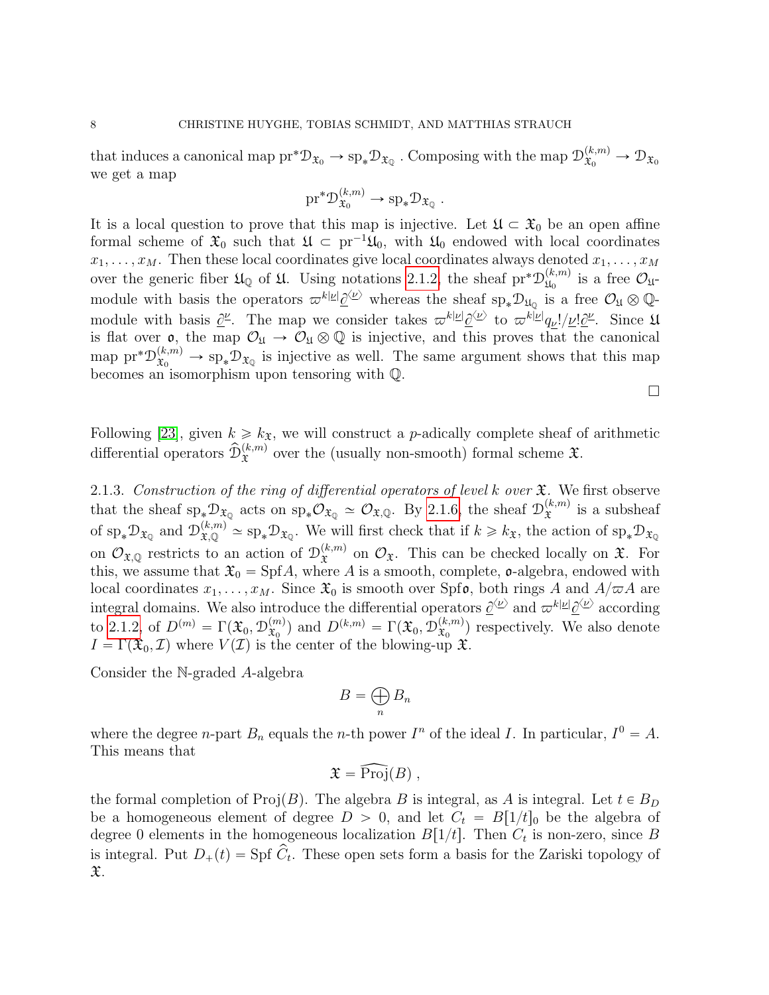that induces a canonical map  $pr^*D_{\mathfrak{X}_0} \to sp_*D_{\mathfrak{X}_0}$  . Composing with the map  $\mathcal{D}_{\mathfrak{X}_0}^{(k,m)} \to \mathcal{D}_{\mathfrak{X}_0}$ we get a map

$$
\text{pr}^*\mathcal{D}_{\mathfrak{X}_0}^{(k,m)} \to \text{sp}_*\mathcal{D}_{\mathfrak{X}_\mathbb{Q}}.
$$

It is a local question to prove that this map is injective. Let  $\mathfrak{U} \subset \mathfrak{X}_0$  be an open affine formal scheme of  $\mathfrak{X}_0$  such that  $\mathfrak{U} \subset \text{pr}^{-1}\mathfrak{U}_0$ , with  $\mathfrak{U}_0$  endowed with local coordinates  $x_1, \ldots, x_M$ . Then these local coordinates give local coordinates always denoted  $x_1, \ldots, x_M$ over the generic fiber  $\mathfrak{U}_{\mathbb{Q}}$  of  $\mathfrak{U}$ . Using notations [2.1.2,](#page-4-1) the sheaf pr<sup>\*</sup> $\mathcal{D}_{\mathfrak{U}_{\alpha}}^{(k,m)}$  $\mathfrak{U}_0^{(\kappa,m)}$  is a free  $\mathcal{O}_{\mathfrak{U}^-}$ module with basis the operators  $\varpi^{k|\underline{\nu}|}\underline{\partial}^{\langle \underline{\nu} \rangle}$  whereas the sheaf  $\text{sp}_*\mathcal{D}_{\mathfrak{U}_\mathbb{Q}}$  is a free  $\mathcal{O}_\mathfrak{U} \otimes \mathbb{Q}$ module with basis  $\underline{\partial}^{\underline{\nu}}$ . The map we consider takes  $\varpi^{k|\underline{\nu}|}\underline{\partial}^{\langle \underline{\nu} \rangle}$  to  $\varpi^{k|\underline{\nu}|}q_{\underline{\nu}}!/\underline{\nu}!\underline{\partial}^{\underline{\nu}}$ . Since  $\mathfrak{U}$ is flat over  $\mathfrak{o}$ , the map  $\mathcal{O}_{\mathfrak{U}} \to \mathcal{O}_{\mathfrak{U}} \otimes \mathbb{Q}$  is injective, and this proves that the canonical map  $\text{pr}^*\mathcal{D}_{\mathfrak{X}_0}^{(k,m)} \to \text{sp}_*\mathcal{D}_{\mathfrak{X}_0}$  is injective as well. The same argument shows that this map becomes an isomorphism upon tensoring with Q.

 $\Box$ 

Following [\[23\]](#page-52-0), given  $k \geq k_{\mathfrak{X}}$ , we will construct a *p*-adically complete sheaf of arithmetic differential operators  $\widehat{\mathcal{D}}_{\mathfrak{X}}^{(k,m)}$  over the (usually non-smooth) formal scheme  $\mathfrak{X}$ .

<span id="page-7-0"></span>2.1.3. Construction of the ring of differential operators of level k over  $\mathfrak{X}$ . We first observe that the sheaf  $sp_*\mathcal{D}_{\mathfrak{X}_{\mathbb{Q}}}$  acts on  $sp_*\mathcal{O}_{\mathfrak{X}_{\mathbb{Q}}} \simeq \mathcal{O}_{\mathfrak{X},\mathbb{Q}}$ . By [2.1.6,](#page-6-0) the sheaf  $\mathcal{D}_{\mathfrak{X}}^{(k,m)}$  $\hat{x}^{(k,m)}$  is a subsheaf of  $\text{sp}_*\mathcal{D}_{\mathfrak{X}_{\mathbb{Q}}}$  and  $\mathcal{D}_{\mathfrak{X}_{\mathbb{Q}}}^{(k,m)} \simeq \text{sp}_*\mathcal{D}_{\mathfrak{X}_{\mathbb{Q}}}$ . We will first check that if  $k \geq k_{\mathfrak{X}}$ , the action of  $\text{sp}_*\mathcal{D}_{\mathfrak{X}_{\mathbb{Q}}}$ on  $\mathcal{O}_{\mathfrak{X},\mathbb{Q}}$  restricts to an action of  $\mathcal{D}_{\mathfrak{X}}^{(k,m)}$  $\mathfrak{L}^{(\kappa,m)}$  on  $\mathcal{O}_{\mathfrak{X}}$ . This can be checked locally on  $\mathfrak{X}$ . For this, we assume that  $\mathfrak{X}_0 = \mathrm{Spf}A$ , where A is a smooth, complete,  $\mathfrak{o}$ -algebra, endowed with local coordinates  $x_1, \ldots, x_M$ . Since  $\mathfrak{X}_0$  is smooth over Spfo, both rings A and  $A/\varpi A$  are integral domains. We also introduce the differential operators  $\underline{\partial}^{\langle \underline{\nu} \rangle}$  and  $\varpi^{k|\underline{\nu}|} \underline{\partial}^{\langle \underline{\nu} \rangle}$  according to [2.1.2,](#page-4-1) of  $D^{(m)} = \Gamma(\mathfrak{X}_0, \mathcal{D}_{\mathfrak{X}_0}^{(m)})$  $\mathcal{L}_{\mathfrak{X}_0}^{(m)}$  and  $D^{(k,m)} = \Gamma(\mathfrak{X}_0, \mathcal{D}_{\mathfrak{X}_0}^{(k,m)})$  $(\mathbf{x}, m)$  respectively. We also denote  $I = \Gamma(\mathfrak{X}_0, \mathcal{I})$  where  $V(\mathcal{I})$  is the center of the blowing-up  $\mathfrak{X}$ .

Consider the N-graded A-algebra

$$
B=\bigoplus_n B_n
$$

where the degree *n*-part  $B_n$  equals the *n*-th power  $I^n$  of the ideal I. In particular,  $I^0 = A$ . This means that

$$
\mathfrak{X}=\widehat{\mathrm{Proj}}(B)\ ,
$$

the formal completion of  $\text{Proj}(B)$ . The algebra B is integral, as A is integral. Let  $t \in B_D$ be a homogeneous element of degree  $D > 0$ , and let  $C_t = B[1/t]_0$  be the algebra of degree 0 elements in the homogeneous localization  $B[1/t]$ . Then  $C_t$  is non-zero, since B is integral. Put  $D_+(t) = \text{Spf } \widetilde{C}_t$ . These open sets form a basis for the Zariski topology of  $\mathfrak{X}.$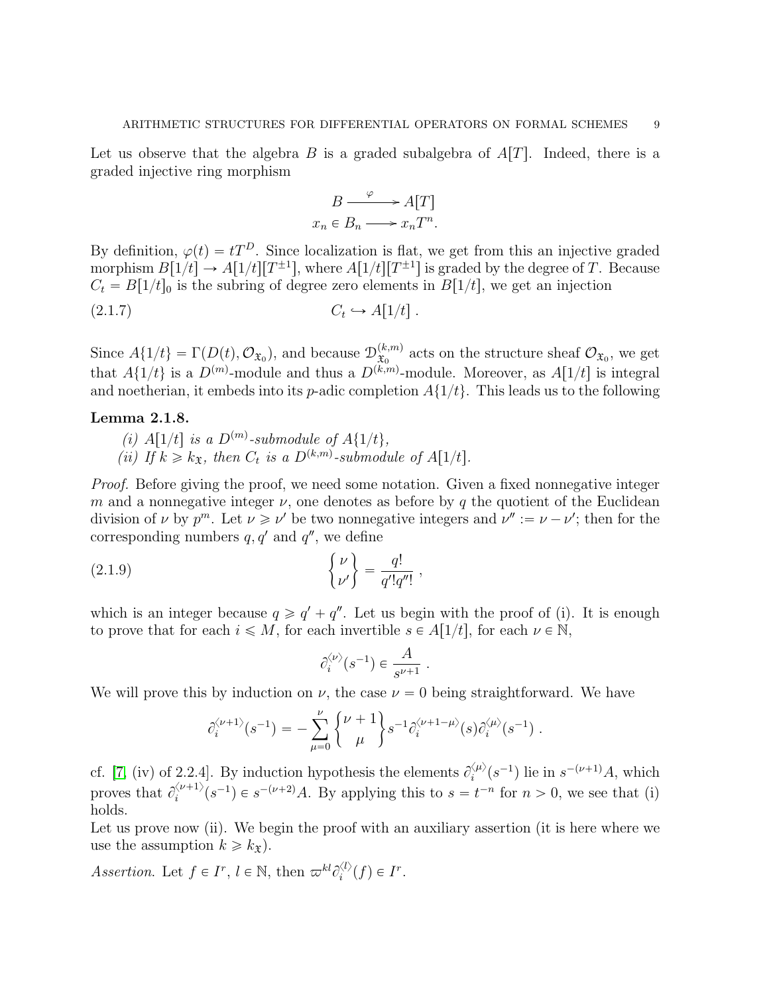Let us observe that the algebra B is a graded subalgebra of  $A[T]$ . Indeed, there is a graded injective ring morphism

$$
B \xrightarrow{\varphi} A[T]
$$

$$
x_n \in B_n \longrightarrow x_n T^n.
$$

By definition,  $\varphi(t) = tT^D$ . Since localization is flat, we get from this an injective graded morphism  $B[1/t] \to A[1/t][T^{\pm 1}]$ , where  $A[1/t][T^{\pm 1}]$  is graded by the degree of T. Because  $C_t = B[1/t]_0$  is the subring of degree zero elements in  $B[1/t]$ , we get an injection  $(2.1.7)$  $C_t \hookrightarrow A[1/t]$ .

Since  $A\{1/t\} = \Gamma(D(t), \mathcal{O}_{\mathfrak{X}_0})$ , and because  $\mathcal{D}_{\mathfrak{X}_0}^{(k,m)}$  $(\mathbf{x}_{0}^{(k,m)})$  acts on the structure sheaf  $\mathcal{O}_{\mathfrak{X}_{0}}$ , we get that  $A\{1/t\}$  is a  $D^{(m)}$ -module and thus a  $D^{(k,m)}$ -module. Moreover, as  $A[1/t]$  is integral and noetherian, it embeds into its p-adic completion  $A\{1/t\}$ . This leads us to the following

## Lemma 2.1.8.

(i)  $A[1/t]$  is a  $D^{(m)}$ -submodule of  $A\{1/t\}$ , (ii) If  $k \geq k_{\mathfrak{X}}$ , then  $C_t$  is a  $D^{(k,m)}$ -submodule of  $A[1/t]$ .

Proof. Before giving the proof, we need some notation. Given a fixed nonnegative integer m and a nonnegative integer  $\nu$ , one denotes as before by q the quotient of the Euclidean division of  $\nu$  by  $p^m$ . Let  $\nu \ge \nu'$  be two nonnegative integers and  $\nu'' := \nu - \nu'$ ; then for the

corresponding numbers 
$$
q, q'
$$
 and  $q''$ , we define  
\n(2.1.9) 
$$
\begin{cases} \nu \\ \nu' \end{cases} = \frac{q!}{q'!q''!},
$$

which is an integer because  $q \geqslant q' + q''$ . Let us begin with the proof of (i). It is enough to prove that for each  $i \leq M$ , for each invertible  $s \in A[1/t]$ , for each  $\nu \in \mathbb{N}$ ,

<span id="page-8-0"></span>
$$
\partial_i^{\langle \nu \rangle}(s^{-1}) \in \frac{A}{s^{\nu+1}}.
$$

We will prove this by induction on  $\nu$ , the case  $\nu = 0$  being straightforward. We have

$$
\hat{\mathbf{\textit{e}}}_i^{\langle \nu+1 \rangle}(s^{-1}) = -\sum_{\mu=0}^{\nu}\binom{\nu+1}{\mu}s^{-1}\hat{\mathbf{\textit{e}}}_i^{\langle \nu+1-\mu \rangle}(s)\hat{\mathbf{\textit{e}}}_i^{\langle \mu \rangle}(s^{-1})\;.
$$

cf. [\[7,](#page-52-1) (iv) of 2.2.4]. By induction hypothesis the elements  $\partial_i^{\langle \mu \rangle}$  $\zeta_i^{(\mu)}(s^{-1})$  lie in  $s^{-(\nu+1)}A$ , which proves that  $\partial_i^{\langle \nu+1 \rangle}$  $\binom{\nu+1}{i}(s^{-1}) \in s^{-(\nu+2)}A$ . By applying this to  $s = t^{-n}$  for  $n > 0$ , we see that (i) holds.

Let us prove now (ii). We begin the proof with an auxiliary assertion (it is here where we use the assumption  $k \geq k_{\mathfrak{X}}$ ).

Assertion. Let  $f \in I^r$ ,  $l \in \mathbb{N}$ , then  $\varpi^{kl} \partial_i^{\langle l \rangle}$  $i^{(l)}(f) \in I^r$ .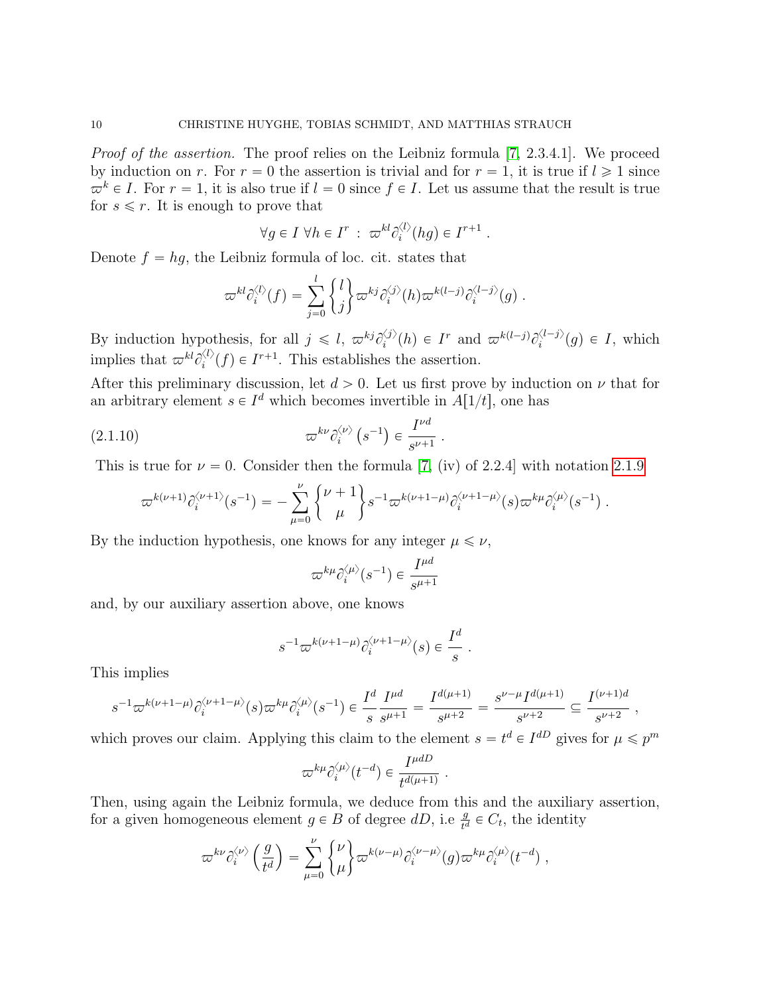Proof of the assertion. The proof relies on the Leibniz formula [\[7,](#page-52-1) 2.3.4.1]. We proceed by induction on r. For  $r = 0$  the assertion is trivial and for  $r = 1$ , it is true if  $l \geq 1$  since  $\varpi^k \in I$ . For  $r = 1$ , it is also true if  $l = 0$  since  $f \in I$ . Let us assume that the result is true for  $s \leq r$ . It is enough to prove that

$$
\forall g \in I \,\,\forall h \in I^r \,:\, \varpi^{kl} \partial_i^{\langle l \rangle}(hg) \in I^{r+1} \,.
$$

Denote  $f = hg$ , the Leibniz formula of loc. cit. states that

$$
\varpi^{kl}\partial_i^{\langle l\rangle}(f)=\sum_{j=0}^l\binom{l}{j}\varpi^{kj}\partial_i^{\langle j\rangle}(h)\varpi^{k(l-j)}\partial_i^{\langle l-j\rangle}(g)\;.
$$

By induction hypothesis, for all  $j \leq l, \ \pi^{kj} \partial_i^{j}$  $\langle i \rangle(h) \in I^r$  and  $\varpi^{k(l-j)} \partial_i^{\langle l-j \rangle}$  $i^{(-1)}(g) \in I$ , which implies that  $\varpi^{kl}\partial_i^{\langle l \rangle}$  $\zeta_i^{(k)}(f) \in I^{r+1}$ . This establishes the assertion.

After this preliminary discussion, let  $d > 0$ . Let us first prove by induction on  $\nu$  that for an arbitrary element  $s \in I^d$  which becomes invertible in  $A[1/t]$ , one has

(2.1.10) 
$$
\varpi^{k\nu}\partial_i^{\langle\nu\rangle}\left(s^{-1}\right) \in \frac{I^{\nu d}}{s^{\nu+1}}.
$$

This is true for  $\nu = 0$ . Consider then the formula [\[7,](#page-52-1) (iv) of 2.2.4] with notation [2.1.9](#page-8-0) " \*

$$
\varpi^{k(\nu+1)}\partial_i^{\langle \nu+1\rangle}(s^{-1})=-\sum_{\mu=0}^\nu\begin{Bmatrix} \nu+1\\\mu \end{Bmatrix}s^{-1}\varpi^{k(\nu+1-\mu)}\partial_i^{\langle \nu+1-\mu\rangle}(s)\varpi^{k\mu}\partial_i^{\langle \mu\rangle}(s^{-1})\ .
$$

By the induction hypothesis, one knows for any integer  $\mu \leq \nu$ ,

$$
\varpi^{k\mu}\partial_i^{\langle\mu\rangle}(s^{-1})\in \frac{I^{\mu d}}{s^{\mu+1}}
$$

and, by our auxiliary assertion above, one knows

$$
s^{-1}\overline{\omega}^{k(\nu+1-\mu)}\partial_i^{\langle \nu+1-\mu\rangle}(s) \in \frac{I^d}{s} .
$$

This implies

$$
s^{-1} \varpi^{k(\nu+1-\mu)} \partial_i^{\langle \nu+1-\mu \rangle} (s) \varpi^{k\mu} \partial_i^{\langle \mu \rangle} (s^{-1}) \in \frac{I^d}{s} \frac{I^{\mu d}}{s^{\mu+1}} = \frac{I^{d(\mu+1)}}{s^{\mu+2}} = \frac{s^{\nu-\mu} I^{d(\mu+1)}}{s^{\nu+2}} \subseteq \frac{I^{(\nu+1)d}}{s^{\nu+2}} ,
$$

which proves our claim. Applying this claim to the element  $s = t^d \in I^{dD}$  gives for  $\mu \leqslant p^m$ 

$$
\varpi^{k\mu}\partial_i^{\langle \mu\rangle}(t^{-d}) \in \frac{I^{\mu dD}}{t^{d(\mu+1)}}.
$$

Then, using again the Leibniz formula, we deduce from this and the auxiliary assertion, for a given homogeneous element  $g \in B$  of degree  $dD$ , i.e  $\frac{g}{t^d} \in C_t$ , the identity " \*

$$
\varpi^{k\nu}\partial_i^{\langle\nu\rangle}\left(\frac{g}{t^d}\right)=\sum_{\mu=0}^\nu\binom{\nu}{\mu}\varpi^{k(\nu-\mu)}\partial_i^{\langle\nu-\mu\rangle}(g)\varpi^{k\mu}\partial_i^{\langle\mu\rangle}(t^{-d})\;,
$$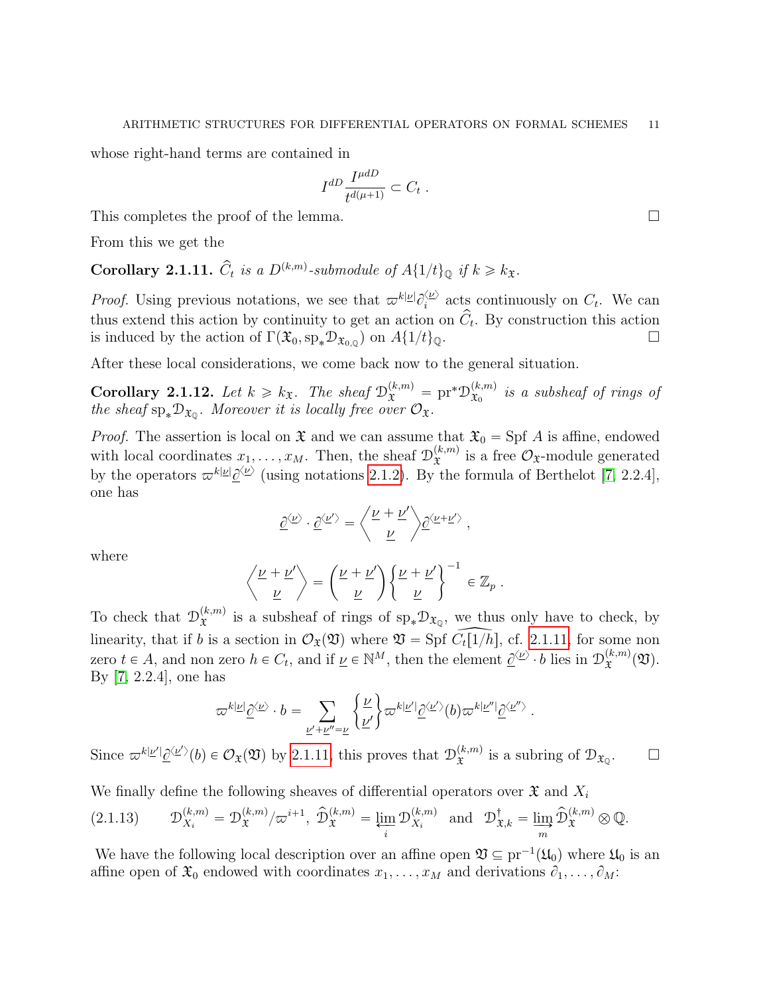whose right-hand terms are contained in

$$
I^{dD} \frac{I^{\mu dD}}{t^{d(\mu+1)}} \subset C_t .
$$

This completes the proof of the lemma.

From this we get the

<span id="page-10-1"></span>**Corollary 2.1.11.**  $\hat{C}_t$  is a  $D^{(k,m)}$ -submodule of  $A\{1/t\}_{\mathbb{Q}}$  if  $k \geq k_{\mathfrak{X}}$ .

*Proof.* Using previous notations, we see that  $\varpi^{k|\nu|} \partial_i^{\langle \nu \rangle}$  $\sum_{i=1}^{\infty}$  acts continuously on  $C_t$ . We can thus extend this action by continuity to get an action on  $\hat{C}_t$ . By construction this action is induced by the action of  $\Gamma(\mathfrak{X}_0, sp_*\mathcal{D}_{\mathfrak{X}_{0,\mathbb{Q}}})$  on  $A\{1/t\}_{\mathbb{Q}}$ .

After these local considerations, we come back now to the general situation.

<span id="page-10-0"></span>Corollary 2.1.12. Let  $k \geq k_{\mathfrak{X}}$ . The sheaf  $\mathcal{D}_{\mathfrak{X}}^{(k,m)} = \text{pr}^* \mathcal{D}_{\mathfrak{X}_0}^{(k,m)}$  $\hat{\mathbf{x}}_0^{(k,m)}$  is a subsheaf of rings of the sheaf  $\text{sp}_*\mathcal{D}_{\mathfrak{X}_{\mathbb{Q}}}$ . Moreover it is locally free over  $\mathcal{O}_{\mathfrak{X}}$ .

*Proof.* The assertion is local on  $\mathfrak X$  and we can assume that  $\mathfrak X_0 = \mathrm{Spf} A$  is affine, endowed with local coordinates  $x_1, \ldots, x_M$ . Then, the sheaf  $\mathcal{D}_{\mathfrak{X}}^{(k,m)}$  $\hat{x}^{(k,m)}$  is a free  $\mathcal{O}_{\mathfrak{X}}$ -module generated by the operators  $\varpi^{k|\underline{\nu}|}\underline{\partial}^{\langle \underline{\nu} \rangle}$  (using notations [2.1.2\)](#page-4-1). By the formula of Berthelot [\[7,](#page-52-1) 2.2.4], one has

$$
\underline{\partial}^{\langle \underline{\nu} \rangle} \cdot \underline{\partial}^{\langle \underline{\nu}' \rangle} = \left\langle \frac{\underline{\nu} + \underline{\nu}'}{\underline{\nu}} \right\rangle \underline{\partial}^{\langle \underline{\nu} + \underline{\nu}' \rangle} \; ,
$$

where

$$
\left\langle \frac{\nu+\nu'}{\nu} \right\rangle = \left( \frac{\nu+\nu'}{\nu} \right) \left\{ \frac{\nu+\nu'}{\nu} \right\}^{-1} \in \mathbb{Z}_p .
$$

To check that  $\mathcal{D}_{\mathfrak{T}}^{(k,m)}$  $\hat{x}^{(k,m)}$  is a subsheaf of rings of  $\text{sp}_{*}\mathcal{D}_{\mathfrak{X}_{\mathbb{Q}}}$ , we thus only have to check, by linearity, that if b is a section in  $\mathcal{O}_{\mathfrak{X}}(\mathfrak{V})$  where  $\mathfrak{V} =$  Spf  $\tilde{C}_{t}[1/\tilde{h}],$  cf. [2.1.11,](#page-10-1) for some non zero  $t \in A$ , and non zero  $h \in C_t$ , and if  $\underline{\nu} \in \mathbb{N}^M$ , then the element  $\underline{\partial}^{\langle \underline{\nu} \rangle} \cdot b$  lies in  $\mathcal{D}_{\mathfrak{X}}^{(k,m)}$  ${}_{\mathfrak{X}}^{{\scriptscriptstyle(}\kappa,m)}(\mathfrak{V}).$ By [\[7,](#page-52-1) 2.2.4], one has " \*

$$
\varpi^{k|\underline{\nu}|}\underline{\partial}^{\langle \underline{\nu}\rangle}\cdot b=\sum_{\underline{\nu}'+\underline{\nu}''=\underline{\nu}}\bigg\{\frac{\underline{\nu}}{\underline{\nu}'}\bigg\}\varpi^{k|\underline{\nu}'|}\underline{\partial}^{\langle \underline{\nu}'\rangle}(b)\varpi^{k|\underline{\nu}''|}\underline{\partial}^{\langle \underline{\nu}''\rangle}\ .
$$

Since  $\varpi^{k|\underline{\nu}|} \underline{\partial}^{\langle \underline{\nu}' \rangle}(b) \in \mathcal{O}_{\mathfrak{X}}(\mathfrak{V})$  by [2.1.11,](#page-10-1) this proves that  $\mathcal{D}_{\mathfrak{X}}^{(k,m)}$  $x^{(k,m)}$  is a subring of  $\mathcal{D}_{\mathfrak{X}_{\mathbb{Q}}}$  $\Box$ 

We finally define the following sheaves of differential operators over 
$$
\mathfrak{X}
$$
 and  $X_i$ 

<span id="page-10-2"></span>
$$
(2.1.13) \t\mathcal{D}_{X_i}^{(k,m)} = \mathcal{D}_{\mathfrak{X}}^{(k,m)}/\varpi^{i+1}, \ \hat{\mathcal{D}}_{\mathfrak{X}}^{(k,m)} = \varprojlim_i \mathcal{D}_{X_i}^{(k,m)} \text{ and } \mathcal{D}_{\mathfrak{X},k}^{\dagger} = \varinjlim_m \hat{\mathcal{D}}_{\mathfrak{X}}^{(k,m)} \otimes \mathbb{Q}.
$$

We have the following local description over an affine open  $\mathfrak{V} \subseteq \text{pr}^{-1}(\mathfrak{U}_0)$  where  $\mathfrak{U}_0$  is an affine open of  $\mathfrak{X}_0$  endowed with coordinates  $x_1, \ldots, x_M$  and derivations  $\partial_1, \ldots, \partial_M$ :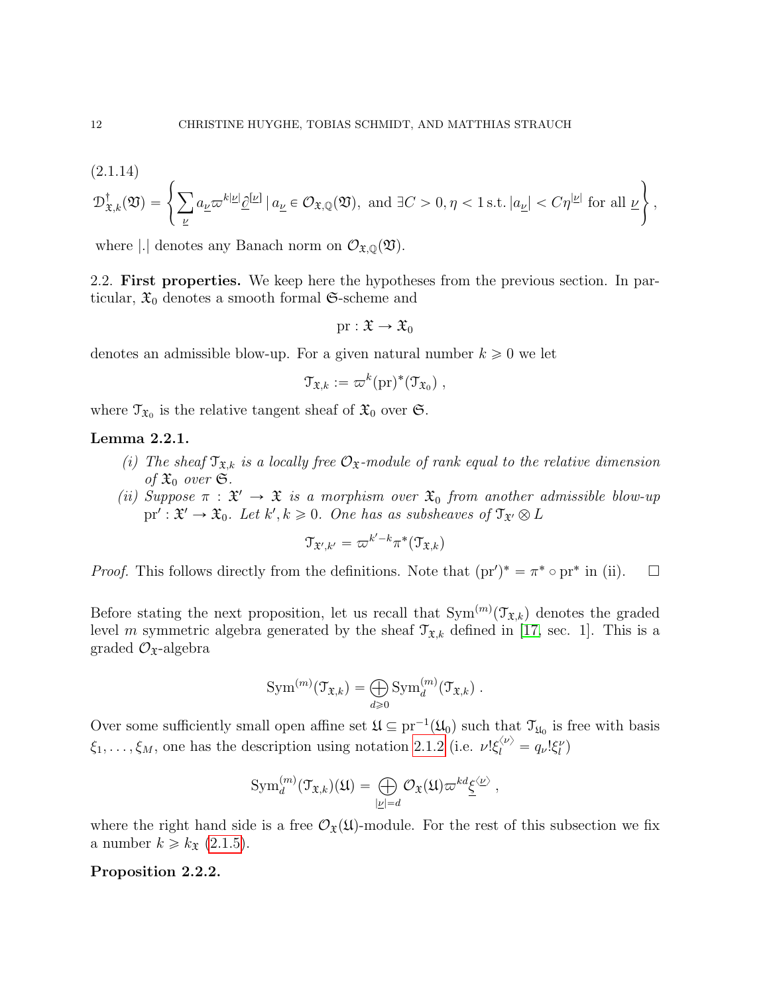<span id="page-11-2"></span>(2.1.14)  
\n
$$
\mathcal{D}^{\dagger}_{\mathfrak{X},k}(\mathfrak{V}) = \left\{ \sum_{\underline{\nu}} a_{\underline{\nu}} \varpi^{k|\underline{\nu}|} \underline{\partial}^{[\underline{\nu}]} \mid a_{\underline{\nu}} \in \mathcal{O}_{\mathfrak{X},\mathbb{Q}}(\mathfrak{V}), \text{ and } \exists C > 0, \eta < 1 \text{ s.t. } |a_{\underline{\nu}}| < C\eta^{|\underline{\nu}|} \text{ for all } \underline{\nu} \right\},
$$

where |.| denotes any Banach norm on  $\mathcal{O}_{\mathfrak{X},\mathbb{Q}}(\mathfrak{Y})$ .

<span id="page-11-0"></span>2.2. First properties. We keep here the hypotheses from the previous section. In particular,  $\mathfrak{X}_0$  denotes a smooth formal G-scheme and

$$
\mathrm{pr}:\mathfrak{X}\to\mathfrak{X}_0
$$

denotes an admissible blow-up. For a given natural number  $k \geq 0$  we let

$$
\mathfrak{T}_{\mathfrak{X},k} := \varpi^k(\mathrm{pr})^*(\mathfrak{T}_{\mathfrak{X}_0}) ,
$$

where  $\mathfrak{T}_{\mathfrak{X}_0}$  is the relative tangent sheaf of  $\mathfrak{X}_0$  over  $\mathfrak{S}$ .

## Lemma 2.2.1.

- (i) The sheaf  $\mathfrak{T}_{\mathfrak{X},k}$  is a locally free  $\mathcal{O}_{\mathfrak{X}}$ -module of rank equal to the relative dimension of  $\mathfrak{X}_0$  over  $\mathfrak{S}$ .
- (ii) Suppose  $\pi : \mathfrak{X}' \to \mathfrak{X}$  is a morphism over  $\mathfrak{X}_0$  from another admissible blow-up  $\text{pr}': \mathfrak{X}' \to \mathfrak{X}_0$ . Let  $k', k \geqslant 0$ . One has as subsheaves of  $\mathfrak{T}_{\mathfrak{X}'} \otimes L$

$$
\mathfrak{T}_{\mathfrak{X}',k'}=\varpi^{k'-k}\pi^*(\mathfrak{T}_{\mathfrak{X},k})
$$

*Proof.* This follows directly from the definitions. Note that  $(pr')^* = \pi^* \circ pr^*$  in (ii).  $\square$ 

Before stating the next proposition, let us recall that  $Sym^{(m)}(\mathcal{T}_{\mathfrak{X},k})$  denotes the graded level m symmetric algebra generated by the sheaf  $\mathcal{T}_{\mathfrak{X},k}$  defined in [\[17,](#page-52-10) sec. 1]. This is a graded  $\mathcal{O}_{\mathfrak{X}}$ -algebra

$$
\mathrm{Sym}^{(m)}(\mathfrak{T}_{\mathfrak{X},k}) = \bigoplus_{d \geq 0} \mathrm{Sym}_d^{(m)}(\mathfrak{T}_{\mathfrak{X},k}) .
$$

Over some sufficiently small open affine set  $\mathfrak{U} \subseteq pr^{-1}(\mathfrak{U}_0)$  such that  $\mathfrak{T}_{\mathfrak{U}_0}$  is free with basis  $\xi_1,\ldots,\xi_M$ , one has the description using notation [2.1.2](#page-4-1) (i.e.  $\nu! \xi_l^{(\nu)} = q_\nu! \xi_l^{\nu}$ )

$$
\operatorname{Sym}_d^{(m)}(\mathfrak{T}_{\mathfrak{X},k})(\mathfrak{U}) = \bigoplus_{|\underline{\nu}|=d} \mathcal{O}_{\mathfrak{X}}(\mathfrak{U}) \varpi^{kd} \underline{\xi}^{\langle \underline{\nu} \rangle} ,
$$

where the right hand side is a free  $\mathcal{O}_{\mathfrak{X}}(\mathfrak{U})$ -module. For the rest of this subsection we fix a number  $k \geq k_{\mathfrak{X}}$  [\(2.1.5\)](#page-5-1).

## <span id="page-11-1"></span>Proposition 2.2.2.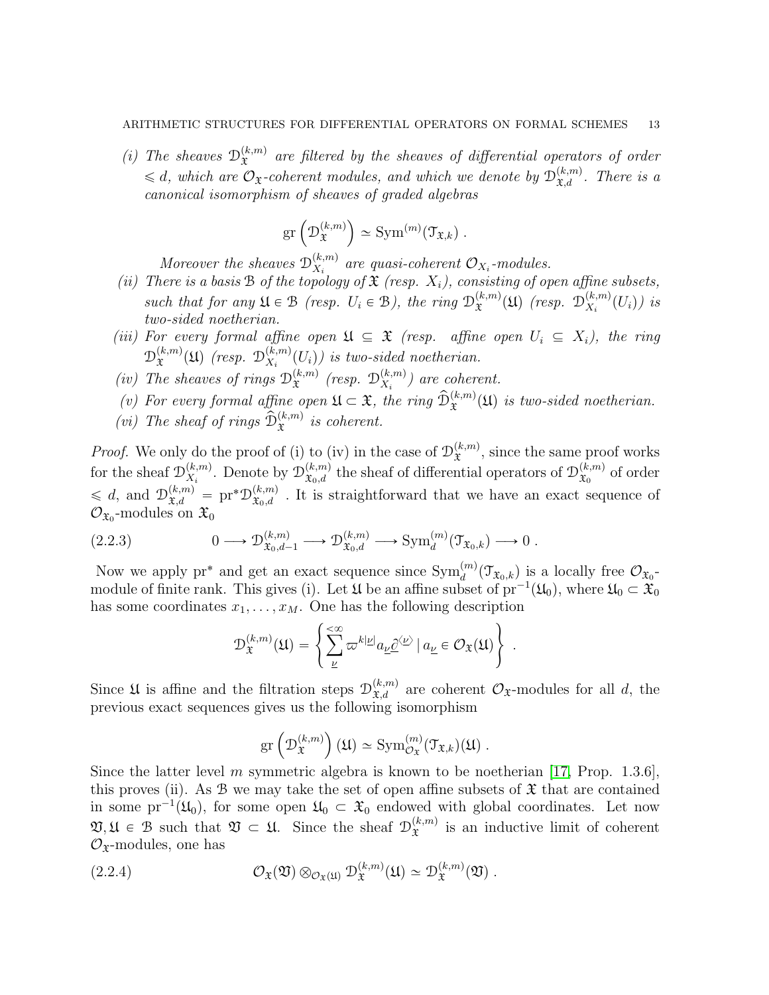(i) The sheaves  $\mathcal{D}_{\tau}^{(k,m)}$  $\hat{x}^{(k,m)}$  are filtered by the sheaves of differential operators of order  $\leq d$ , which are  $\mathcal{O}_{\mathfrak{X}}$ -coherent modules, and which we denote by  $\mathcal{D}_{\mathfrak{X},d}^{(k,m)}$ . There is a canonical isomorphism of sheaves of graded algebras

$$
\mathrm{gr}\left(\mathcal{D}_{\mathfrak{X}}^{(k,m)}\right) \simeq \mathrm{Sym}^{(m)}(\mathfrak{T}_{\mathfrak{X},k}) .
$$

Moreover the sheaves  $\mathcal{D}_{X_i}^{(k,m)}$  $\mathcal{L}_{X_i}^{(k,m)}$  are quasi-coherent  $\mathcal{O}_{X_i}$ -modules.

- (ii) There is a basis B of the topology of  $\mathfrak X$  (resp.  $X_i$ ), consisting of open affine subsets, such that for any  $\mathfrak{U} \in \mathcal{B}$  (resp.  $U_i \in \mathcal{B}$ ), the ring  $\mathcal{D}_{\mathfrak{X}}^{(k,m)}$  $\mathfrak{X}^{(k,m)}(\mathfrak{U})$  (resp.  $\mathfrak{D}^{(k,m)}_{X_i}$  $\binom{(k,m)}{X_i}(U_i)$  is two-sided noetherian.
- (iii) For every formal affine open  $\mathfrak{U} \subseteq \mathfrak{X}$  (resp. affine open  $U_i \subseteq X_i$ ), the ring  $\mathcal{D}_{\mathfrak{P}}^{(k,m)}$  $\mathfrak{X}^{(k,m)}(\mathfrak{U})$  (resp.  $\mathfrak{D}^{(k,m)}_{X_i}$  $\binom{(k,m)}{X_i}(U_i)$  is two-sided noetherian.
- (iv) The sheaves of rings  $\mathcal{D}_{\mathbf{x}}^{(k,m)}$  $\stackrel{(k,m)}{\mathfrak{X}}$  (resp.  $\mathfrak{D}_{X_i}^{(k,m)}$  $\binom{(k,m)}{X_i}$  are coherent.
- (v) For every formal affine open  $\mathfrak{U} \subset \mathfrak{X}$ , the ring  $\widehat{\mathcal{D}}_{\mathfrak{X}}^{(k,m)}(\mathfrak{U})$  is two-sided noetherian.
- (vi) The sheaf of rings  $\mathcal{D}_{\mathfrak{X}}^{(k,m)}$  is coherent.

*Proof.* We only do the proof of (i) to (iv) in the case of  $\mathcal{D}_{\mathbf{\hat{r}}}^{(k,m)}$  $\hat{x}^{(k,m)}$ , since the same proof works for the sheaf  $\mathcal{D}_{X_i}^{(k,m)}$  $\chi^{(k,m)}_{X_i}$ . Denote by  $\mathcal{D}^{(k,m)}_{\mathfrak{X}_0,d}$  the sheaf of differential operators of  $\mathcal{D}^{(k,m)}_{\mathfrak{X}_0}$  $\mathfrak{X}_0^{(k,m)}$  of order  $\leq d$ , and  $\mathcal{D}_{\mathfrak{X},d}^{(k,m)} = \text{pr}^*\mathcal{D}_{\mathfrak{X}_0,d}^{(k,m)}$ . It is straightforward that we have an exact sequence of  $\mathcal{O}_{\mathfrak{X}_0}$ -modules on  $\mathfrak{X}_0$ 

$$
(2.2.3) \t\t 0 \longrightarrow \mathcal{D}_{\mathfrak{X}_0,d-1}^{(k,m)} \longrightarrow \mathcal{D}_{\mathfrak{X}_0,d}^{(k,m)} \longrightarrow \text{Sym}_d^{(m)}(\mathfrak{T}_{\mathfrak{X}_0,k}) \longrightarrow 0.
$$

Now we apply pr<sup>\*</sup> and get an exact sequence since  $\text{Sym}_d^{(m)}(\mathcal{T}_{\mathfrak{X}_0,k})$  is a locally free  $\mathcal{O}_{\mathfrak{X}_0}$ module of finite rank. This gives (i). Let  $\mathfrak U$  be an affine subset of  $\mathrm{pr}^{-1}(\mathfrak U_0)$ , where  $\mathfrak U_0 \subset \mathfrak X_0$ 

has some coordinates 
$$
x_1, ..., x_M
$$
. One has the following description  
\n
$$
\mathcal{D}_{\mathfrak{X}}^{(k,m)}(\mathfrak{U}) = \left\{ \sum_{\underline{\nu}}^{\leq \infty} \varpi^{k|\underline{\nu}|} a_{\underline{\nu}} \underline{\partial}^{\langle \underline{\nu} \rangle} \mid a_{\underline{\nu}} \in \mathcal{O}_{\mathfrak{X}}(\mathfrak{U}) \right\}.
$$

Since  $\mathfrak U$  is affine and the filtration steps  $\mathcal D_{\mathfrak X,d}^{(k,m)}$  are coherent  $\mathcal O_{\mathfrak X}$ -modules for all d, the previous exact sequences gives us the following isomorphism

$$
\mathrm{gr}\left(\mathcal{D}_{\mathfrak{X}}^{(k,m)}\right)(\mathfrak{U})\simeq \mathrm{Sym}^{(m)}_{\mathcal{O}_{\mathfrak{X}}}(\mathfrak{T}_{\mathfrak{X},k})(\mathfrak{U})\ .
$$

Since the latter level m symmetric algebra is known to be noetherian [\[17,](#page-52-10) Prop. 1.3.6]. this proves (ii). As  $\mathcal B$  we may take the set of open affine subsets of  $\mathfrak X$  that are contained in some pr<sup>-1</sup>( $\mathfrak{U}_0$ ), for some open  $\mathfrak{U}_0 \subset \mathfrak{X}_0$  endowed with global coordinates. Let now  $\mathfrak{V}, \mathfrak{U} \in \mathfrak{B}$  such that  $\mathfrak{V} \subset \mathfrak{U}$ . Since the sheaf  $\mathcal{D}_{\mathfrak{X}}^{(k,m)}$  $\hat{x}^{(k,m)}$  is an inductive limit of coherent  $\mathcal{O}_{\mathfrak{X}}$ -modules, one has

(2.2.4) 
$$
\mathcal{O}_{\mathfrak{X}}(\mathfrak{V}) \otimes_{\mathcal{O}_{\mathfrak{X}}(\mathfrak{U})} \mathcal{D}_{\mathfrak{X}}^{(k,m)}(\mathfrak{U}) \simeq \mathcal{D}_{\mathfrak{X}}^{(k,m)}(\mathfrak{V}).
$$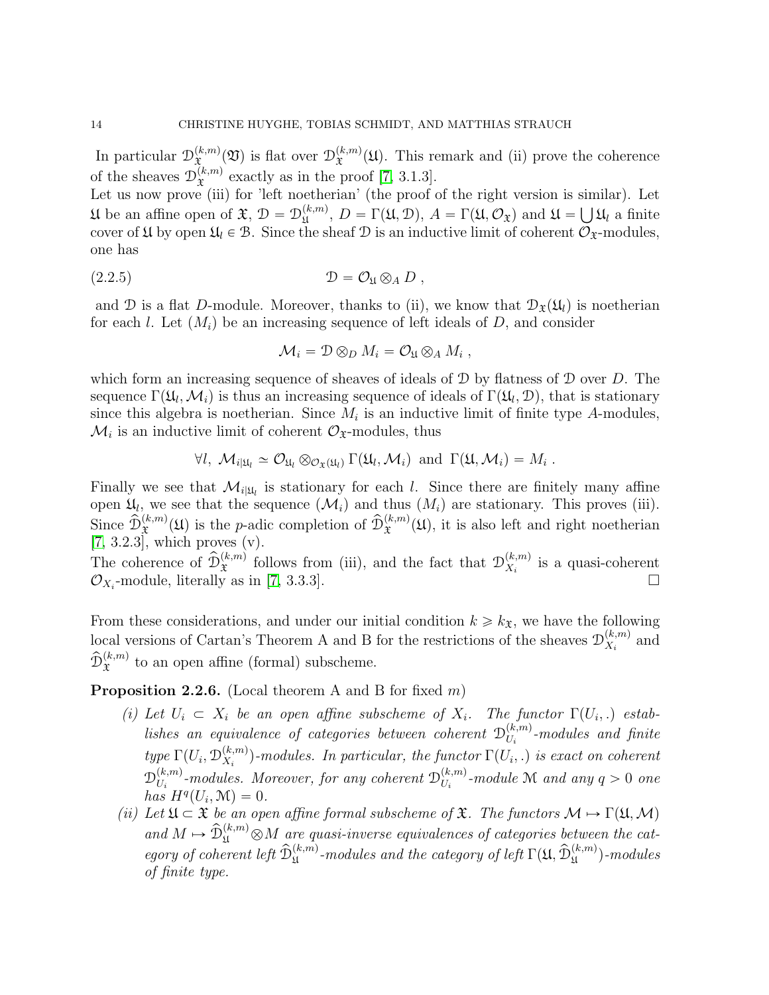In particular  $\mathcal{D}_{\tau}^{(k,m)}$  $\mathfrak{X}^{(k,m)}(\mathfrak{V})$  is flat over  $\mathcal{D}^{(k,m)}_{\mathfrak{X}}$  $\mathfrak{X}^{(k,m)}(\mathfrak{U})$ . This remark and (ii) prove the coherence of the sheaves  $\mathcal{D}_{\mathfrak{X}}^{(k,m)}$  $x^{(k,m)}$  exactly as in the proof [\[7,](#page-52-1) 3.1.3].

Let us now prove (iii) for 'left noetherian' (the proof of the right version is similar). Let U be an affine open of  $\mathfrak{X}, \mathcal{D} = \mathcal{D}_{\mathfrak{U}}^{(k,m)}$  $U_{\mathfrak{U}}^{(k,m)}, D = \Gamma(\mathfrak{U}, \mathcal{D}), A = \Gamma(\mathfrak{U}, \mathcal{O}_{\mathfrak{X}})$  and  $\mathfrak{U} = \bigcup \mathfrak{U}_l$  a finite cover of  $\mathfrak{U}$  by open  $\mathfrak{U}_l \in \mathfrak{B}$ . Since the sheaf  $\mathcal{D}$  is an inductive limit of coherent  $\mathcal{O}_{\mathfrak{X}}$ -modules, one has

(2.2.5) D " O<sup>U</sup> b<sup>A</sup> D ,

and D is a flat D-module. Moreover, thanks to (ii), we know that  $\mathcal{D}_{\mathfrak{X}}(\mathfrak{U}_l)$  is noetherian for each l. Let  $(M_i)$  be an increasing sequence of left ideals of D, and consider

$$
\mathcal{M}_i = \mathcal{D} \otimes_D M_i = \mathcal{O}_{\mathfrak{U}} \otimes_A M_i ,
$$

which form an increasing sequence of sheaves of ideals of  $\mathcal D$  by flatness of  $\mathcal D$  over D. The sequence  $\Gamma(\mathfrak{U}_l, \mathcal{M}_i)$  is thus an increasing sequence of ideals of  $\Gamma(\mathfrak{U}_l, \mathcal{D})$ , that is stationary since this algebra is noetherian. Since  $M_i$  is an inductive limit of finite type A-modules,  $\mathcal{M}_i$  is an inductive limit of coherent  $\mathcal{O}_{\mathfrak{X}}$ -modules, thus

$$
\forall l, \ \mathcal{M}_{i|\mathfrak{U}_l} \simeq \mathcal{O}_{\mathfrak{U}_l} \otimes_{\mathcal{O}_{\mathfrak{X}}(\mathfrak{U}_l)} \Gamma(\mathfrak{U}_l, \mathcal{M}_i) \ \text{ and } \ \Gamma(\mathfrak{U}, \mathcal{M}_i) = M_i \ .
$$

Finally we see that  $\mathcal{M}_{i|\mathfrak{U}_l}$  is stationary for each l. Since there are finitely many affine open  $\mathfrak{U}_l$ , we see that the sequence  $(\mathcal{M}_i)$  and thus  $(M_i)$  are stationary. This proves (iii). Since  $\tilde{\mathcal{D}}_{\mathfrak{X}}^{(k,m)}(\mathfrak{U})$  is the p-adic completion of  $\hat{\mathcal{D}}_{\mathfrak{X}}^{(k,m)}(\mathfrak{U})$ , it is also left and right noetherian  $[7, 3.2.3]$  $[7, 3.2.3]$ , which proves (v).

The coherence of  $\hat{\mathcal{D}}_{\mathfrak{X}}^{(k,m)}$  follows from (iii), and the fact that  $\mathcal{D}_{X_i}^{(k,m)}$  $\chi_i^{(k,m)}$  is a quasi-coherent  $\mathcal{O}_{X_i}$ -module, literally as in [\[7,](#page-52-1) 3.3.3].

From these considerations, and under our initial condition  $k \geq k_{\mathfrak{X}}$ , we have the following local versions of Cartan's Theorem A and B for the restrictions of the sheaves  $\mathcal{D}_{X_i}^{(k,m)}$  $x_i^{(\kappa,m)}$  and  $\hat{\mathfrak{D}}^{(k,m)}_{\mathfrak{X}}$  to an open affine (formal) subscheme.

<span id="page-13-0"></span>**Proposition 2.2.6.** (Local theorem A and B for fixed  $m$ )

- (i) Let  $U_i \subset X_i$  be an open affine subscheme of  $X_i$ . The functor  $\Gamma(U_i,.)$  establishes an equivalence of categories between coherent  $\mathcal{D}_{U}^{(k,m)}$  $U_i^{(k,m)}$ -modules and finite type  $\Gamma(U_i, \mathcal{D}_{X_i}^{(k,m)})$  $\mathcal{L}_{X_i}^{(k,m)}$ )-modules. In particular, the functor  $\Gamma(U_i,.)$  is exact on coherent  $\mathcal{D}_{U_i}^{(k,m)}$  $\mathcal{U}^{(k,m)}_{{U}_i}$ -modules. Moreover, for any coherent  $\mathcal{D}^{(k,m)}_{{U}_i}$  $\binom{(k,m)}{U_i}$ -module M and any  $q > 0$  one has  $H^q(U_i, \mathcal{M}) = 0.$
- (ii) Let  $\mathfrak{U} \subset \mathfrak{X}$  be an open affine formal subscheme of  $\mathfrak{X}$ . The functors  $\mathcal{M} \mapsto \Gamma(\mathfrak{U},\mathcal{M})$ and  $M \mapsto \hat{\mathcal{D}}_{\mathfrak{U}}^{(k,m)} \otimes M$  are quasi-inverse equivalences of categories between the category of coherent left  $\widehat{\mathcal{D}}_{\mathfrak{U}}^{(k,m)}$ -modules and the category of left  $\Gamma(\mathfrak{U}, \widehat{\mathcal{D}}_{\mathfrak{U}}^{(k,m)})$ -modules of finite type.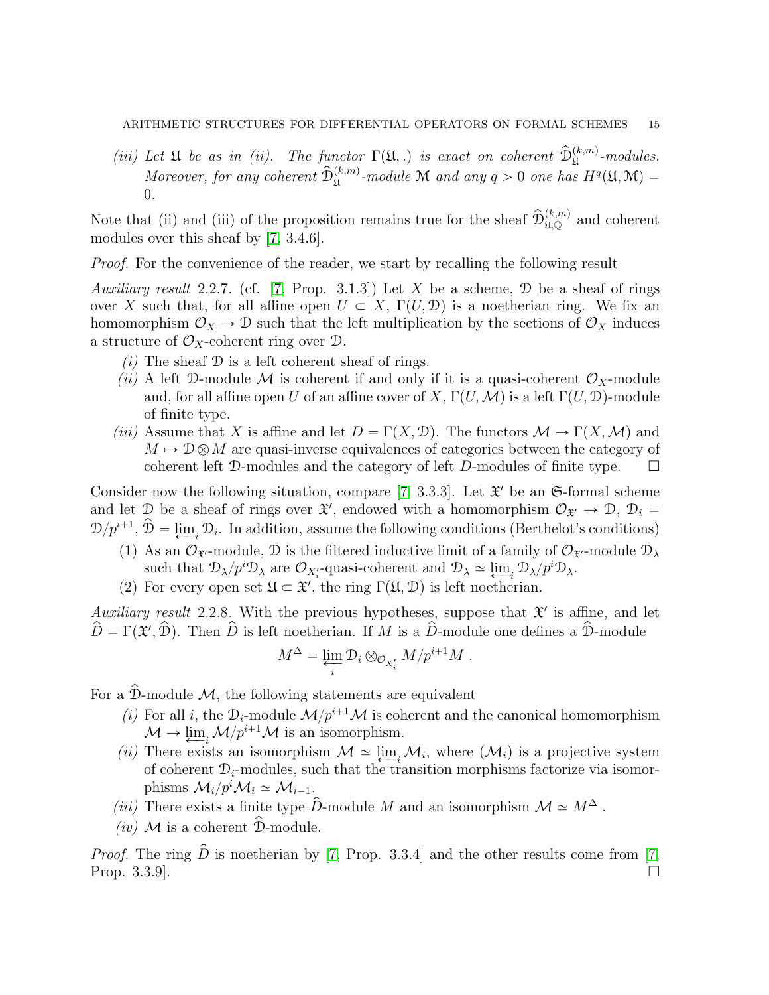(iii) Let  $\mathfrak U$  be as in (ii). The functor  $\Gamma(\mathfrak U,.)$  is exact on coherent  $\widehat{\mathcal D}_{\mathfrak U}^{(k,m)}$ -modules. Moreover, for any coherent  $\widehat{\mathcal{D}}_{\mathfrak{U}}^{(k,m)}$ -module M and any  $q > 0$  one has  $H^q(\mathfrak{U}, \mathfrak{M}) =$ 0.

Note that (ii) and (iii) of the proposition remains true for the sheaf  $\hat{\mathcal{D}}_{\mu,\mathbb{Q}}^{(k,m)}$  and coherent modules over this sheaf by [\[7,](#page-52-1) 3.4.6].

Proof. For the convenience of the reader, we start by recalling the following result

<span id="page-14-0"></span>Auxiliary result 2.2.7. (cf. [\[7,](#page-52-1) Prop. 3.1.3]) Let X be a scheme,  $\mathcal D$  be a sheaf of rings over X such that, for all affine open  $U \subset X$ ,  $\Gamma(U, \mathcal{D})$  is a noetherian ring. We fix an homomorphism  $\mathcal{O}_X \to \mathcal{D}$  such that the left multiplication by the sections of  $\mathcal{O}_X$  induces a structure of  $\mathcal{O}_X$ -coherent ring over  $\mathcal{D}$ .

- $(i)$  The sheaf  $\mathcal D$  is a left coherent sheaf of rings.
- (ii) A left D-module M is coherent if and only if it is a quasi-coherent  $\mathcal{O}_X$ -module and, for all affine open U of an affine cover of X,  $\Gamma(U, \mathcal{M})$  is a left  $\Gamma(U, \mathcal{D})$ -module of finite type.
- (iii) Assume that X is affine and let  $D = \Gamma(X, \mathcal{D})$ . The functors  $\mathcal{M} \mapsto \Gamma(X, \mathcal{M})$  and  $M \mapsto \mathcal{D}\otimes M$  are quasi-inverse equivalences of categories between the category of coherent left D-modules and the category of left D-modules of finite type.  $\square$

Consider now the following situation, compare [\[7,](#page-52-1) 3.3.3]. Let  $\mathfrak{X}'$  be an  $\mathfrak{S}\text{-formal scheme}$ and let D be a sheaf of rings over  $\mathfrak{X}'$ , endowed with a homomorphism  $\mathcal{O}_{\mathfrak{X}'} \to \mathcal{D}$ ,  $\mathcal{D}_i =$  $\mathcal{D}/p^{i+1}$ ,  $\mathcal{D} = \underline{\lim}_{i} \mathcal{D}_i$ . In addition, assume the following conditions (Berthelot's conditions)

- (1) As an  $\mathcal{O}_{\mathfrak{X}'}$ -module,  $\mathcal D$  is the filtered inductive limit of a family of  $\mathcal{O}_{\mathfrak{X}'}$ -module  $\mathcal{D}_{\lambda}$ such that  $\mathcal{D}_{\lambda}/p^i\mathcal{D}_{\lambda}$  are  $\mathcal{O}_{X_i}$ -quasi-coherent and  $\mathcal{D}_{\lambda} \simeq \varprojlim_i \mathcal{D}_{\lambda}/p^i\mathcal{D}_{\lambda}$ .
- (2) For every open set  $\mathfrak{U} \subset \mathfrak{X}'$ , the ring  $\Gamma(\mathfrak{U}, \mathcal{D})$  is left noetherian.

<span id="page-14-1"></span>Auxiliary result 2.2.8. With the previous hypotheses, suppose that  $\mathfrak{X}'$  is affine, and let  $\hat{D} = \Gamma(\tilde{\mathbf{x}}', \hat{D})$ . Then  $\hat{D}$  is left noetherian. If M is a  $\hat{D}$ -module one defines a  $\hat{D}$ -module

$$
M^{\Delta} = \varprojlim_{i} \mathcal{D}_{i} \otimes_{\mathcal{O}_{X'_{i}}} M/p^{i+1}M.
$$

For a  $\hat{\mathcal{D}}$ -module  $\mathcal{M}$ , the following statements are equivalent

- (i) For all i, the  $\mathcal{D}_i$ -module  $\mathcal{M}/p^{i+1}\mathcal{M}$  is coherent and the canonical homomorphism  $\mathcal{M} \to \underleftarrow{\lim}_{i} \mathcal{M}/p^{i+1}\mathcal{M}$  is an isomorphism.
- (ii) There exists an isomorphism  $\mathcal{M} \simeq \lim_{t \to 0} \mathcal{M}_i$ , where  $(\mathcal{M}_i)$  is a projective system of coherent  $\mathcal{D}_i$ -modules, such that the transition morphisms factorize via isomorphisms  $\mathcal{M}_i/p^i \mathcal{M}_i \simeq \mathcal{M}_{i-1}$ .
- (iii) There exists a finite type  $\widehat{D}$ -module  $M$  and an isomorphism  $\mathcal{M} \simeq M^{\Delta}$ .
- (iv)  $\mathcal M$  is a coherent  $\hat{\mathcal D}$ -module.

*Proof.* The ring  $\hat{D}$  is noetherian by [\[7,](#page-52-1) Prop. 3.3.4] and the other results come from [7, Prop.  $3.3.9$ .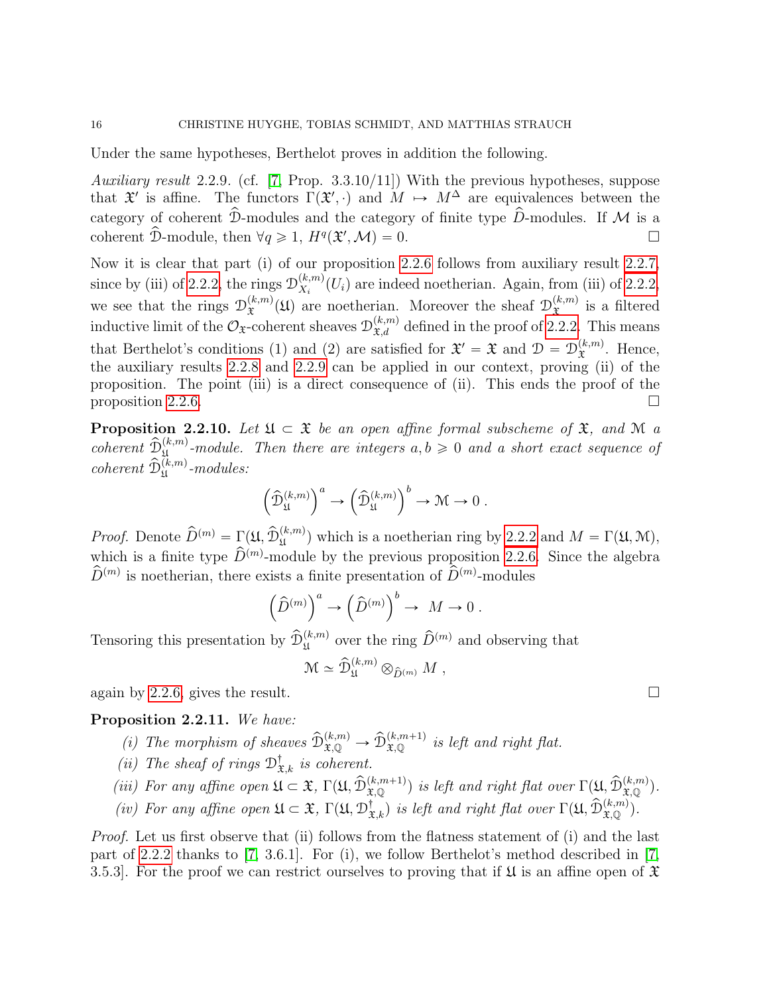Under the same hypotheses, Berthelot proves in addition the following.

<span id="page-15-0"></span>Auxiliary result 2.2.9. (cf. [\[7,](#page-52-1) Prop. 3.3.10/11]) With the previous hypotheses, suppose that  $\mathfrak{X}'$  is affine. The functors  $\Gamma(\mathfrak{X}',\cdot)$  and  $M \mapsto M^{\Delta}$  are equivalences between the category of coherent  $\hat{\mathcal{D}}$ -modules and the category of finite type  $\hat{D}$ -modules. If M is a coherent  $\hat{\mathcal{D}}$ -module, then  $\forall q \geq 1$ ,  $H^q(\mathfrak{X}',\mathcal{M}) = 0$ .

Now it is clear that part (i) of our proposition [2.2.6](#page-13-0) follows from auxiliary result [2.2.7,](#page-14-0) since by (iii) of [2.2.2,](#page-11-1) the rings  $\mathcal{D}_{X_i}^{(k,m)}$  $\chi_{X_i}^{(k,m)}(U_i)$  are indeed noetherian. Again, from (iii) of [2.2.2,](#page-11-1) we see that the rings  $\mathcal{D}_{\mathfrak{T}}^{(k,m)}$  $\mathfrak{X}^{(k,m)}(\mathfrak{U})$  are noetherian. Moreover the sheaf  $\mathcal{D}_{\mathfrak{X}}^{(k,m)}$  $\hat{x}^{(k,m)}$  is a filtered inductive limit of the  $\mathcal{O}_{\mathfrak{X}}$ -coherent sheaves  $\mathcal{D}_{\mathfrak{X},d}^{(k,m)}$  defined in the proof of [2.2.2.](#page-11-1) This means that Berthelot's conditions (1) and (2) are satisfied for  $\mathfrak{X}' = \mathfrak{X}$  and  $\mathfrak{D} = \mathcal{D}_{\mathfrak{X}}^{(k,m)}$  $\mathfrak{X}^{(\kappa,m)}$ . Hence, the auxiliary results [2.2.8](#page-14-1) and [2.2.9](#page-15-0) can be applied in our context, proving (ii) of the proposition. The point (iii) is a direct consequence of (ii). This ends the proof of the proposition [2.2.6.](#page-13-0)

<span id="page-15-2"></span>**Proposition 2.2.10.** Let  $\mathfrak{U} \subset \mathfrak{X}$  be an open affine formal subscheme of  $\mathfrak{X}$ , and  $\mathfrak{M}$  a coherent  $\widehat{\mathcal{D}}_{\mathfrak{U}}^{(k,m)}$ -module. Then there are integers  $a, b \geq 0$  and a short exact sequence of  $coherent \ \hat{\mathcal{D}}_{\mathfrak{U}}^{(k,m)}\textrm{-modules:}$ 

$$
\left(\widehat{\mathcal{D}}_{\mathfrak{U}}^{(k,m)}\right)^a\to \left(\widehat{\mathcal{D}}_{\mathfrak{U}}^{(k,m)}\right)^b\to \mathfrak{M}\to 0\ .
$$

*Proof.* Denote  $\hat{D}^{(m)} = \Gamma(\mathfrak{U}, \hat{\mathcal{D}}_{\mathfrak{U}}^{(k,m)})$  which is a noetherian ring by [2.2.2](#page-11-1) and  $M = \Gamma(\mathfrak{U}, \mathfrak{M})$ , which is a finite type  $\widehat{D}^{(m)}$ -module by the previous proposition [2.2.6.](#page-13-0) Since the algebra  $\widehat{D}^{(m)}$  is noetherian, there exists a finite presentation of  $\widehat{D}^{(m)}$ -modules

$$
\left(\widehat{D}^{(m)}\right)^a \to \left(\widehat{D}^{(m)}\right)^b \to M \to 0.
$$

Tensoring this presentation by  $\hat{\mathcal{D}}_{\mathfrak{U}}^{(k,m)}$  over the ring  $\hat{D}^{(m)}$  and observing that

$$
\mathcal{M} \simeq \widehat{\mathcal{D}}_{\mathfrak{U}}^{(k,m)} \otimes_{\widehat{D}^{(m)}} M ,
$$

again by [2.2.6,](#page-13-0) gives the result.

### <span id="page-15-1"></span>Proposition 2.2.11. We have:

- (i) The morphism of sheaves  $\widehat{\mathcal{D}}_{\mathfrak{X},\mathbb{Q}}^{(k,m)} \to \widehat{\mathcal{D}}_{\mathfrak{X},\mathbb{Q}}^{(k,m+1)}$  is left and right flat.
- (ii) The sheaf of rings  $\mathcal{D}^{\dagger}_{\mathfrak{X},k}$  is coherent.
- (iii) For any affine open  $\mathfrak{U} \subset \mathfrak{X}$ ,  $\Gamma(\mathfrak{U}, \widehat{\mathcal{D}}_{\mathfrak{X},\mathbb{Q}}^{(k,m+1)})$  is left and right flat over  $\Gamma(\mathfrak{U}, \widehat{\mathcal{D}}_{\mathfrak{X},\mathbb{Q}}^{(k,m)})$ .
- (iv) For any affine open  $\mathfrak{U} \subset \mathfrak{X}$ ,  $\Gamma(\mathfrak{U}, \mathcal{D}^{\dagger}_{\mathfrak{X},k})$  is left and right flat over  $\Gamma(\mathfrak{U}, \widehat{\mathcal{D}}^{(k,m)}_{\mathfrak{X},\mathbb{Q}})$ .

Proof. Let us first observe that (ii) follows from the flatness statement of (i) and the last part of [2.2.2](#page-11-1) thanks to [\[7,](#page-52-1) 3.6.1]. For (i), we follow Berthelot's method described in [\[7,](#page-52-1) 3.5.3. For the proof we can restrict ourselves to proving that if  $\mathfrak U$  is an affine open of  $\mathfrak X$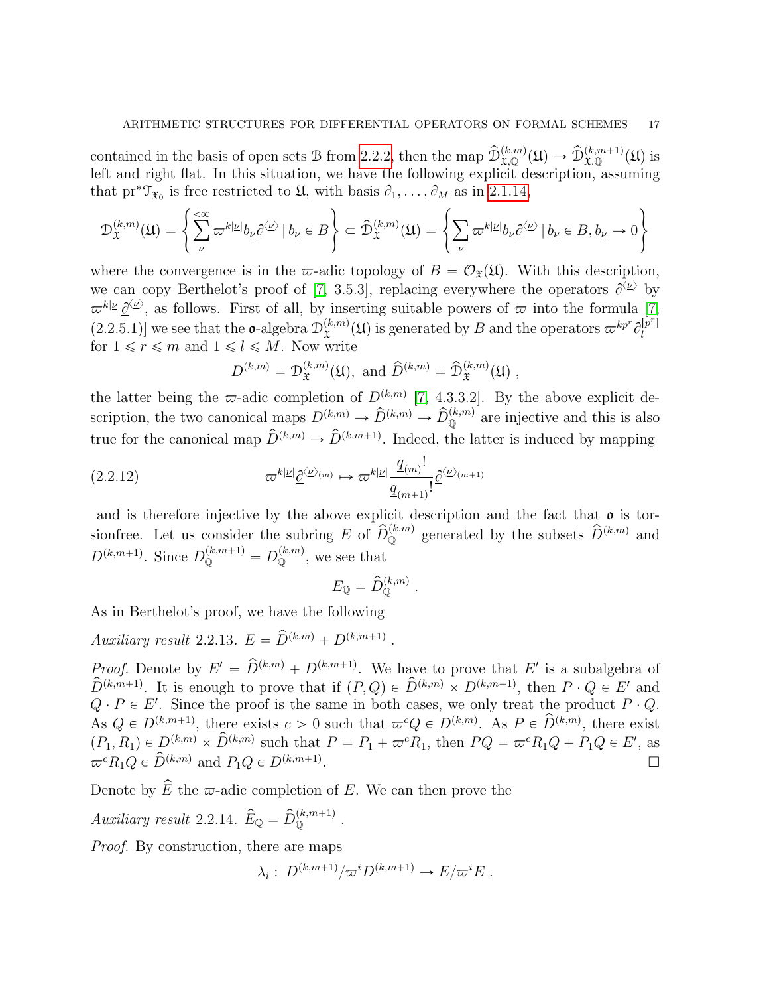contained in the basis of open sets B from [2.2.2,](#page-11-1) then the map  $\hat{\mathcal{D}}_{\mathfrak{X},\mathbb{Q}}^{(k,m)}(\mathfrak{U}) \to \hat{\mathcal{D}}_{\mathfrak{X},\mathbb{Q}}^{(k,m+1)}(\mathfrak{U})$  is left and right flat. In this situation, we have the following explicit description, assuming  $\mathbb{R}^2$ 

that pr<sup>\*</sup>T<sub>x<sub>0</sub></sub> is free restricted to 
$$
\mathfrak{U}
$$
, with basis  $\partial_1, ..., \partial_M$  as in 2.1.14,  
\n
$$
\mathcal{D}_{\mathfrak{X}}^{(k,m)}(\mathfrak{U}) = \left\{ \sum_{\underline{\nu}}^{\infty} \varpi^{k|\underline{\nu}|} b_{\underline{\nu}} \underline{\partial}^{\langle \underline{\nu} \rangle} \mid b_{\underline{\nu}} \in B \right\} \subset \widehat{\mathcal{D}}_{\mathfrak{X}}^{(k,m)}(\mathfrak{U}) = \left\{ \sum_{\underline{\nu}} \varpi^{k|\underline{\nu}|} b_{\underline{\nu}} \underline{\partial}^{\langle \underline{\nu} \rangle} \mid b_{\underline{\nu}} \in B, b_{\underline{\nu}} \to 0 \right\}
$$

where the convergence is in the  $\varpi$ -adic topology of  $B = \mathcal{O}_{\mathfrak{X}}(\mathfrak{U})$ . With this description, we can copy Berthelot's proof of [\[7,](#page-52-1) 3.5.3], replacing everywhere the operators  $\underline{\partial}^{\langle \underline{\nu} \rangle}$  by  $\varpi^{k|\underline{\nu}|}\underline{\partial}^{\langle \underline{\nu}\rangle}$ , as follows. First of all, by inserting suitable powers of  $\varpi$  into the formula [\[7,](#page-52-1)  $(2.2.5.1)$  we see that the **o**-algebra  $\mathcal{D}_{\hat{\tau}}^{(k,m)}$  $\mathcal{L}^{(k,m)}_{\mathfrak{X}}(\mathfrak{U})$  is generated by B and the operators  $\varpi^{kp^r}\partial_l^{[\tilde{p}^r]}$ l for  $1 \le r \le m$  and  $1 \le l \le M$ . Now write

$$
D^{(k,m)} = \mathcal{D}_{\mathfrak{X}}^{(k,m)}(\mathfrak{U}), \text{ and } \widehat{D}^{(k,m)} = \widehat{\mathcal{D}}_{\mathfrak{X}}^{(k,m)}(\mathfrak{U}),
$$

the latter being the  $\varpi$ -adic completion of  $D^{(k,m)}$  [\[7,](#page-52-1) 4.3.3.2]. By the above explicit description, the two canonical maps  $D^{(k,m)} \to \hat{D}^{(k,m)} \to \hat{D}_{\mathbb{Q}}^{(k,m)}$  are injective and this is also true for the canonical map  $\widehat{D}^{(k,m)} \to \widehat{D}^{(k,m+1)}$ . Indeed, the latter is induced by mapping

(2.2.12) 
$$
\varpi^{k|\underline{\nu}|}\underline{\partial}^{\langle \underline{\nu}\rangle_{(m)}} \mapsto \varpi^{k|\underline{\nu}|}\frac{\underline{q}_{(m)}}{\underline{q}_{(m+1)}}\underline{\partial}^{\langle \underline{\nu}\rangle_{(m+1)}}
$$

and is therefore injective by the above explicit description and the fact that  $\rho$  is torsionfree. Let us consider the subring E of  $\hat{D}_0^{(k,m)}$  generated by the subsets  $\hat{D}^{(k,m)}$  and  $D^{(k,m+1)}$ . Since  $D^{(k,m+1)}_{\mathbb{Q}} = D^{(k,m)}_{\mathbb{Q}}$ , we see that

$$
E_{\mathbb{Q}} = \hat{D}_{\mathbb{Q}}^{(k,m)}
$$

.

As in Berthelot's proof, we have the following

Auxiliary result 2.2.13.  $E = \hat{D}^{(k,m)} + D^{(k,m+1)}$ .

*Proof.* Denote by  $E' = \hat{D}^{(k,m)} + D^{(k,m+1)}$ . We have to prove that E' is a subalgebra of  $\widehat{D}^{(k,m+1)}$ . It is enough to prove that if  $(P,Q) \in \widehat{D}^{(k,m)} \times D^{(k,m+1)}$ , then  $P \cdot Q \in E'$  and  $Q \cdot P \in E'$ . Since the proof is the same in both cases, we only treat the product  $P \cdot Q$ . As  $Q \in D^{(k,m+1)}$ , there exists  $c > 0$  such that  $\varpi^{c} Q \in D^{(k,m)}$ . As  $P \in \widehat{D}^{(k,m)}$ , there exist  $p(P_1, R_1) \in D^{(k,m)} \times \widehat{D}^{(k,m)}$  such that  $P = P_1 + \overline{\omega}^c R_1$ , then  $PQ = \overline{\omega}^c R_1 Q + P_1 Q \in E'$ , as  $\varpi^c R_1 Q \in \widehat{D}^{(k,m)}$  and  $P_1 Q \in D^{(k,m+1)}.$ .

Denote by  $\widehat{E}$  the  $\varpi$ -adic completion of E. We can then prove the

Auxiliary result 2.2.14.  $\widehat{E}_{\mathbb{Q}} = \widehat{D}_{\mathbb{Q}}^{(k,m+1)}$ .

Proof. By construction, there are maps

$$
\lambda_i: D^{(k,m+1)}/\varpi^i D^{(k,m+1)} \to E/\varpi^i E.
$$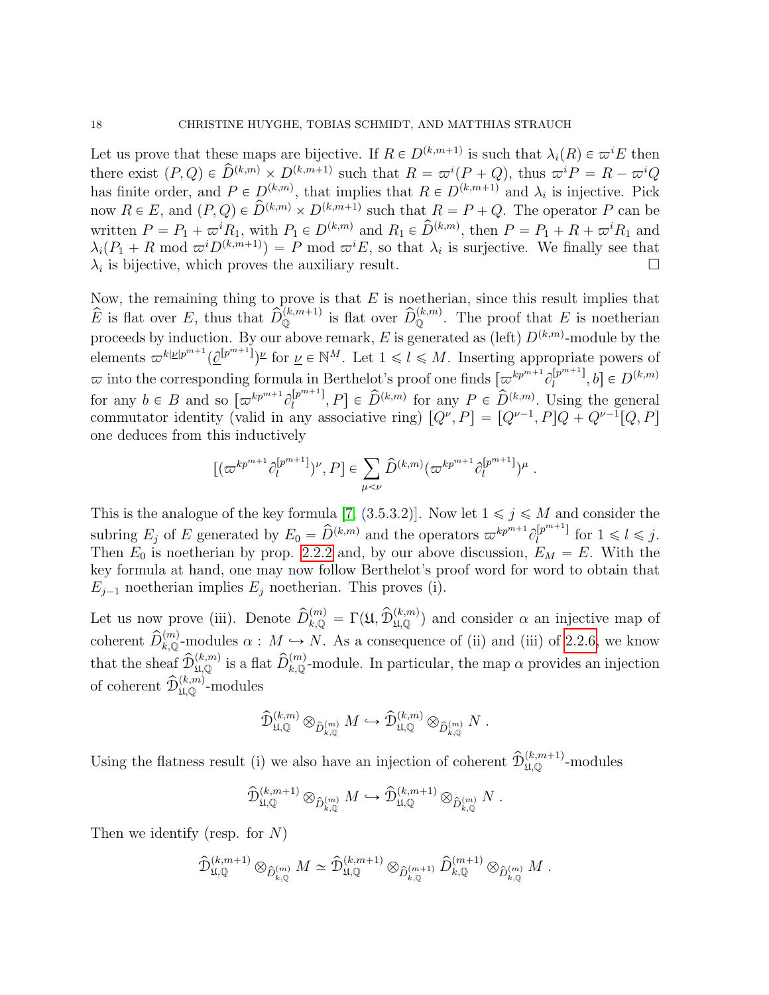Let us prove that these maps are bijective. If  $R \in D^{(k,m+1)}$  is such that  $\lambda_i(R) \in \varpi^iE$  then there exist  $(P,Q) \in \widehat{D}^{(k,m)} \times D^{(k,m+1)}$  such that  $R = \varpi^{i}(P+Q)$ , thus  $\varpi^{i}P = R - \varpi^{i}Q$ has finite order, and  $P \in D^{(k,m)}$ , that implies that  $R \in D^{(k,m+1)}$  and  $\lambda_i$  is injective. Pick now  $R \in E$ , and  $(P,Q) \in \widehat{D}^{(k,m)} \times D^{(k,m+1)}$  such that  $R = P + Q$ . The operator P can be written  $P = P_1 + \varpi^i R_1$ , with  $P_1 \in D^{(k,m)}$  and  $R_1 \in \widehat{D}^{(k,m)}$ , then  $P = P_1 + R + \varpi^i R_1$  and  $\lambda_i(P_1 + R \mod \varpi^i D^{(k,m+1)}) = P \mod \varpi^i E$ , so that  $\lambda_i$  is surjective. We finally see that  $\lambda_i$  is bijective, which proves the auxiliary result.

Now, the remaining thing to prove is that  $E$  is noetherian, since this result implies that  $\hat{E}$  is flat over E, thus that  $\hat{D}_0^{(k,m+1)}$  is flat over  $\hat{D}_0^{(k,m)}$ . The proof that E is noetherian proceeds by induction. By our above remark, E is generated as (left)  $D^{(k,m)}$ -module by the elements  $\varpi^{k|\underline{\nu}|p^{m+1}}(\underline{\partial}^{[p^{m+1}]})^{\underline{\nu}}$  for  $\underline{\nu} \in \mathbb{N}^M$ . Let  $1 \leqslant l \leqslant M$ . Inserting appropriate powers of  $\varpi$  into the corresponding formula in Berthelot's proof one finds  $\left[\varpi^{kp^{m+1}}\partial_l^{[p^{m+1}]} \right]$  $\left[ \begin{matrix} p^{m+1} \end{matrix} \right], b \in D^{(k,m)}$ for any  $b \in B$  and so  $\left[\varpi^{kp^{m+1}}\partial_l^{[p^{m+1}]} \right]$  $\hat{p}_{l}^{[p^{m+1}]}, P] \in \hat{D}^{(k,m)}$  for any  $P \in \hat{D}^{(k,m)}$ . Using the general commutator identity (valid in any associative ring)  $[Q^{\nu}, P] = [Q^{\nu-1}, P]Q + Q^{\nu-1}[Q, P]$ one deduces from this inductively

$$
[(\varpi^{kp^{m+1}}\partial_l^{[p^{m+1}]})^{\nu},P] \in \sum_{\mu < \nu} \widehat{D}^{(k,m)}(\varpi^{kp^{m+1}}\partial_l^{[p^{m+1}]})^{\mu} .
$$

This is the analogue of the key formula [\[7,](#page-52-1) (3.5.3.2)]. Now let  $1 \leq j \leq M$  and consider the subring  $E_j$  of E generated by  $E_0 = \hat{D}^{(k,m)}$  and the operators  $\varpi^{kp^{m+1}} \partial_l^{[p^{m+1}]}$  $\int_l^{\lfloor p^{m+1} \rfloor}$  for  $1 \leq l \leq j$ . Then  $E_0$  is noetherian by prop. [2.2.2](#page-11-1) and, by our above discussion,  $E_M = E$ . With the key formula at hand, one may now follow Berthelot's proof word for word to obtain that  $E_{j-1}$  noetherian implies  $E_j$  noetherian. This proves (i).

Let us now prove (iii). Denote  $\hat{D}_{k,\mathbb{Q}}^{(m)} = \Gamma(\mathfrak{U}, \hat{D}_{\mathfrak{U},\mathbb{Q}}^{(k,m)})$  and consider  $\alpha$  an injective map of coherent  $\widehat{D}_{k,\mathbb{Q}}^{(m)}$ -modules  $\alpha : M \hookrightarrow N$ . As a consequence of (ii) and (iii) of [2.2.6,](#page-13-0) we know that the sheaf  $\hat{\mathcal{D}}_{\mu,Q}^{(k,m)}$  is a flat  $\hat{D}_{k,Q}^{(m)}$ -module. In particular, the map  $\alpha$  provides an injection of coherent  $\widehat{\mathcal{D}}_{\mathfrak{U},\mathbb{Q}}^{(k,m)}$ -modules

$$
\widehat{\mathcal{D}}_{\mathfrak{U},\mathbb{Q}}^{(k,m)} \otimes_{\widehat{D}_{k,\mathbb{Q}}^{(m)}} M \hookrightarrow \widehat{\mathcal{D}}_{\mathfrak{U},\mathbb{Q}}^{(k,m)} \otimes_{\widehat{D}_{k,\mathbb{Q}}^{(m)}} N .
$$

Using the flatness result (i) we also have an injection of coherent  $\hat{\mathcal{D}}_{\mathfrak{U},\mathbb{Q}}^{(k,m+1)}$ -modules

$$
\widehat{\mathcal{D}}_{\mathfrak{U},\mathbb{Q}}^{(k,m+1)} \otimes_{\widehat{D}_{k,\mathbb{Q}}^{(m)}} M \hookrightarrow \widehat{\mathcal{D}}_{\mathfrak{U},\mathbb{Q}}^{(k,m+1)} \otimes_{\widehat{D}_{k,\mathbb{Q}}^{(m)}} N .
$$

Then we identify (resp. for  $N$ )

$$
\widehat{\mathcal{D}}_{\mathfrak{U},\mathbb{Q}}^{(k,m+1)} \otimes_{\widehat{D}_{k,\mathbb{Q}}^{(m)}} M \simeq \widehat{\mathcal{D}}_{\mathfrak{U},\mathbb{Q}}^{(k,m+1)} \otimes_{\widehat{D}_{k,\mathbb{Q}}^{(m+1)}} \widehat{D}_{k,\mathbb{Q}}^{(m+1)} \otimes_{\widehat{D}_{k,\mathbb{Q}}^{(m)}} M.
$$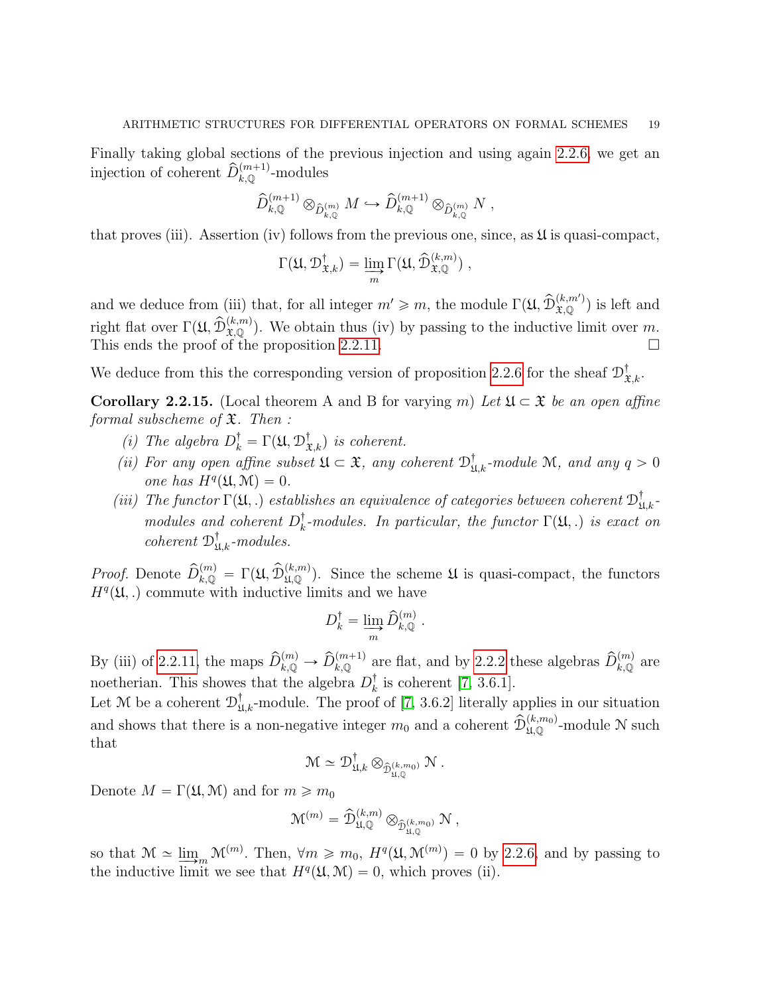Finally taking global sections of the previous injection and using again [2.2.6,](#page-13-0) we get an injection of coherent  $\widehat{D}_{k,\mathbb{Q}}^{(m+1)}$ -modules

$$
\widehat{D}_{k,\mathbb{Q}}^{(m+1)} \otimes_{\widehat{D}_{k,\mathbb{Q}}^{(m)}} M \hookrightarrow \widehat{D}_{k,\mathbb{Q}}^{(m+1)} \otimes_{\widehat{D}_{k,\mathbb{Q}}^{(m)}} N ,
$$

that proves (iii). Assertion (iv) follows from the previous one, since, as  $\mathfrak U$  is quasi-compact,

$$
\Gamma(\mathfrak{U}, \mathcal{D}^{\dagger}_{\mathfrak{X},k}) = \varinjlim_{m} \Gamma(\mathfrak{U}, \widehat{\mathcal{D}}_{\mathfrak{X},\mathbb{Q}}^{(k,m)}) ,
$$

and we deduce from (iii) that, for all integer  $m' \geq m$ , the module  $\Gamma(\mathfrak{U}, \widehat{\mathcal{D}}_{\mathfrak{X},\mathbb{Q}}^{(k,m')})$  is left and right flat over  $\Gamma(\mathfrak{U}, \widehat{\mathcal{D}}_{\mathfrak{X},\mathbb{Q}}^{(k,m)})$ . We obtain thus (iv) by passing to the inductive limit over m. This ends the proof of the proposition [2.2.11.](#page-15-1)

We deduce from this the corresponding version of proposition [2.2.6](#page-13-0) for the sheaf  $\mathcal{D}^{\dagger}_{\mathfrak{X},k}$ .

<span id="page-18-0"></span>**Corollary 2.2.15.** (Local theorem A and B for varying m) Let  $\mathfrak{U} \subset \mathfrak{X}$  be an open affine formal subscheme of  $\mathfrak{X}$ . Then :

- (i) The algebra  $D_k^{\dagger} = \Gamma(\mathfrak{U}, \mathcal{D}_{\mathfrak{X},k}^{\dagger})$  is coherent.
- (ii) For any open affine subset  $\mathfrak{U} \subset \mathfrak{X}$ , any coherent  $\mathfrak{D}^{\dagger}_{\mathfrak{U},k}$ -module M, and any  $q > 0$ one has  $H^q(\mathfrak{U}, \mathfrak{M}) = 0.$
- (iii) The functor  $\Gamma(\mathfrak{U},.)$  establishes an equivalence of categories between coherent  $\mathfrak{D}^\dagger_{\mathfrak{U},k}$ modules and coherent  $D_k^{\dagger}$  $\frac{1}{k}$ -modules. In particular, the functor  $\Gamma(\mathfrak{U},.)$  is exact on coherent  $\mathcal{D}^{\dagger}_{\mathfrak{U},k}$ -modules.

*Proof.* Denote  $\hat{D}_{k,\mathbb{Q}}^{(m)} = \Gamma(\mathfrak{U}, \hat{D}_{\mathfrak{U},\mathbb{Q}}^{(k,m)})$ . Since the scheme  $\mathfrak{U}$  is quasi-compact, the functors  $H<sup>q</sup>(\mathfrak{U},.)$  commute with inductive limits and we have

$$
D^{\dagger}_k = \varinjlim_{m} \widehat{D}^{(m)}_{k,{\mathbb{Q}}} \ .
$$

By (iii) of [2.2.11,](#page-15-1) the maps  $\widehat{D}_{k,\mathbb{Q}}^{(m)} \to \widehat{D}_{k,\mathbb{Q}}^{(m+1)}$  are flat, and by [2.2.2](#page-11-1) these algebras  $\widehat{D}_{k,\mathbb{Q}}^{(m)}$  are noetherian. This showes that the algebra  $D_k^{\dagger}$  $\frac{1}{k}$  is coherent [\[7,](#page-52-1) 3.6.1].

Let M be a coherent  $\mathcal{D}^{\dagger}_{\mathfrak{U},k}$ -module. The proof of [\[7,](#page-52-1) 3.6.2] literally applies in our situation and shows that there is a non-negative integer  $m_0$  and a coherent  $\widehat{\mathcal{D}}_{\mathfrak{U},\mathbb{Q}}^{(k,m_0)}$ -module N such that

$$
\mathcal{M} \simeq \mathcal{D}^{\dagger}_{\mathfrak{U},k} \otimes_{\widehat{\mathcal{D}}_{\mathfrak{U},\mathbb{Q}}^{(k,m_0)}} \mathcal{N} .
$$

Denote  $M = \Gamma(\mathfrak{U}, \mathfrak{M})$  and for  $m \geq m_0$ 

$$
\mathfrak{M}^{(m)}=\widehat{\mathcal{D}}_{\mathfrak{U},\mathbb{Q}}^{(k,m)}\otimes_{\widehat{\mathcal{D}}_{\mathfrak{U},\mathbb{Q}}^{(k,m_0)}}\mathfrak{N}\ ,
$$

so that  $\mathcal{M} \simeq \lim_{m \to \infty} \mathcal{M}^{(m)}$ . Then,  $\forall m \geq m_0$ ,  $H^q(\mathfrak{U}, \mathfrak{M}^{(m)}) = 0$  by [2.2.6,](#page-13-0) and by passing to the inductive limit we see that  $H^q(\mathfrak{U}, \mathfrak{M}) = 0$ , which proves (ii).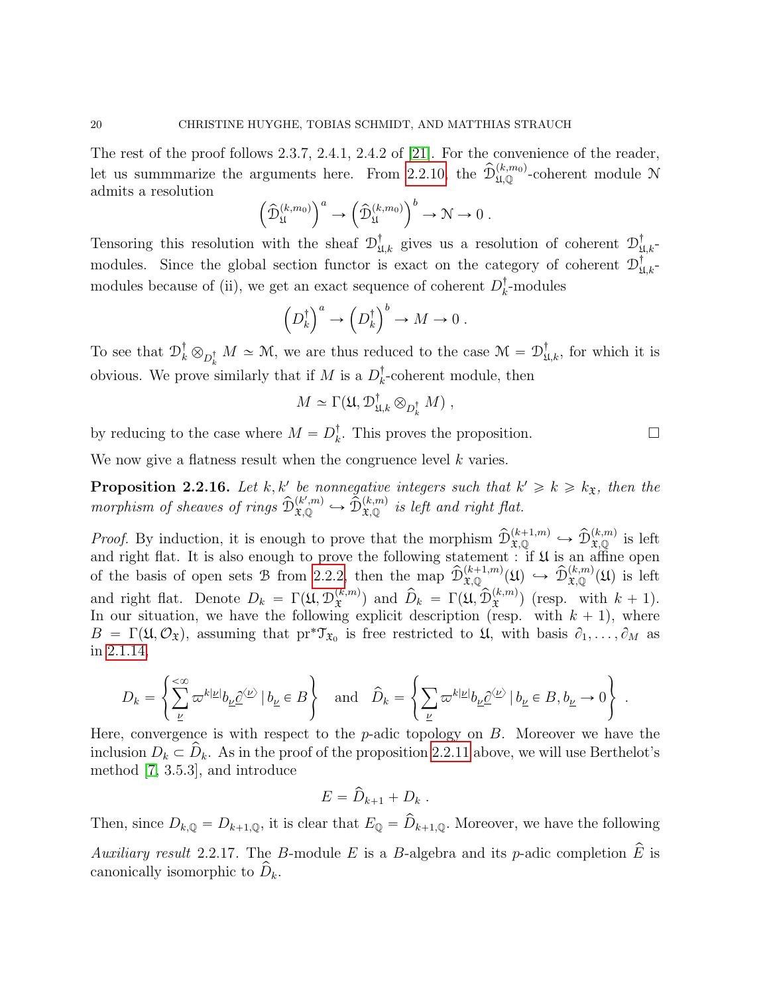The rest of the proof follows 2.3.7, 2.4.1, 2.4.2 of [\[21\]](#page-52-2). For the convenience of the reader, let us summmarize the arguments here. From [2.2.10,](#page-15-2) the  $\hat{\mathcal{D}}_{\mathfrak{U},\mathbb{Q}}^{(k,m_0)}$ -coherent module N admits a resolution  $\mathbf{r}$  $\sqrt{a}$  $\sqrt{b}$ 

$$
\left(\widehat{\mathcal{D}}_{\mathfrak{U}}^{(k,m_0)}\right)^a \to \left(\widehat{\mathcal{D}}_{\mathfrak{U}}^{(k,m_0)}\right)^b \to \mathcal{N} \to 0.
$$

Tensoring this resolution with the sheaf  $\mathcal{D}^{\dagger}_{\mathfrak{U},k}$  gives us a resolution of coherent  $\mathcal{D}^{\dagger}_{\mathfrak{U},k}$ modules. Since the global section functor is exact on the category of coherent  $\mathcal{D}^{\dagger}_{\mathfrak{U},k}$ modules because of (ii), we get an exact sequence of coherent  $D_{k}^{\dagger}$  $_{k}^{T}$ -modules

$$
\left(D_k^{\dagger}\right)^a \to \left(D_k^{\dagger}\right)^b \to M \to 0.
$$

To see that  $\mathcal{D}_k^{\dagger} \otimes_{D_k^{\dagger}} M \simeq \mathcal{M}$ , we are thus reduced to the case  $\mathcal{M} = \mathcal{D}^{\dagger}_{\mathfrak{U},k}$ , for which it is obvious. We prove similarly that if M is a  $D_k^{\dagger}$  $\bar{k}$ -coherent module, then

$$
M \simeq \Gamma(\mathfrak{U}, \mathcal{D}^{\dagger}_{\mathfrak{U},k} \otimes_{D^{\dagger}_k} M) ,
$$

by reducing to the case where  $M = D_k^{\dagger}$  $\frac{1}{k}$ . This proves the proposition.  $\square$ 

We now give a flatness result when the congruence level k varies.

<span id="page-19-0"></span>**Proposition 2.2.16.** Let k, k' be nonnegative integers such that  $k' \geq k \geq k_{\mathfrak{X}}$ , then the morphism of sheaves of rings  $\widehat{\mathcal{D}}_{\mathfrak{X},\mathbb{Q}}^{(k',m)} \hookrightarrow \widehat{\mathcal{D}}_{\mathfrak{X},\mathbb{Q}}^{(k,m)}$  is left and right flat.

*Proof.* By induction, it is enough to prove that the morphism  $\widehat{\mathcal{D}}_{\mathfrak{X},\mathbb{Q}}^{(k+1,m)} \hookrightarrow \widehat{\mathcal{D}}_{\mathfrak{X},\mathbb{Q}}^{(k,m)}$  is left and right flat. It is also enough to prove the following statement : if  $\mathfrak U$  is an affine open of the basis of open sets B from [2.2.2,](#page-11-1) then the map  $\widehat{\mathcal{D}}_{\mathfrak{X},\mathbb{Q}}^{(k+1,m)}(\mathfrak{U}) \hookrightarrow \widehat{\mathcal{D}}_{\mathfrak{X},\mathbb{Q}}^{(k,m)}(\mathfrak{U})$  is left and right flat. Denote  $D_k = \Gamma(\mathfrak{U}, \mathcal{D}_{\mathfrak{X}}^{(k,m)})$  $(\mathbf{x},m)$  and  $\widehat{D}_k = \Gamma(\mathfrak{U}, \widehat{D}_{\mathfrak{X}}^{(k,m)})$  (resp. with  $k + 1$ ). In our situation, we have the following explicit description (resp. with  $k + 1$ ), where  $B = \Gamma(\mathfrak{U}, \mathcal{O}_{\mathfrak{X}})$ , assuming that  ${\rm pr}^*\mathfrak{T}_{\mathfrak{X}_0}$  is free restricted to  $\mathfrak{U}$ , with basis  $\partial_1, \ldots, \partial_M$  as in [2.1.14,](#page-11-2)

$$
D_k=\left\{\sum_\nu^{\!\!<\!\infty}\varpi^{k|\underline{\nu}|}b_{\underline{\nu}}\underline{\partial}^{\langle\underline{\nu}\rangle}\,|\,b_{\underline{\nu}}\in B\right\}\quad\text{and}\quad \widehat{D}_k=\left\{\sum_\underline{\nu}\varpi^{k|\underline{\nu}|}b_{\underline{\nu}}\underline{\partial}^{\langle\underline{\nu}\rangle}\,|\,b_{\underline{\nu}}\in B,b_{\underline{\nu}}\to 0\right\}\;.
$$

Here, convergence is with respect to the  $p$ -adic topology on  $B$ . Moreover we have the inclusion  $D_k \subset \hat{D}_k$ . As in the proof of the proposition [2.2.11](#page-15-1) above, we will use Berthelot's method [\[7,](#page-52-1) 3.5.3], and introduce

$$
E=\widehat{D}_{k+1}+D_k.
$$

Then, since  $D_{k,\mathbb{Q}} = D_{k+1,\mathbb{Q}}$ , it is clear that  $E_{\mathbb{Q}} = \widehat{D}_{k+1,\mathbb{Q}}$ . Moreover, we have the following Auxiliary result 2.2.17. The B-module E is a B-algebra and its p-adic completion  $\hat{E}$  is canonically isomorphic to  $D_k$ .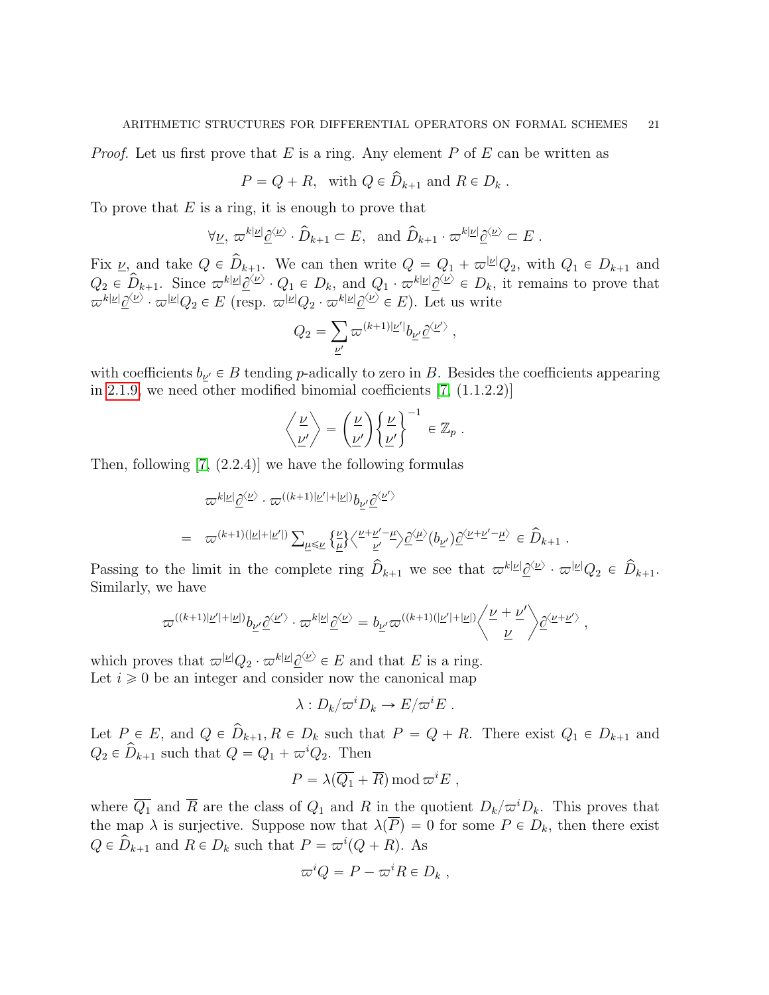*Proof.* Let us first prove that E is a ring. Any element P of E can be written as

$$
P = Q + R, \text{ with } Q \in \hat{D}_{k+1} \text{ and } R \in D_k .
$$

To prove that  $E$  is a ring, it is enough to prove that

$$
\forall \underline{\nu}, \ \varpi^{k|\underline{\nu}|} \underline{\partial}^{\langle \underline{\nu} \rangle} \cdot \widehat{D}_{k+1} \subset E, \ \ \text{and} \ \widehat{D}_{k+1} \cdot \varpi^{k|\underline{\nu}|} \underline{\partial}^{\langle \underline{\nu} \rangle} \subset E \ .
$$

Fix  $\nu$ , and take  $Q \in \hat{D}_{k+1}$ . We can then write  $Q = Q_1 + \varpi^{|\nu|}Q_2$ , with  $Q_1 \in D_{k+1}$  and  $Q_2 \in \widehat{D}_{k+1}$ . Since  $\varpi^{k} \downarrow \underline{\varphi^{(k)}}$   $\cdot Q_1 \in D_k$ , and  $Q_1 \cdot \varpi^{k} \downarrow \underline{\varphi^{(k)}} \in D_k$ , it remains to prove that  $\varpi^{k|\underline{\nu}|}\underline{\partial}^{\langle \underline{\nu} \rangle} \cdot \varpi^{|\underline{\nu}|}Q_2 \in E$  (resp.  $\varpi^{|\underline{\nu}|}Q_2 \cdot \varpi^{k|\underline{\nu}|}\underline{\partial}^{\langle \underline{\nu} \rangle} \in E$ ). Let us write

$$
Q_2 = \sum_{\underline{\nu}'} \varpi^{(k+1)|\underline{\nu}'|} b_{\underline{\nu}'} \underline{\partial}^{\langle \underline{\nu}' \rangle} \; ,
$$

with coefficients  $b_{\underline{\nu}'} \in B$  tending p-adically to zero in B. Besides the coefficients appearing in [2.1.9,](#page-8-0) we need other modified binomial coefficients [\[7,](#page-52-1) (1.1.2.2)]

$$
\left\langle \frac{\nu}{\nu'} \right\rangle = \left( \frac{\nu}{\nu'} \right) \left\{ \frac{\nu}{\nu'} \right\}^{-1} \in \mathbb{Z}_p .
$$

Then, following [\[7,](#page-52-1) (2.2.4)] we have the following formulas

$$
\label{eq:2.1} \begin{array}{ll} & \displaystyle \varpi^{k|\underline{\nu}|}\underline{\partial}^{\langle \underline{\nu} \rangle} \cdot \varpi^{((k+1)|\underline{\nu}'|+|\underline{\nu}|)}b_{\underline{\nu}'}\underline{\partial}^{\langle \underline{\nu}' \rangle} \\ \\ = & \displaystyle \varpi^{(k+1)(|\underline{\nu}|+|\underline{\nu}'|)} \sum_{\underline{\mu} \leqslant \underline{\nu}} \big\{ \underline{\underline{\nu}} \big\} \big\langle \tfrac{\nu + \underline{\nu}' - \underline{\mu}}{\underline{\nu}'} \big\rangle \underline{\partial}^{\langle \underline{\mu} \rangle} (b_{\underline{\nu}'})\underline{\partial}^{\langle \underline{\nu} + \underline{\nu}' - \underline{\mu} \rangle} \in \hat{D}_{k+1} \; . \end{array}
$$

Passing to the limit in the complete ring  $\hat{D}_{k+1}$  we see that  $\varpi^{k|\underline{\nu}|}\underline{\partial}^{\langle \underline{\nu} \rangle} \cdot \varpi^{|\underline{\nu}|}Q_2 \in \hat{D}_{k+1}$ . Similarly, we have

$$
\varpi^{((k+1)|\underline{\nu}'|+|\underline{\nu}|)}b_{\underline{\nu}'}\underline{\partial}^{\langle \underline{\nu}' \rangle} \cdot \varpi^{k|\underline{\nu}|}\underline{\partial}^{\langle \underline{\nu} \rangle} = b_{\underline{\nu}'}\varpi^{((k+1)(|\underline{\nu}'|+|\underline{\nu}|)} \left\langle \frac{\underline{\nu}+\underline{\nu}'}{\underline{\nu}} \right\rangle \underline{\partial}^{\langle \underline{\nu}+\underline{\nu}' \rangle} ,
$$

which proves that  $\varpi^{|\underline{\nu}|} Q_2 \cdot \varpi^{k|\underline{\nu}|} \underline{\partial}^{\langle \underline{\nu} \rangle} \in E$  and that E is a ring. Let  $i \geq 0$  be an integer and consider now the canonical map

$$
\lambda: D_k/\varpi^i D_k \to E/\varpi^i E.
$$

Let  $P \in E$ , and  $Q \in \hat{D}_{k+1}, R \in D_k$  such that  $P = Q + R$ . There exist  $Q_1 \in D_{k+1}$  and  $Q_2 \in \hat{D}_{k+1}$  such that  $Q = Q_1 + \varpi^i Q_2$ . Then

$$
P = \lambda(\overline{Q_1} + \overline{R}) \bmod \varpi^i E ,
$$

where  $\overline{Q_1}$  and  $\overline{R}$  are the class of  $Q_1$  and R in the quotient  $D_k/\varpi^iD_k$ . This proves that the map  $\lambda$  is surjective. Suppose now that  $\lambda(\overline{P})=0$  for some  $P \in D_k$ , then there exist  $Q \in \widehat{D}_{k+1}$  and  $R \in D_k$  such that  $P = \varpi^i(Q + R)$ . As

$$
\varpi^i Q = P - \varpi^i R \in D_k ,
$$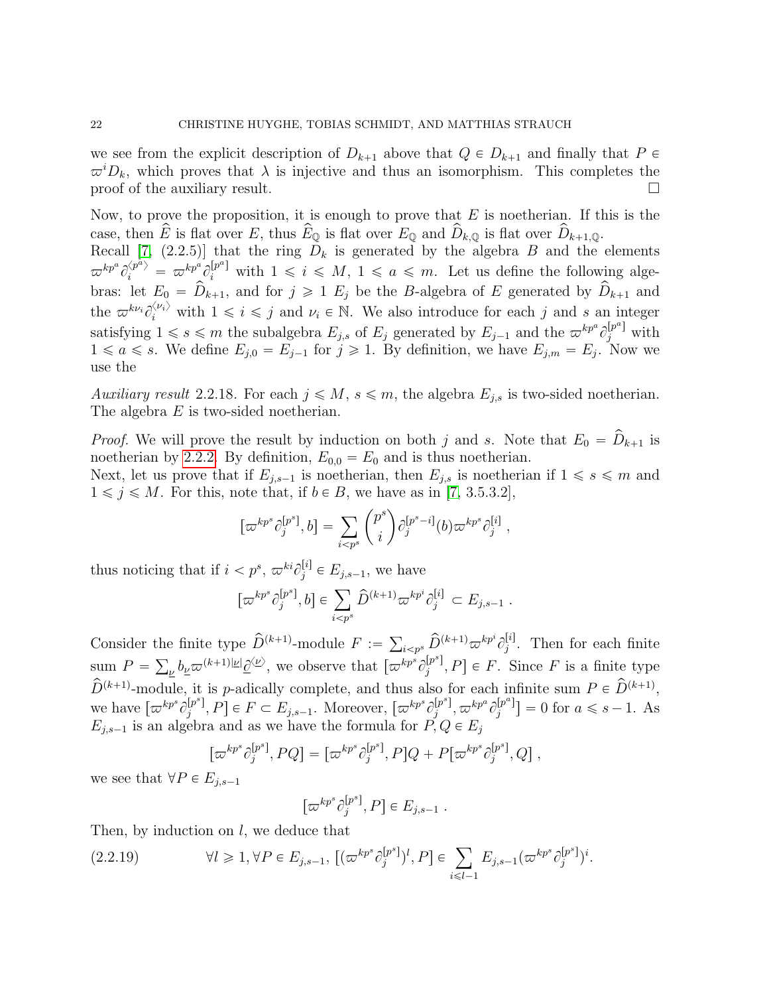we see from the explicit description of  $D_{k+1}$  above that  $Q \in D_{k+1}$  and finally that  $P \in$  $\varpi^{i}D_{k}$ , which proves that  $\lambda$  is injective and thus an isomorphism. This completes the proof of the auxiliary result.  $\Box$ 

Now, to prove the proposition, it is enough to prove that  $E$  is noetherian. If this is the case, then  $\hat{E}$  is flat over E, thus  $\hat{E}_{\mathbb{Q}}$  is flat over  $E_{\mathbb{Q}}$  and  $\hat{D}_{k,\mathbb{Q}}$  is flat over  $\hat{D}_{k+1,\mathbb{Q}}$ .

Recall [\[7,](#page-52-1) (2.2.5)] that the ring  $D_k$  is generated by the algebra B and the elements  $\varpi^{kp^a}\hat{c}_i^{\langle p^a\rangle} = \varpi^{kp^a}\hat{c}_i^{[p^a]}$  with  $1 \leqslant i \leqslant M, 1 \leqslant a \leqslant m$ . Let us define the following algebras: let  $E_0 = \hat{D}_{k+1}$ , and for  $j \ge 1$   $E_j$  be the B-algebra of E generated by  $\hat{D}_{k+1}$  and the  $\varpi^{k\nu_i}\partial_i^{\langle\nu_i\rangle}$  with  $1 \leq i \leq j$  and  $\nu_i \in \mathbb{N}$ . We also introduce for each j and s an integer satisfying  $1 \leqslant s \leqslant m$  the subalgebra  $E_{j,s}$  of  $E_j$  generated by  $E_{j-1}$  and the  $\varpi^{kp^a} \partial_j^{[p^a]}$  with  $1 \le a \le s$ . We define  $E_{j,0} = E_{j-1}$  for  $j \ge 1$ . By definition, we have  $E_{j,m} = E_j$ . Now we use the

Auxiliary result 2.2.18. For each  $j \leq M$ ,  $s \leq m$ , the algebra  $E_{i,s}$  is two-sided noetherian. The algebra E is two-sided noetherian.

*Proof.* We will prove the result by induction on both j and s. Note that  $E_0 = \hat{D}_{k+1}$  is noetherian by [2.2.2.](#page-11-1) By definition,  $E_{0,0} = E_0$  and is thus noetherian.

Next, let us prove that if  $E_{j,s-1}$  is noetherian, then  $E_{j,s}$  is noetherian if  $1 \le s \le m$  and  $1 \leq j \leq M$ . For this, note that, if  $b \in B$ , we have as in [\[7,](#page-52-1) 3.5.3.2],

$$
[\varpi^{kp^s}\partial_j^{[p^s]},b] = \sum_{i
$$

thus noticing that if  $i < p^s$ ,  $\varpi^{ki}\partial_j^{[i]} \in E_{j,s-1}$ , we have

$$
[\varpi^{kp^{s}} \partial_{j}^{[p^{s}]}, b] \in \sum_{i < p^{s}} \widehat{D}^{(k+1)} \varpi^{kp^{i}} \partial_{j}^{[i]} \subset E_{j,s-1} .
$$

Consider the finite type  $\widehat{D}^{(k+1)}$ -module  $F :=$  $\hat{D}^{(k+1)}\varpi^{kp^i}\hat{\mathcal{O}}_j^{[i]}$ the finite type  $D^{(k+1)}$ -module  $F := \sum_{i \leq p^s} D^{(k+1)} \varpi^{kp^s} \partial_j^{[i]}$ . Then for each finite sum  $P = \sum_{\nu} b_{\nu} \overline{\omega}^{(k+1)|\nu|} \underline{\partial}^{\langle \nu \rangle}$ , we observe that  $[\overline{\omega}^{kp^s} \partial_j^{[p^s]}]$  $[p<sup>r<sub>j</sub></sup>, P] \in F$ . Since F is a finite type  $\hat{D}^{(k+1)}$ -module, it is p-adically complete, and thus also for each infinite sum  $P \in \hat{D}^{(k+1)}$ , we have  $\left[\varpi^{kp^s}\hat{\partial}_i^{[p^s]}\right]$  $[p^s], P] \in F \subset E_{j,s-1}$ . Moreover,  $[\varpi^{kp^s} \partial_j^{[p^s]}]$  $\bar{p}^s]_j \varpi^{kp^a} \partial_j^{[p^a]}$  $\begin{bmatrix} [p^{-1}] \\ j \end{bmatrix} = 0$  for  $a \leq s - 1$ . As  $E_{j,s-1}$  is an algebra and as we have the formula for  $P, Q \in E_j$ 

<span id="page-21-0"></span>
$$
[\varpi^{kp^s}\partial_j^{[p^s]}, PQ] = [\varpi^{kp^s}\partial_j^{[p^s]}, P]Q + P[\varpi^{kp^s}\partial_j^{[p^s]}, Q],
$$

we see that  $\forall P \in E_{i,s-1}$ 

$$
[\varpi^{kp^s}\partial_j^{[p^s]},P] \in E_{j,s-1} .
$$

Then, by induction on l, we deduce that

(2.2.19) 
$$
\forall l \geq 1, \forall P \in E_{j,s-1}, \left[ (\varpi^{kp^s} \partial_j^{[p^s]})^l, P \right] \in \sum_{i \leq l-1} E_{j,s-1} (\varpi^{kp^s} \partial_j^{[p^s]})^i.
$$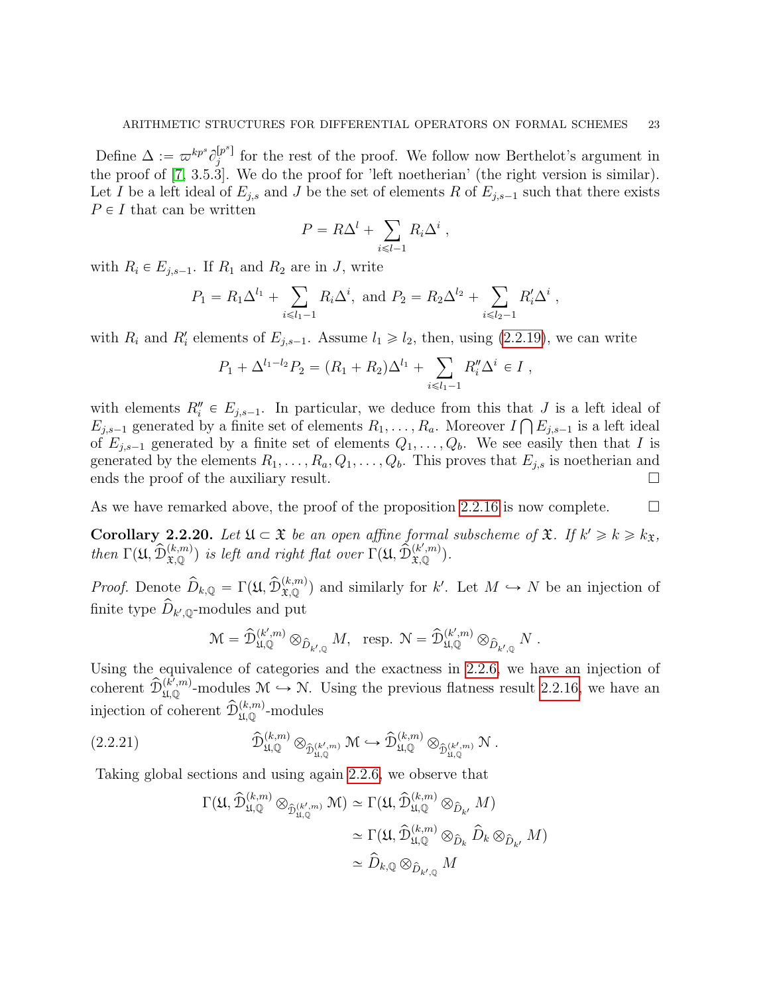Define  $\Delta := \varpi^{kp^s} \partial_i^{[p^s]}$  $j^{\{p^{\omega}\}}$  for the rest of the proof. We follow now Berthelot's argument in the proof of [\[7,](#page-52-1) 3.5.3]. We do the proof for 'left noetherian' (the right version is similar). Let I be a left ideal of  $E_{i,s}$  and J be the set of elements R of  $E_{i,s-1}$  such that there exists  $P \in I$  that can be written

$$
P = R\Delta^l + \sum_{i \leq l-1} R_i \Delta^i ,
$$

with  $R_i \in E_{j,s-1}$ . If  $R_1$  and  $R_2$  are in J, write

$$
P_1 = R_1 \Delta^{l_1} + \sum_{i \le l_1 - 1} R_i \Delta^i
$$
, and  $P_2 = R_2 \Delta^{l_2} + \sum_{i \le l_2 - 1} R'_i \Delta^i$ ,

with  $R_i$  and  $R'_i$  elements of  $E_{j,s-1}$ . Assume  $l_1 \geq l_2$ , then, using [\(2.2.19\)](#page-21-0), we can write

$$
P_1 + \Delta^{l_1-l_2} P_2 = (R_1 + R_2) \Delta^{l_1} + \sum_{i \le l_1-1} R''_i \Delta^i \in I,
$$

with elements  $R''_i \in E_{j,s-1}$ . In particular, we deduce from this that J is a left ideal of  $E_{j,s-1}$  generated by a finite set of elements  $R_1, \ldots, R_a$ . Moreover  $I \bigcap E_{j,s-1}$  is a left ideal of  $E_{j,s-1}$  generated by a finite set of elements  $Q_1, \ldots, Q_b$ . We see easily then that I is generated by the elements  $R_1, \ldots, R_a, Q_1, \ldots, Q_b$ . This proves that  $E_{j,s}$  is noetherian and ends the proof of the auxiliary result.

As we have remarked above, the proof of the proposition [2.2.16](#page-19-0) is now complete.  $\Box$ 

<span id="page-22-1"></span>**Corollary 2.2.20.** Let  $\mathfrak{U} \subset \mathfrak{X}$  be an open affine formal subscheme of  $\mathfrak{X}$ . If  $k' \geq k \geq k_{\mathfrak{X}}$ , then  $\Gamma(\mathfrak{U}, \widehat{\mathcal{D}}_{\mathfrak{X},\mathbb{Q}}^{(k,m)})$  is left and right flat over  $\Gamma(\mathfrak{U}, \widehat{\mathcal{D}}_{\mathfrak{X},\mathbb{Q}}^{(k',m)})$ .

*Proof.* Denote  $\widehat{D}_{k,\mathbb{Q}} = \Gamma(\mathfrak{U}, \widehat{D}_{\mathfrak{X},\mathbb{Q}}^{(k,m)})$  and similarly for k'. Let  $M \hookrightarrow N$  be an injection of finite type  $\widehat{D}_{k',\mathbb{Q}}$ -modules and put

$$
\mathcal{M} = \widehat{\mathcal{D}}_{\mathfrak{U}, \mathbb{Q}}^{(k',m)} \otimes_{\widehat{D}_{k', \mathbb{Q}}} M, \ \ \text{resp. } \mathcal{N} = \widehat{\mathcal{D}}_{\mathfrak{U}, \mathbb{Q}}^{(k',m)} \otimes_{\widehat{D}_{k', \mathbb{Q}}} N \ .
$$

Using the equivalence of categories and the exactness in [2.2.6,](#page-13-0) we have an injection of coherent  $\widehat{\mathcal{D}}_{\mathfrak{U},\mathbb{Q}}^{(k',m)}$ -modules  $\mathcal{M} \hookrightarrow \mathcal{N}$ . Using the previous flatness result [2.2.16,](#page-19-0) we have an injection of coherent  $\widehat{\mathcal{D}}_{\mathfrak{U},\mathbb{Q}}^{(k,m)}$ -modules

(2.2.21) 
$$
\widehat{\mathcal{D}}_{\mathfrak{U},\mathbb{Q}}^{(k,m)} \otimes_{\widehat{\mathcal{D}}_{\mathfrak{U},\mathbb{Q}}^{(k',m)}} \mathcal{M} \hookrightarrow \widehat{\mathcal{D}}_{\mathfrak{U},\mathbb{Q}}^{(k,m)} \otimes_{\widehat{\mathcal{D}}_{\mathfrak{U},\mathbb{Q}}^{(k',m)}} \mathcal{N}.
$$

Taking global sections and using again [2.2.6,](#page-13-0) we observe that

<span id="page-22-0"></span>
$$
\begin{split} \Gamma(\mathfrak{U},\widehat{\mathcal{D}}^{(k,m)}_{\mathfrak{U},\mathbb{Q}}\otimes_{\widehat{\mathcal{D}}^{(k',m)}_{\mathfrak{U},\mathbb{Q}}}\mathfrak{M})&\simeq \Gamma(\mathfrak{U},\widehat{\mathcal{D}}^{(k,m)}_{\mathfrak{U},\mathbb{Q}}\otimes_{\widehat{D}_{k'}}M)\\ &\simeq \Gamma(\mathfrak{U},\widehat{\mathcal{D}}^{(k,m)}_{\mathfrak{U},\mathbb{Q}}\otimes_{\widehat{D}_{k}}\widehat{D}_{k}\otimes_{\widehat{D}_{k'}}M)\\ &\simeq \widehat{D}_{k,\mathbb{Q}}\otimes_{\widehat{D}_{k',\mathbb{Q}}}M \end{split}
$$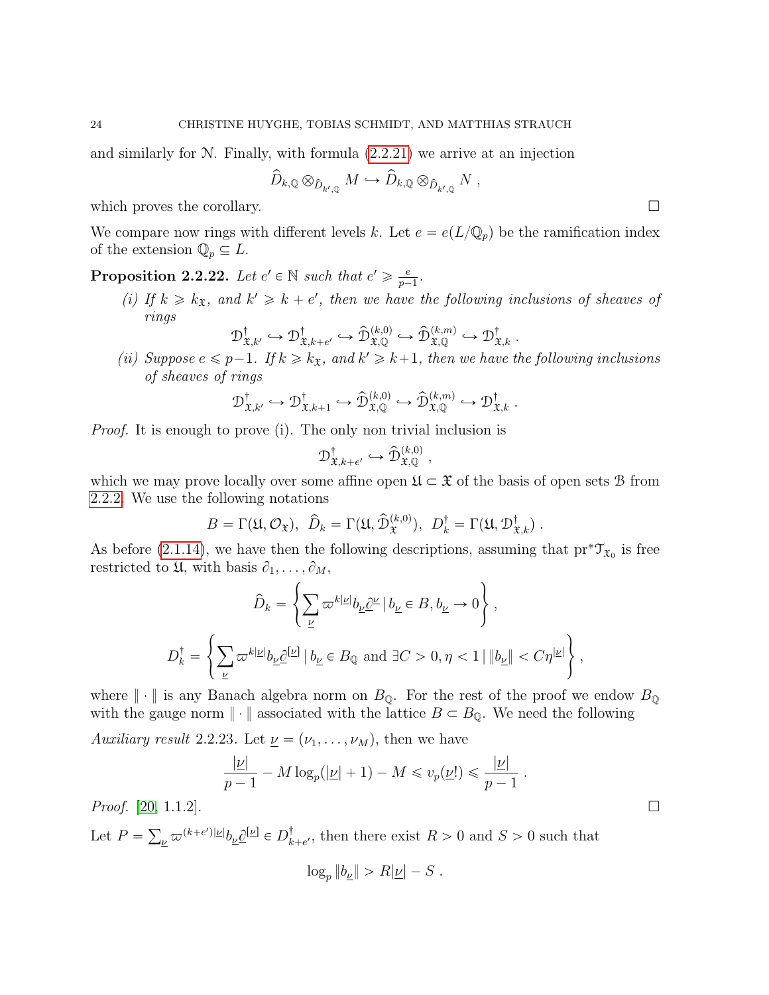and similarly for N. Finally, with formula [\(2.2.21\)](#page-22-0) we arrive at an injection

$$
\widehat{D}_{k,\mathbb{Q}} \otimes_{\widehat{D}_{k',\mathbb{Q}}} M \hookrightarrow \widehat{D}_{k,\mathbb{Q}} \otimes_{\widehat{D}_{k',\mathbb{Q}}} N ,
$$

which proves the corollary.  $\Box$ 

We compare now rings with different levels k. Let  $e = e(L/\mathbb{Q}_p)$  be the ramification index of the extension  $\mathbb{Q}_p \subseteq L$ .

<span id="page-23-0"></span>**Proposition 2.2.22.** Let  $e' \in \mathbb{N}$  such that  $e' \geq \frac{e}{n}$  $\frac{e}{p-1}$ .

(i) If  $k \geq k_{\mathfrak{X}}$ , and  $k' \geq k + e'$ , then we have the following inclusions of sheaves of rings

$$
\mathcal{D}^{\dagger}_{\mathfrak{X},k'} \hookrightarrow \mathcal{D}^{\dagger}_{\mathfrak{X},k+e'} \hookrightarrow \widehat{\mathcal{D}}^{(k,0)}_{\mathfrak{X},\mathbb{Q}} \hookrightarrow \widehat{\mathcal{D}}^{(k,m)}_{\mathfrak{X},\mathbb{Q}} \hookrightarrow \mathcal{D}^{\dagger}_{\mathfrak{X},k}.
$$

(ii) Suppose  $e \leq p-1$ . If  $k \geq k_{\mathfrak{X}}$ , and  $k' \geq k+1$ , then we have the following inclusions of sheaves of rings

$$
\mathcal{D}^{\dagger}_{\mathfrak{X},k'} \hookrightarrow \mathcal{D}^{\dagger}_{\mathfrak{X},k+1} \hookrightarrow \widehat{\mathcal{D}}^{(k,0)}_{\mathfrak{X},\mathbb{Q}} \hookrightarrow \widehat{\mathcal{D}}^{(k,m)}_{\mathfrak{X},\mathbb{Q}} \hookrightarrow \mathcal{D}^{\dagger}_{\mathfrak{X},k}.
$$

Proof. It is enough to prove (i). The only non trivial inclusion is

$$
\mathcal{D}^{\dagger}_{\mathfrak{X},k+e'} \hookrightarrow \widehat{\mathcal{D}}^{(k,0)}_{\mathfrak{X},\mathbb{Q}}\;,
$$

which we may prove locally over some affine open  $\mathfrak{U} \subset \mathfrak{X}$  of the basis of open sets B from [2.2.2.](#page-11-1) We use the following notations

$$
B = \Gamma(\mathfrak{U}, \mathcal{O}_{\mathfrak{X}}), \ \hat{D}_k = \Gamma(\mathfrak{U}, \hat{\mathcal{D}}_{\mathfrak{X}}^{(k,0)}), \ D_k^{\dagger} = \Gamma(\mathfrak{U}, \mathcal{D}_{\mathfrak{X},k}^{\dagger}).
$$

As before [\(2.1.14\)](#page-11-2), we have then the following descriptions, assuming that  $pr^*\mathcal{T}_{\mathfrak{X}_0}$  is free restricted to  $\mathfrak{U}$ , with basis  $\partial_1, \ldots, \partial_M$ ,  $\frac{1}{2}$ 

$$
\widehat{D}_k = \left\{ \sum_{\underline{\nu}} \varpi^{k|\underline{\nu}|} b_{\underline{\nu}} \underline{\partial}^{\underline{\nu}} \mid b_{\underline{\nu}} \in B, b_{\underline{\nu}} \to 0 \right\},
$$
  

$$
D_k^{\dagger} = \left\{ \sum_{\underline{\nu}} \varpi^{k|\underline{\nu}|} b_{\underline{\nu}} \underline{\partial}^{[\underline{\nu}]} \mid b_{\underline{\nu}} \in B_{\mathbb{Q}} \text{ and } \exists C > 0, \eta < 1 \mid \|b_{\underline{\nu}}\| < C\eta^{|\underline{\nu}|} \right\},
$$

where  $\|\cdot\|$  is any Banach algebra norm on  $B_{\mathbb{Q}}$ . For the rest of the proof we endow  $B_{\mathbb{Q}}$ with the gauge norm  $\|\cdot\|$  associated with the lattice  $B \subset B_{\mathbb{Q}}$ . We need the following

Auxiliary result 2.2.23. Let  $\underline{\nu} = (\nu_1, \ldots, \nu_M)$ , then we have

$$
\frac{|\underline{\nu}|}{p-1} - M \log_p(|\underline{\nu}| + 1) - M \leq v_p(\underline{\nu}!) \leq \frac{|\underline{\nu}|}{p-1}
$$

*Proof.* [\[20,](#page-52-11) 1.1.2].

Let  $P =$  $\frac{\nu}{\omega} \varpi^{(k+e')|\underline{\nu}|} b_{\underline{\nu}} \underline{\partial}^{[\underline{\nu}]} \in D_k^\dagger$  $_{k+e'}^{\dagger}$ , then there exist  $R > 0$  and  $S > 0$  such that

$$
\log_p \|b_{\underline{\nu}}\| > R|\underline{\nu}| - S.
$$

.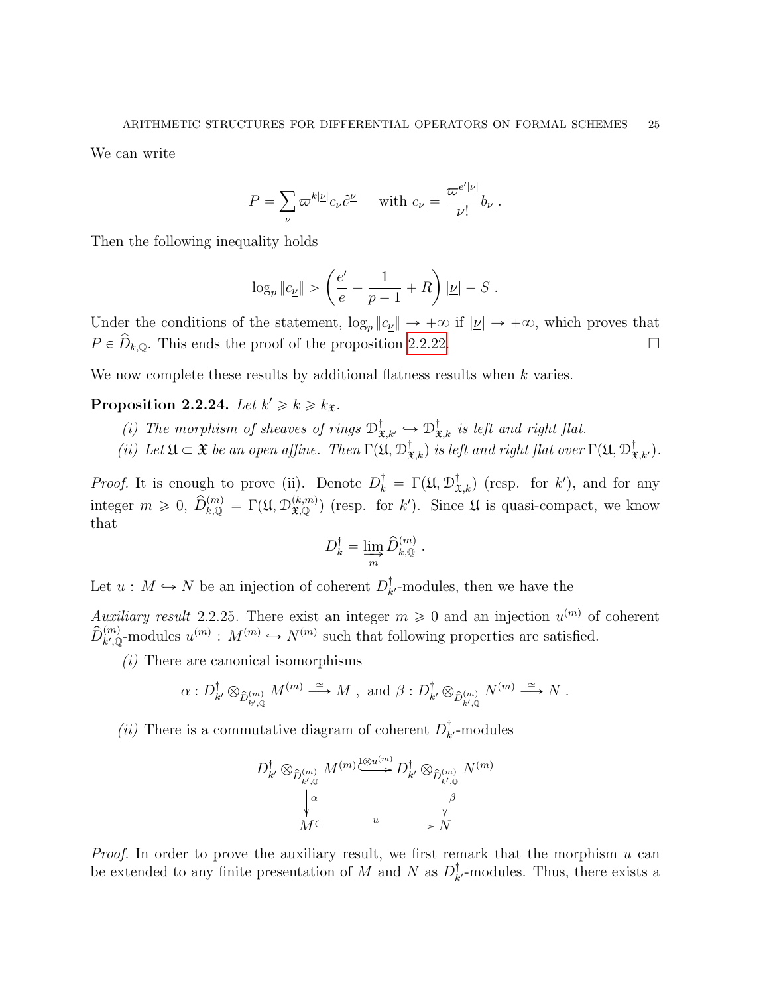We can write

$$
P = \sum_{\underline{\nu}} \varpi^{k|\underline{\nu}|} c_{\underline{\nu}} \underline{\partial}^{\underline{\nu}} \quad \text{ with } c_{\underline{\nu}} = \frac{\varpi^{e'|\underline{\nu}|}}{\underline{\nu}!} b_{\underline{\nu}}.
$$

Then the following inequality holds

$$
\log_p \|c_{\underline{\nu}}\| > \left(\frac{e'}{e} - \frac{1}{p-1} + R\right)|\underline{\nu}| - S.
$$

Under the conditions of the statement,  $\log_p ||c_{\underline{\nu}}|| \to +\infty$  if  $|\underline{\nu}| \to +\infty$ , which proves that  $P \in \hat{D}_{k,\mathbb{Q}}$ . This ends the proof of the proposition [2.2.22.](#page-23-0)

We now complete these results by additional flatness results when  $k$  varies.

# Proposition 2.2.24. Let  $k' \geq k \geq k_{\mathfrak{X}}$ .

- (i) The morphism of sheaves of rings  $\mathcal{D}^{\dagger}_{\mathfrak{X},k'} \hookrightarrow \mathcal{D}^{\dagger}_{\mathfrak{X},k}$  is left and right flat.
- (ii) Let  $\mathfrak{U} \subset \mathfrak{X}$  be an open affine. Then  $\Gamma(\mathfrak{U}, \mathcal{D}^{\dagger}_{\mathfrak{X},k})$  is left and right flat over  $\Gamma(\mathfrak{U}, \mathcal{D}^{\dagger}_{\mathfrak{X},k'})$ .

*Proof.* It is enough to prove (ii). Denote  $D_k^{\dagger} = \Gamma(\mathfrak{U}, \mathfrak{D}_{\mathfrak{X},k}^{\dagger})$  (resp. for k'), and for any integer  $m \geq 0$ ,  $\widehat{D}_{k,\mathbb{Q}}^{(m)} = \Gamma(\mathfrak{U}, \mathcal{D}_{\mathfrak{X},\mathbb{Q}}^{(k,m)})$  (resp. for k'). Since  $\mathfrak{U}$  is quasi-compact, we know that

$$
D^{\dagger}_k = \varinjlim_{m} \widehat{D}^{(m)}_{k,{\mathbb{Q}}} \ .
$$

Let  $u : M \hookrightarrow N$  be an injection of coherent  $D_k^{\dagger}$  $\iota_{k'}^{\dagger}$ -modules, then we have the

Auxiliary result 2.2.25. There exist an integer  $m \geq 0$  and an injection  $u^{(m)}$  of coherent  $\widehat{D}_{k',\mathbb{Q}}^{(m)}$ -modules  $u^{(m)}: M^{(m)} \hookrightarrow N^{(m)}$  such that following properties are satisfied.

 $(i)$  There are canonical isomorphisms

$$
\alpha: D^{\dagger}_{k'} \otimes_{\hat{D}^{(m)}_{k',\mathbb{Q}}} M^{(m)} \stackrel{\simeq}{\longrightarrow} M \text{ , and } \beta: D^{\dagger}_{k'} \otimes_{\hat{D}^{(m)}_{k',\mathbb{Q}}} N^{(m)} \stackrel{\simeq}{\longrightarrow} N \text{ .}
$$

(*ii*) There is a commutative diagram of coherent  $D_k^{\dagger}$  $_{k}^{T}$ -modules



*Proof.* In order to prove the auxiliary result, we first remark that the morphism  $u$  can be extended to any finite presentation of M and N as  $D_k^{\dagger}$  $\iota_{k'}^{\dagger}$ -modules. Thus, there exists a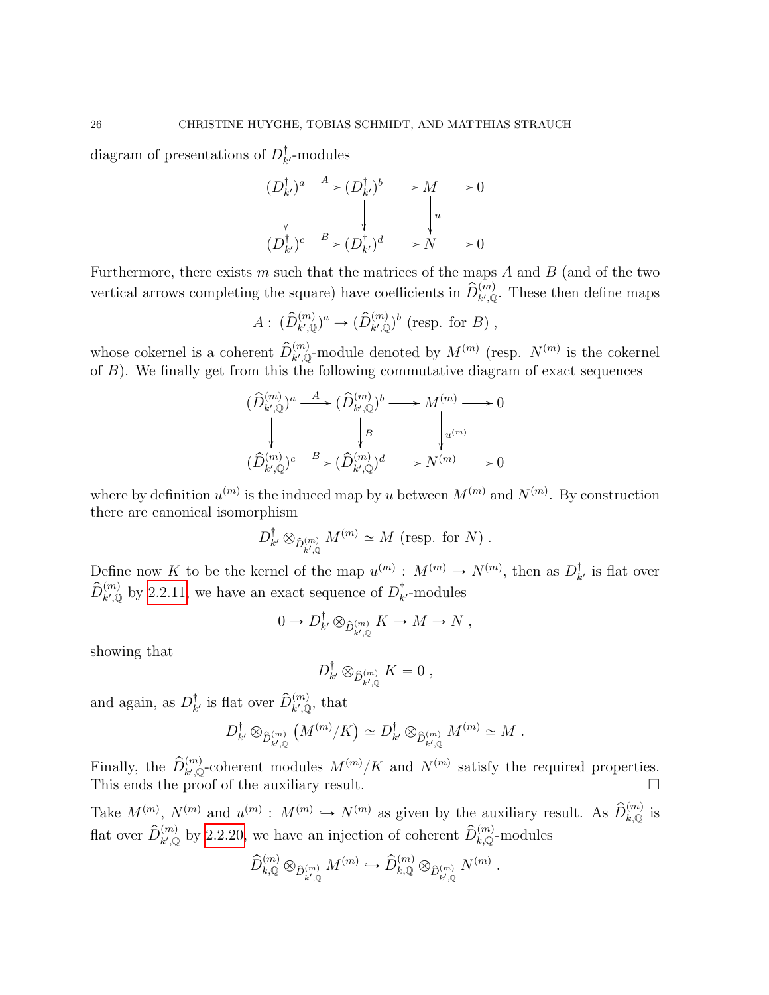diagram of presentations of  $D_k^{\dagger}$  $_{k}^{1}$ -modules

$$
(D_{k'}^{\dagger})^a \xrightarrow{A} (D_{k'}^{\dagger})^b \longrightarrow M \longrightarrow 0
$$
  
\n
$$
\downarrow \qquad \qquad \downarrow \qquad \qquad \downarrow \qquad \qquad \downarrow
$$
  
\n
$$
(D_{k'}^{\dagger})^c \xrightarrow{B} (D_{k'}^{\dagger})^d \longrightarrow N \longrightarrow 0
$$

Furthermore, there exists  $m$  such that the matrices of the maps  $A$  and  $B$  (and of the two vertical arrows completing the square) have coefficients in  $\hat{D}_{k',\mathbb{Q}}^{(m)}$ . These then define maps

$$
A: (\widehat{D}_{k',\mathbb{Q}}^{(m)})^a \to (\widehat{D}_{k',\mathbb{Q}}^{(m)})^b \text{ (resp. for } B),
$$

whose cokernel is a coherent  $\widehat{D}_{k',\mathbb{Q}}^{(m)}$ -module denoted by  $M^{(m)}$  (resp.  $N^{(m)}$  is the cokernel of  $B$ ). We finally get from this the following commutative diagram of exact sequences

$$
\begin{array}{ccc}\n(\widehat{D}^{(m)}_{k',\mathbb{Q}})^a\stackrel{A}{\longrightarrow}&(\widehat{D}^{(m)}_{k',\mathbb{Q}})^b\longrightarrow&M^{(m)}\longrightarrow&0\\ \downarrow&&\downarrow B&&\\ \n(\widehat{D}^{(m)}_{k',\mathbb{Q}})^c\stackrel{B}{\longrightarrow}&(\widehat{D}^{(m)}_{k',\mathbb{Q}})^d\longrightarrow&N^{(m)}\longrightarrow&0\\ \end{array}
$$

where by definition  $u^{(m)}$  is the induced map by u between  $M^{(m)}$  and  $N^{(m)}$ . By construction there are canonical isomorphism

$$
D_{k'}^{\dagger} \otimes_{\hat{D}_{k',\mathbb{Q}}^{(m)}} M^{(m)} \simeq M \text{ (resp. for } N) .
$$

Define now K to be the kernel of the map  $u^{(m)} : M^{(m)} \to N^{(m)}$ , then as  $D_k^{\dagger}$  $\frac{1}{k'}$  is flat over  $\hat{D}_{k',\mathbb{Q}}^{(m)}$  by [2.2.11,](#page-15-1) we have an exact sequence of  $D_k^{\dagger}$  $_{k}^{T}$ -modules

$$
0 \to D_{k'}^{\dagger} \otimes_{\hat{D}_{k',\mathbb{Q}}^{(m)}} K \to M \to N ,
$$

showing that

$$
D_{k'}^{\dagger} \otimes_{\hat{D}_{k',\mathbb{Q}}^{(m)}} K = 0 ,
$$

and again, as  $D_k^{\dagger}$  $\hat{L}_{k'}$  is flat over  $\widehat{D}_{k',\mathbb{Q}}^{(m)}$ , that  $\frac{\kappa}{\sigma}$ 

$$
D_{k'}^{\dagger} \otimes_{\hat{D}_{k',\mathbb{Q}}^{(m)}} \left( M^{(m)}/K \right) \simeq D_{k'}^{\dagger} \otimes_{\hat{D}_{k',\mathbb{Q}}^{(m)}} M^{(m)} \simeq M.
$$

Finally, the  $\widehat{D}_{k',\mathbb{Q}}^{(m)}$ -coherent modules  $M^{(m)}/K$  and  $N^{(m)}$  satisfy the required properties. This ends the proof of the auxiliary result.

Take  $M^{(m)}$ ,  $N^{(m)}$  and  $u^{(m)}$ :  $M^{(m)} \hookrightarrow N^{(m)}$  as given by the auxiliary result. As  $\widehat{D}_{k,\mathbb{Q}}^{(m)}$  is flat over  $\hat{D}_{k',\mathbb{Q}}^{(m)}$  by [2.2.20,](#page-22-1) we have an injection of coherent  $\hat{D}_{k,\mathbb{Q}}^{(m)}$ -modules

$$
\hat{D}^{(m)}_{k,{\mathbb Q}}\otimes_{\hat{D}^{(m)}_{k',{\mathbb Q}}}M^{(m)}\hookrightarrow \hat{D}^{(m)}_{k,{\mathbb Q}}\otimes_{\hat{D}^{(m)}_{k',{\mathbb Q}}}N^{(m)}
$$

.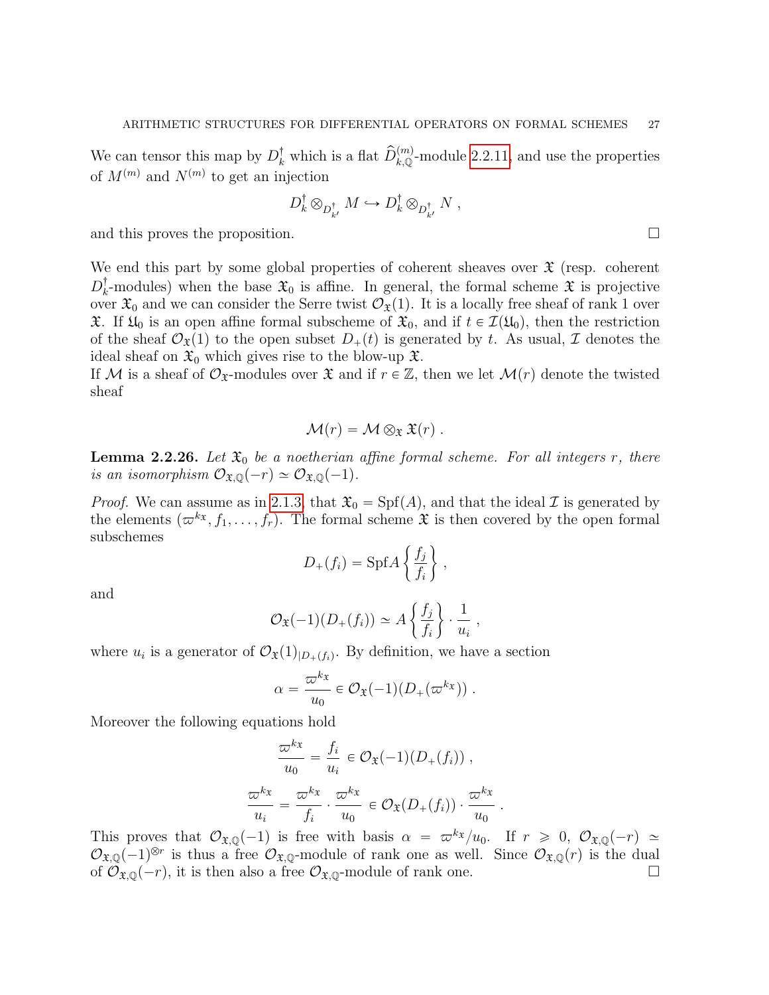We can tensor this map by  $D_k^{\dagger}$  which is a flat  $\widehat{D}_{k,\mathbb{Q}}^{(m)}$ -module [2.2.11,](#page-15-1) and use the properties of  $M^{(m)}$  and  $N^{(m)}$  to get an injection

$$
D_k^{\dagger} \otimes_{D_{k'}^{\dagger}} M \hookrightarrow D_k^{\dagger} \otimes_{D_{k'}^{\dagger}} N ,
$$

and this proves the proposition.

We end this part by some global properties of coherent sheaves over  $\mathfrak X$  (resp. coherent  $D_k^\dagger$ <sup>†</sup><sub>k</sub>-modules) when the base  $\mathfrak{X}_0$  is affine. In general, the formal scheme  $\mathfrak{X}$  is projective over  $\mathfrak{X}_0$  and we can consider the Serre twist  $\mathcal{O}_{\mathfrak{X}}(1)$ . It is a locally free sheaf of rank 1 over  $\mathfrak{X}$ . If  $\mathfrak{U}_0$  is an open affine formal subscheme of  $\mathfrak{X}_0$ , and if  $t \in \mathcal{I}(\mathfrak{U}_0)$ , then the restriction of the sheaf  $\mathcal{O}_{\mathfrak{X}}(1)$  to the open subset  $D_+(t)$  is generated by t. As usual, I denotes the ideal sheaf on  $\mathfrak{X}_0$  which gives rise to the blow-up  $\mathfrak{X}$ .

If M is a sheaf of  $\mathcal{O}_{\mathfrak{X}}$ -modules over  $\mathfrak{X}$  and if  $r \in \mathbb{Z}$ , then we let  $\mathcal{M}(r)$  denote the twisted sheaf

$$
\mathcal{M}(r) = \mathcal{M} \otimes_{\mathfrak{X}} \mathfrak{X}(r) .
$$

<span id="page-26-0"></span>**Lemma 2.2.26.** Let  $\mathfrak{X}_0$  be a noetherian affine formal scheme. For all integers r, there is an isomorphism  $\mathcal{O}_{\mathfrak{X},\mathbb{Q}}(-r) \simeq \mathcal{O}_{\mathfrak{X},\mathbb{Q}}(-1)$ .

*Proof.* We can assume as in [2.1.3,](#page-7-0) that  $\mathfrak{X}_0 = \text{Spf}(A)$ , and that the ideal  $\mathcal I$  is generated by the elements  $(\varpi^{kx}, f_1, \ldots, f_r)$ . The formal scheme  $\mathfrak X$  is then covered by the open formal subschemes " \*

$$
D_{+}(f_i) = \mathrm{Spf} A \left\{ \frac{f_j}{f_i} \right\},\,
$$

and

$$
\mathcal{O}_{\mathfrak{X}}(-1)(D_{+}(f_{i})) \simeq A\left\{\frac{f_{j}}{f_{i}}\right\} \cdot \frac{1}{u_{i}}
$$

,

where  $u_i$  is a generator of  $\mathcal{O}_{\mathfrak{X}}(1)_{|D_+(f_i)}$ . By definition, we have a section

$$
\alpha = \frac{\varpi^{kx}}{u_0} \in \mathcal{O}_{\mathfrak{X}}(-1)(D_+(\varpi^{kx})) .
$$

Moreover the following equations hold

$$
\frac{\overline{\omega}^{k_{\mathfrak{X}}}}{u_{0}} = \frac{f_{i}}{u_{i}} \in \mathcal{O}_{\mathfrak{X}}(-1)(D_{+}(f_{i})) ,
$$

$$
\frac{\overline{\omega}^{k_{\mathfrak{X}}}}{u_{i}} = \frac{\overline{\omega}^{k_{\mathfrak{X}}}}{f_{i}} \cdot \frac{\overline{\omega}^{k_{\mathfrak{X}}}}{u_{0}} \in \mathcal{O}_{\mathfrak{X}}(D_{+}(f_{i})) \cdot \frac{\overline{\omega}^{k_{\mathfrak{X}}}}{u_{0}} .
$$

This proves that  $\mathcal{O}_{\mathfrak{X},\mathbb{Q}}(-1)$  is free with basis  $\alpha = \pi^{k_{\mathfrak{X}}}/u_0$ . If  $r \geq 0$ ,  $\mathcal{O}_{\mathfrak{X},\mathbb{Q}}(-r) \simeq$  $\mathcal{O}_{\mathfrak{X},\mathbb{Q}}(-1)^{\otimes r}$  is thus a free  $\mathcal{O}_{\mathfrak{X},\mathbb{Q}}$ -module of rank one as well. Since  $\mathcal{O}_{\mathfrak{X},\mathbb{Q}}(r)$  is the dual of  $\mathcal{O}_{\mathfrak{X},\mathbb{Q}}(-r)$ , it is then also a free  $\mathcal{O}_{\mathfrak{X},\mathbb{Q}}$ -module of rank one.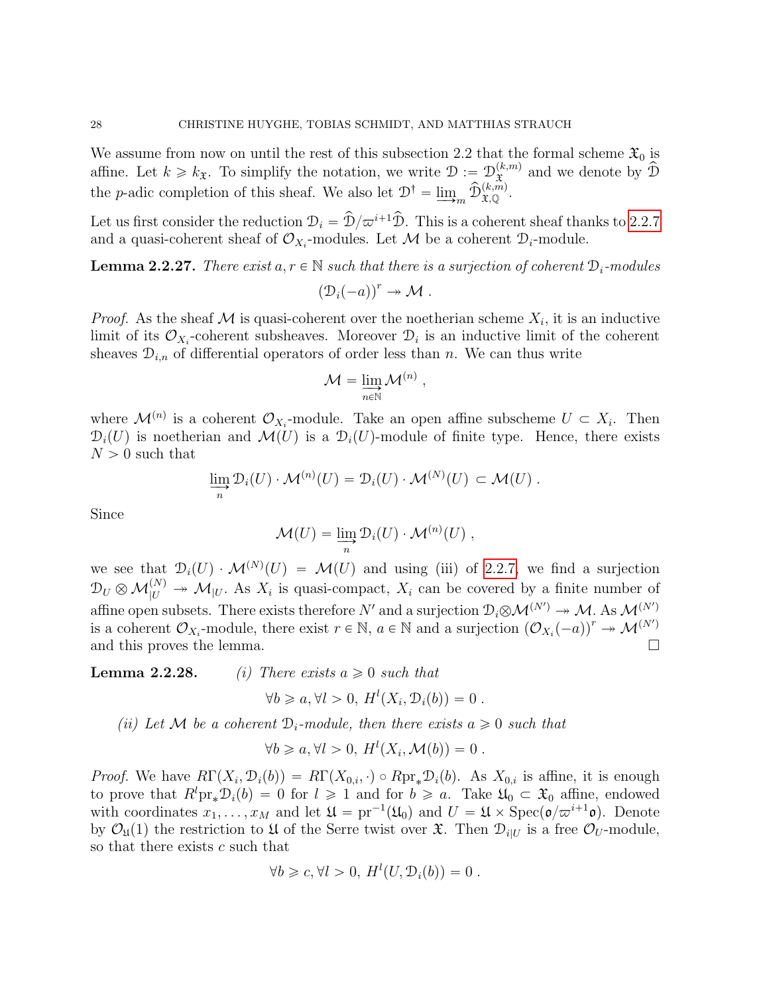We assume from now on until the rest of this subsection 2.2 that the formal scheme  $\mathfrak{X}_0$  is affine. Let  $k \geq k_{\mathfrak{X}}$ . To simplify the notation, we write  $\mathcal{D} := \mathcal{D}_{\mathfrak{X}}^{(k,m)}$  $\widetilde{\mathfrak{X}}$  and we denote by  $\widehat{\mathfrak{D}}$ the *p*-adic completion of this sheaf. We also let  $\mathcal{D}^{\dagger} = \lim_{m \to \infty} \hat{\mathcal{D}}_{\mathfrak{X},\mathbb{Q}}^{(k,m)}$ .

Let us first consider the reduction  $\mathcal{D}_i = \hat{\mathcal{D}}/\varpi^{i+1}\hat{\mathcal{D}}$ . This is a coherent sheaf thanks to [2.2.7](#page-14-0) and a quasi-coherent sheaf of  $\mathcal{O}_{X_i}$ -modules. Let  $\mathcal M$  be a coherent  $\mathcal{D}_i$ -module.

**Lemma 2.2.27.** There exist  $a, r \in \mathbb{N}$  such that there is a surjection of coherent  $\mathcal{D}_i$ -modules  $(D_i(-a))^r \twoheadrightarrow \mathcal{M}$ .

*Proof.* As the sheaf M is quasi-coherent over the noetherian scheme  $X_i$ , it is an inductive limit of its  $\mathcal{O}_{X_i}$ -coherent subsheaves. Moreover  $\mathcal{D}_i$  is an inductive limit of the coherent sheaves  $\mathcal{D}_{i,n}$  of differential operators of order less than n. We can thus write

$$
\mathcal{M} = \varinjlim_{n \in \mathbb{N}} \mathcal{M}^{(n)},
$$

where  $\mathcal{M}^{(n)}$  is a coherent  $\mathcal{O}_{X_i}$ -module. Take an open affine subscheme  $U \subset X_i$ . Then  $\mathcal{D}_i(U)$  is noetherian and  $\mathcal{M}(U)$  is a  $\mathcal{D}_i(U)$ -module of finite type. Hence, there exists  $N > 0$  such that

$$
\lim_{n} \mathcal{D}_{i}(U) \cdot \mathcal{M}^{(n)}(U) = \mathcal{D}_{i}(U) \cdot \mathcal{M}^{(N)}(U) \subset \mathcal{M}(U) .
$$

Since

$$
\mathcal{M}(U) = \varinjlim_{n} \mathcal{D}_{i}(U) \cdot \mathcal{M}^{(n)}(U) ,
$$

we see that  $\mathcal{D}_i(U) \cdot \mathcal{M}^{(N)}(U) = \mathcal{M}(U)$  and using (iii) of [2.2.7,](#page-14-0) we find a surjection  $\mathcal{D}_U \otimes \mathcal{M}_{|U}^{(N)} \to \mathcal{M}_{|U}$ . As  $X_i$  is quasi-compact,  $X_i$  can be covered by a finite number of affine open subsets. There exists therefore  $N'$  and a surjection  $\mathcal{D}_i \otimes \mathcal{M}^{(N')} \twoheadrightarrow \mathcal{M}$ . As  $\mathcal{M}^{(N')}$ is a coherent  $\mathcal{O}_{X_i}$ -module, there exist  $r \in \mathbb{N}$ ,  $a \in \mathbb{N}$  and a surjection  $(\mathcal{O}_{X_i}(-a))^r \to \mathcal{M}^{(N')}$ and this proves the lemma.  $\Box$ 

**Lemma 2.2.28.** (i) There exists  $a \geq 0$  such that

 $\forall b \geq a, \forall l > 0, H^{l}(X_{i}, \mathcal{D}_{i}(b)) = 0.$ 

(ii) Let M be a coherent  $\mathcal{D}_i$ -module, then there exists  $a \geq 0$  such that

$$
\forall b \geq a, \forall l > 0, H^{l}(X_{i}, \mathcal{M}(b)) = 0.
$$

*Proof.* We have  $R\Gamma(X_i, \mathcal{D}_i(b)) = R\Gamma(X_{0,i}, \cdot) \circ R\text{pr}_*\mathcal{D}_i(b)$ . As  $X_{0,i}$  is affine, it is enough to prove that  $R^lpr_*\mathcal{D}_i(b) = 0$  for  $l \geq 1$  and for  $b \geq a$ . Take  $\mathfrak{U}_0 \subset \mathfrak{X}_0$  affine, endowed with coordinates  $x_1, \ldots, x_M$  and let  $\mathfrak{U} = \text{pr}^{-1}(\mathfrak{U}_0)$  and  $U = \mathfrak{U} \times \text{Spec}(\mathfrak{o}/\varpi^{i+1}\mathfrak{o})$ . Denote by  $\mathcal{O}_{\mathfrak{U}}(1)$  the restriction to  $\mathfrak{U}$  of the Serre twist over  $\mathfrak{X}$ . Then  $\mathcal{D}_{i|U}$  is a free  $\mathcal{O}_U$ -module, so that there exists  $c$  such that

$$
\forall b \geq c, \forall l > 0, H^{l}(U, \mathcal{D}_{i}(b)) = 0.
$$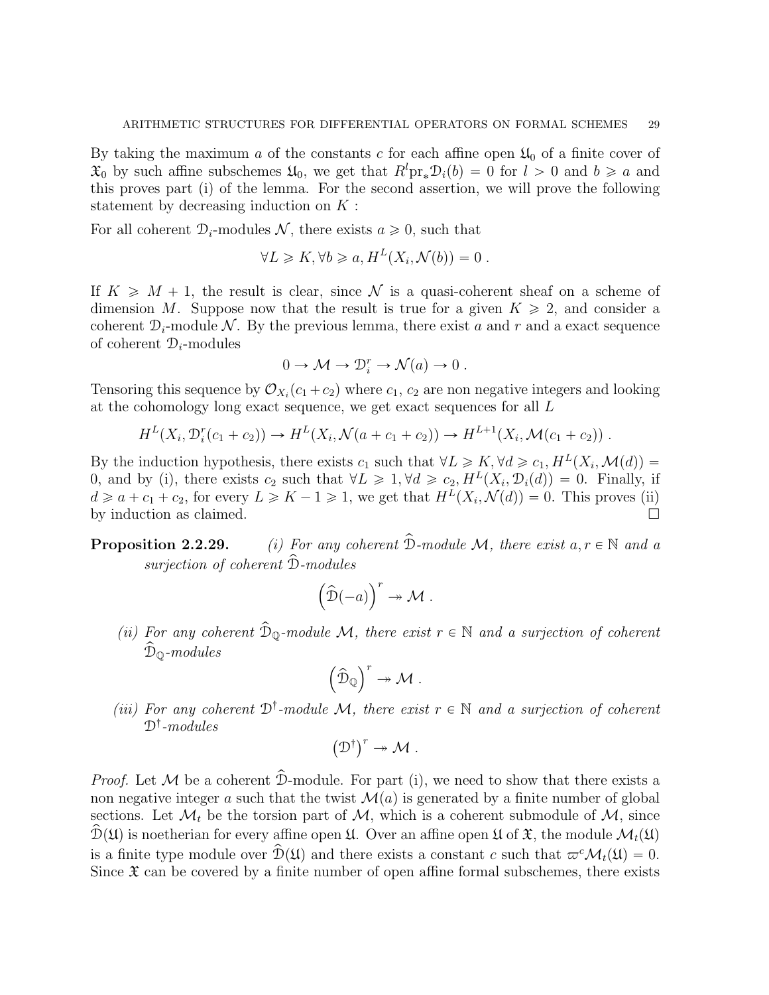By taking the maximum a of the constants c for each affine open  $\mathfrak{U}_0$  of a finite cover of  $\mathfrak{X}_0$  by such affine subschemes  $\mathfrak{U}_0$ , we get that  $R^l \text{pr}_{*} \mathfrak{D}_i(b) = 0$  for  $l > 0$  and  $b \geq a$  and this proves part (i) of the lemma. For the second assertion, we will prove the following statement by decreasing induction on  $K$ :

For all coherent  $\mathcal{D}_i$ -modules N, there exists  $a \geq 0$ , such that

$$
\forall L \geq K, \forall b \geq a, H^{L}(X_{i}, \mathcal{N}(b)) = 0.
$$

If  $K \geq M + 1$ , the result is clear, since N is a quasi-coherent sheaf on a scheme of dimension M. Suppose now that the result is true for a given  $K \geq 2$ , and consider a coherent  $\mathcal{D}_i$ -module N. By the previous lemma, there exist a and r and a exact sequence of coherent  $\mathcal{D}_i$ -modules

$$
0 \to \mathcal{M} \to \mathcal{D}_i^r \to \mathcal{N}(a) \to 0.
$$

Tensoring this sequence by  $\mathcal{O}_{X_i}(c_1+c_2)$  where  $c_1, c_2$  are non negative integers and looking at the cohomology long exact sequence, we get exact sequences for all L

$$
H^{L}(X_i, \mathcal{D}_i^r(c_1+c_2)) \to H^{L}(X_i, \mathcal{N}(a+c_1+c_2)) \to H^{L+1}(X_i, \mathcal{M}(c_1+c_2)) .
$$

By the induction hypothesis, there exists  $c_1$  such that  $\forall L \geq K, \forall d \geq c_1, H^L(X_i, \mathcal{M}(d)) =$ 0, and by (i), there exists  $c_2$  such that  $\forall L \geq 1, \forall d \geq c_2, H^L(X_i, \mathcal{D}_i(d)) = 0$ . Finally, if  $d \ge a + c_1 + c_2$ , for every  $L \ge K - 1 \ge 1$ , we get that  $H<sup>L</sup>(X_i, \mathcal{N}(d)) = 0$ . This proves (ii) by induction as claimed.

**Proposition 2.2.29.** (i) For any coherent  $\hat{\mathcal{D}}$ -module M, there exist  $a, r \in \mathbb{N}$  and a surjection of coherent  $\hat{\mathcal{D}}$ -modules

$$
\left(\widehat{\mathcal{D}}(-a)\right)^r \twoheadrightarrow \mathcal{M} .
$$

(ii) For any coherent  $\widehat{\mathcal{D}}_{\mathbb{Q}}$ -module M, there exist  $r \in \mathbb{N}$  and a surjection of coherent  $\widehat{\mathcal{D}}_{\mathbb{Q}}$ -modules  $\mathbf{r}$ 

$$
\left(\widehat{\mathcal{D}}_{\mathbb{Q}}\right)^r \twoheadrightarrow \mathcal{M} .
$$

(iii) For any coherent  $\mathfrak{D}^{\dagger}$ -module M, there exist  $r \in \mathbb{N}$  and a surjection of coherent  $\mathcal{D}^{\dagger}\text{-modules}$ 

$$
\left(\mathcal{D}^{\dagger}\right)^{r}\twoheadrightarrow\mathcal{M}.
$$

*Proof.* Let  $M$  be a coherent  $\hat{D}$ -module. For part (i), we need to show that there exists a non negative integer a such that the twist  $\mathcal{M}(a)$  is generated by a finite number of global sections. Let  $\mathcal{M}_t$  be the torsion part of  $\mathcal{M}_t$ , which is a coherent submodule of  $\mathcal{M}_t$ , since  $\hat{\mathcal{D}}(\mathfrak{U})$  is noetherian for every affine open  $\mathfrak{U}$ . Over an affine open  $\mathfrak{U}$  of  $\mathfrak{X}$ , the module  $\mathcal{M}_t(\mathfrak{U})$ is a finite type module over  $\mathcal{D}(\mathfrak{U})$  and there exists a constant c such that  $\varpi^{c}\mathcal{M}_{t}(\mathfrak{U}) = 0$ . Since  $\mathfrak X$  can be covered by a finite number of open affine formal subschemes, there exists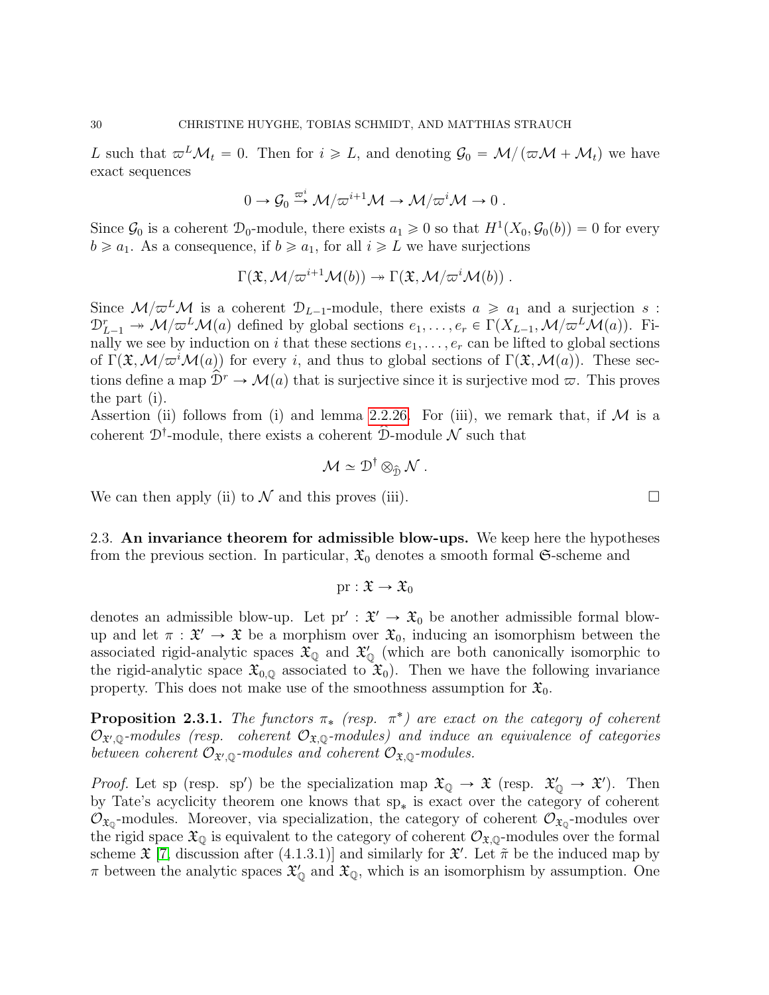L such that  $\omega^L \mathcal{M}_t = 0$ . Then for  $i \geq L$ , and denoting  $\mathcal{G}_0 = \mathcal{M}/(\omega \mathcal{M} + \mathcal{M}_t)$  we have exact sequences

$$
0 \to \mathcal{G}_0 \stackrel{\varpi^i}{\to} \mathcal{M}/\varpi^{i+1}\mathcal{M} \to \mathcal{M}/\varpi^i\mathcal{M} \to 0.
$$

Since  $\mathcal{G}_0$  is a coherent  $\mathcal{D}_0$ -module, there exists  $a_1 \geq 0$  so that  $H^1(X_0, \mathcal{G}_0(b)) = 0$  for every  $b \ge a_1$ . As a consequence, if  $b \ge a_1$ , for all  $i \ge L$  we have surjections

$$
\Gamma(\mathfrak{X},\mathcal{M}/\varpi^{i+1}\mathcal{M}(b))\twoheadrightarrow \Gamma(\mathfrak{X},\mathcal{M}/\varpi^{i}\mathcal{M}(b))\ .
$$

Since  $\mathcal{M}/\varpi^{L}\mathcal{M}$  is a coherent  $\mathcal{D}_{L-1}$ -module, there exists  $a \geq a_1$  and a surjection s:  $\mathcal{D}_{L-1}^r \twoheadrightarrow \mathcal{M}/\varpi^L \mathcal{M}(a)$  defined by global sections  $e_1, \ldots, e_r \in \Gamma(X_{L-1},\mathcal{M}/\varpi^L \mathcal{M}(a))$ . Finally we see by induction on i that these sections  $e_1, \ldots, e_r$  can be lifted to global sections of  $\Gamma(\mathfrak{X},\mathcal{M}/\varpi^i\mathcal{M}(a))$  for every i, and thus to global sections of  $\Gamma(\mathfrak{X},\mathcal{M}(a))$ . These sections define a map  $\mathcal{D}^r \to \mathcal{M}(a)$  that is surjective since it is surjective mod  $\varpi$ . This proves the part (i).

Assertion (ii) follows from (i) and lemma [2.2.26.](#page-26-0) For (iii), we remark that, if  $M$  is a coherent  $\mathcal{D}^{\dagger}$ -module, there exists a coherent  $\hat{\mathcal{D}}$ -module  $\mathcal{N}$  such that

$$
\mathcal{M} \simeq \mathcal{D}^{\dagger} \otimes_{\widehat{\mathcal{D}}} \mathcal{N} .
$$

We can then apply (ii) to  $\mathcal N$  and this proves (iii).

<span id="page-29-0"></span>2.3. An invariance theorem for admissible blow-ups. We keep here the hypotheses from the previous section. In particular,  $\mathfrak{X}_0$  denotes a smooth formal  $\mathfrak{S}\text{-scheme}$  and

$$
\mathrm{pr}:\mathfrak{X}\to\mathfrak{X}_0
$$

denotes an admissible blow-up. Let  $pr' : \mathfrak{X}' \to \mathfrak{X}_0$  be another admissible formal blowup and let  $\pi : \mathfrak{X}' \to \mathfrak{X}$  be a morphism over  $\mathfrak{X}_0$ , inducing an isomorphism between the associated rigid-analytic spaces  $\mathfrak{X}_{\mathbb{Q}}$  and  $\mathfrak{X}'_{\mathbb{Q}}$  (which are both canonically isomorphic to the rigid-analytic space  $\mathfrak{X}_{0,\mathbb{Q}}$  associated to  $\mathfrak{X}_0$ . Then we have the following invariance property. This does not make use of the smoothness assumption for  $\mathfrak{X}_0$ .

<span id="page-29-1"></span>**Proposition 2.3.1.** The functors  $\pi_*$  (resp.  $\pi^*$ ) are exact on the category of coherent  $\mathcal{O}_{\mathfrak{X}',\mathbb{Q}}$ -modules (resp. coherent  $\mathcal{O}_{\mathfrak{X},\mathbb{Q}}$ -modules) and induce an equivalence of categories between coherent  $\mathcal{O}_{\mathfrak{X}',\mathbb{Q}}$ -modules and coherent  $\mathcal{O}_{\mathfrak{X},\mathbb{Q}}$ -modules.

*Proof.* Let sp (resp. sp') be the specialization map  $\mathfrak{X}_{\mathbb{Q}} \to \mathfrak{X}$  (resp.  $\mathfrak{X}'_{\mathbb{Q}} \to \mathfrak{X}'$ ). Then by Tate's acyclicity theorem one knows that  $sp_*$  is exact over the category of coherent  $\mathcal{O}_{\mathfrak{X}_0}$ -modules. Moreover, via specialization, the category of coherent  $\mathcal{O}_{\mathfrak{X}_0}$ -modules over the rigid space  $\mathfrak{X}_{\mathbb{Q}}$  is equivalent to the category of coherent  $\mathcal{O}_{\mathfrak{X},\mathbb{Q}}$ -modules over the formal scheme  $\mathfrak{X}$  [\[7,](#page-52-1) discussion after (4.1.3.1)] and similarly for  $\mathfrak{X}'$ . Let  $\tilde{\pi}$  be the induced map by  $\pi$  between the analytic spaces  $\mathfrak{X}'_0$  and  $\mathfrak{X}_0$ , which is an isomorphism by assumption. One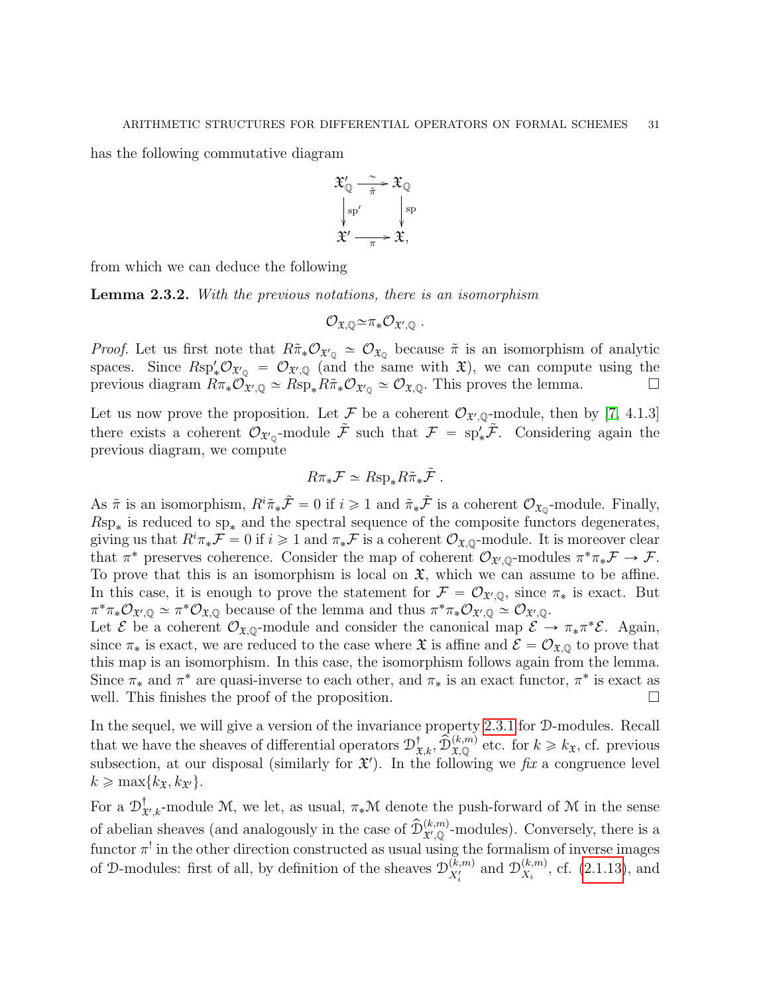has the following commutative diagram



from which we can deduce the following

<span id="page-30-0"></span>Lemma 2.3.2. With the previous notations, there is an isomorphism

$$
\mathcal{O}_{\mathfrak{X},\mathbb{Q}} \simeq \pi_* \mathcal{O}_{\mathfrak{X}',\mathbb{Q}} \ .
$$

*Proof.* Let us first note that  $R\tilde{\pi}_*\mathcal{O}_{\mathfrak{X}_\mathbb{Q}} \simeq \mathcal{O}_{\mathfrak{X}_\mathbb{Q}}$  because  $\tilde{\pi}$  is an isomorphism of analytic spaces. Since  $Rsp'_*\mathcal{O}_{\mathfrak{X}'\mathbb{Q}} = \mathcal{O}_{\mathfrak{X}'\mathbb{Q}}$  (and the same with  $\mathfrak{X}$ ), we can compute using the previous diagram  $R\pi_*\mathcal{O}_{\mathfrak{X}',\mathbb{Q}} \simeq R\text{sp}_*R\tilde{\pi}_*\mathcal{O}_{\mathfrak{X}'_{\mathbb{Q}}} \simeq \mathcal{O}_{\mathfrak{X},\mathbb{Q}}$ . This proves the lemma.

Let us now prove the proposition. Let F be a coherent  $\mathcal{O}_{\mathfrak{X}',\mathbb{Q}}$ -module, then by [\[7,](#page-52-1) 4.1.3] there exists a coherent  $\mathcal{O}_{\mathfrak{X}'_Q}$ -module  $\tilde{\mathcal{F}}$  such that  $\mathcal{F} = sp'_*\tilde{\mathcal{F}}$ . Considering again the previous diagram, we compute

$$
R\pi_*\mathcal{F} \simeq R\text{sp}_*R\tilde{\pi}_*\tilde{\mathcal{F}}.
$$

As  $\tilde{\pi}$  is an isomorphism,  $R^i \tilde{\pi}_* \tilde{\mathcal{F}} = 0$  if  $i \geq 1$  and  $\tilde{\pi}_* \tilde{\mathcal{F}}$  is a coherent  $\mathcal{O}_{\mathfrak{X}_{\mathbb{Q}}}$ -module. Finally,  $Rsp_*$  is reduced to  $sp_*$  and the spectral sequence of the composite functors degenerates, giving us that  $R^i\pi_*\mathcal{F} = 0$  if  $i \geq 1$  and  $\pi_*\mathcal{F}$  is a coherent  $\mathcal{O}_{\mathfrak{X},\mathbb{Q}}$ -module. It is moreover clear that  $\pi^*$  preserves coherence. Consider the map of coherent  $\mathcal{O}_{\mathfrak{X}',\mathbb{Q}}$ -modules  $\pi^*\pi_*\mathcal{F} \to \mathcal{F}$ . To prove that this is an isomorphism is local on  $\mathfrak{X}$ , which we can assume to be affine. In this case, it is enough to prove the statement for  $\mathcal{F} = \mathcal{O}_{\mathfrak{X}',\mathbb{Q}}$ , since  $\pi_*$  is exact. But  $\pi^*\pi_*\mathcal{O}_{\mathfrak{X}',\mathbb{Q}} \simeq \pi^*\mathcal{O}_{\mathfrak{X},\mathbb{Q}}$  because of the lemma and thus  $\pi^*\pi_*\mathcal{O}_{\mathfrak{X}',\mathbb{Q}} \simeq \mathcal{O}_{\mathfrak{X}',\mathbb{Q}}$ .

Let  $\mathcal E$  be a coherent  $\mathcal O_{\mathfrak X,Q}$ -module and consider the canonical map  $\mathcal E \to \pi_*\pi^*\mathcal E$ . Again, since  $\pi_*$  is exact, we are reduced to the case where  $\mathfrak{X}$  is affine and  $\mathcal{E} = \mathcal{O}_{\mathfrak{X},\mathbb{Q}}$  to prove that this map is an isomorphism. In this case, the isomorphism follows again from the lemma. Since  $\pi_*$  and  $\pi^*$  are quasi-inverse to each other, and  $\pi_*$  is an exact functor,  $\pi^*$  is exact as well. This finishes the proof of the proposition.  $\Box$ 

In the sequel, we will give a version of the invariance property [2.3.1](#page-29-1) for D-modules. Recall that we have the sheaves of differential operators  $\mathcal{D}^{\dagger}_{\mathfrak{X},k}$ ,  $\widehat{\mathcal{D}}_{\mathfrak{X},\mathbb{Q}}^{(k,m)}$  etc. for  $k \geq k_{\mathfrak{X}}$ , cf. previous subsection, at our disposal (similarly for  $\mathfrak{X}'$ ). In the following we fix a congruence level  $k \geq \max\{k_{\mathfrak{X}}, k_{\mathfrak{Y}'}\}.$ 

For a  $\mathcal{D}^{\dagger}_{\mathbf{\hat{1}}}$  $\mathcal{X}_{\mathcal{X},k}$ -module M, we let, as usual,  $\pi_*\mathcal{M}$  denote the push-forward of M in the sense of abelian sheaves (and analogously in the case of  $\hat{\mathcal{D}}_{\mathcal{X},\mathbb{Q}}^{(k,m)}$ -modules). Conversely, there is a functor  $\pi^!$  in the other direction constructed as usual using the formalism of inverse images of D-modules: first of all, by definition of the sheaves  $\mathcal{D}_{X'}^{(k,m)}$  $\chi_i^{(k,m)}$  and  $\mathcal{D}_{X_i}^{(k,m)}$  $\chi_i^{(k,m)}$ , cf. [\(2.1.13\)](#page-10-2), and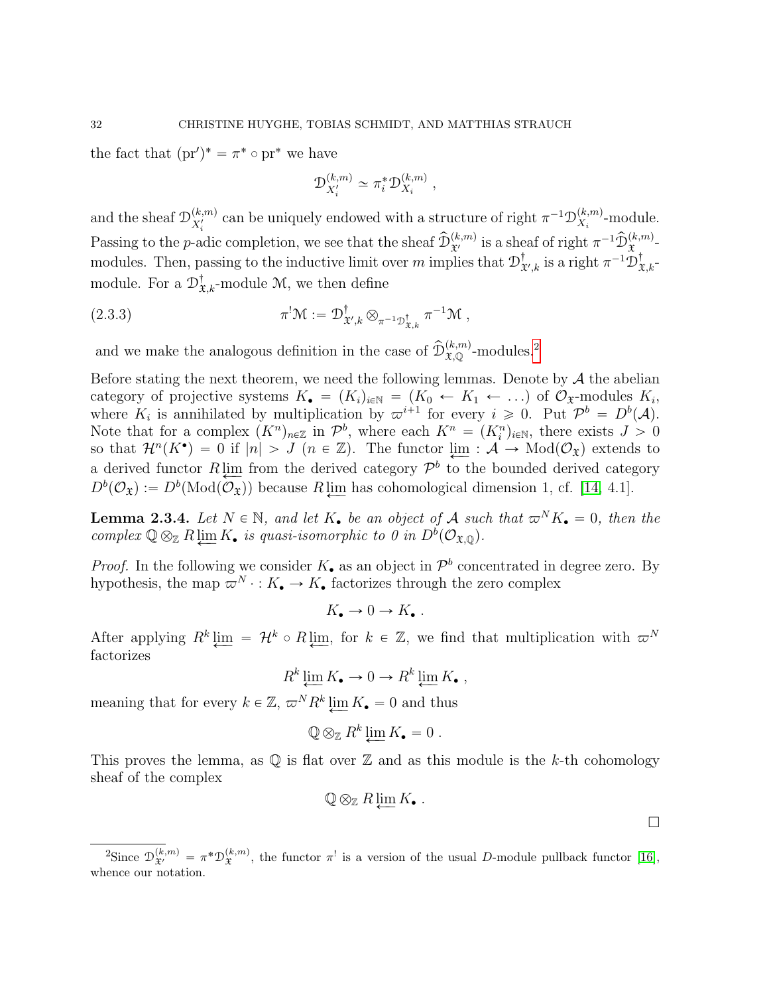the fact that  $(pr')^* = \pi^* \circ pr^*$  we have

<span id="page-31-2"></span>
$$
\mathcal{D}_{X'_i}^{(k,m)} \simeq \pi_i^* \mathcal{D}_{X_i}^{(k,m)},
$$

and the sheaf  $\mathcal{D}_{X'}^{(k,m)}$  $\chi_i^{(k,m)}$  can be uniquely endowed with a structure of right  $\pi^{-1} \mathcal{D}_{X_i}^{(k,m)}$ Passing to the p-adic completion, we see that the sheaf  $\hat{\mathcal{D}}_{\mathfrak{X}'}^{(k,m)}$  is a sheaf of right  $\pi^{-1} \hat{\mathcal{D}}_{\mathfrak{X}}^{(k,m)}$ .  $\chi_i^{(k,m)}$ -module. modules. Then, passing to the inductive limit over m implies that  $\mathcal{D}_3^{\dagger}$  $^{\dagger}_{\mathfrak{X}',k}$  is a right  $\pi^{-1}\mathfrak{D}^{\dagger}_{\mathfrak{X},k^-}$ module. For a  $\mathcal{D}^{\dagger}_{\mathfrak{X},k}$ -module M, we then define

(2.3.3) 
$$
\pi^! \mathcal{M} := \mathcal{D}^{\dagger}_{\mathfrak{X}',k} \otimes_{\pi^{-1} \mathcal{D}^{\dagger}_{\mathfrak{X},k}} \pi^{-1} \mathcal{M},
$$

and we make the analogous definition in the case of  $\widehat{\mathcal{D}}_{\mathfrak{X},\mathbb{Q}}^{(k,m)}$ -modules.<sup>[2](#page-31-0)</sup>

Before stating the next theorem, we need the following lemmas. Denote by  $\mathcal A$  the abelian category of projective systems  $K_{\bullet} = (K_i)_{i \in \mathbb{N}} = (K_0 \leftarrow K_1 \leftarrow ...)$  of  $\mathcal{O}_{\mathfrak{X}}$ -modules  $K_i$ , where  $K_i$  is annihilated by multiplication by  $\varpi^{i+1}$  for every  $i \geq 0$ . Put  $\mathcal{P}^b = D^b(\mathcal{A})$ . Note that for a complex  $(K^n)_{n\in\mathbb{Z}}$  in  $\mathcal{P}^b$ , where each  $K^n = (K_i^n)_{i\in\mathbb{N}}$ , there exists  $J > 0$ so that  $\mathcal{H}^n(K^{\bullet}) = 0$  if  $|n| > J$  ( $n \in \mathbb{Z}$ ). The functor  $\lim_{M \to \infty} \mathcal{A} \to \text{Mod}(\mathcal{O}_{\mathfrak{X}})$  extends to a derived functor  $R \lim_{\epsilon \to 0}$  from the derived category  $\mathcal{P}^b$  to the bounded derived category  $D^b(\mathcal{O}_\mathfrak{X}) := D^b(\text{Mod}(\mathcal{O}_\mathfrak{X}))$  because  $R \downarrow \underline{\text{im}}$  has cohomological dimension 1, cf. [\[14,](#page-52-12) 4.1].

<span id="page-31-1"></span>**Lemma 2.3.4.** Let  $N \in \mathbb{N}$ , and let  $K_{\bullet}$  be an object of A such that  $\varpi^{N} K_{\bullet} = 0$ , then the complex  $\mathbb{Q} \otimes_{\mathbb{Z}} R \varprojlim K_{\bullet}$  is quasi-isomorphic to  $0$  in  $D^b(\mathcal{O}_{\mathfrak{X},\mathbb{Q}})$ .

*Proof.* In the following we consider  $K_{\bullet}$  as an object in  $\mathcal{P}^b$  concentrated in degree zero. By hypothesis, the map  $\overline{\omega}^N : K_{\bullet} \to K_{\bullet}$  factorizes through the zero complex

$$
K_{\bullet} \to 0 \to K_{\bullet} .
$$

After applying  $R^k$   $\varprojlim = \mathcal{H}^k \circ R \varprojlim$ , for  $k \in \mathbb{Z}$ , we find that multiplication with  $\varpi^N$ factorizes

$$
R^k \varprojlim K_{\bullet} \to 0 \to R^k \varprojlim K_{\bullet} ,
$$

meaning that for every  $k \in \mathbb{Z}$ ,  $\varpi^N R^k \varprojlim K_{\bullet} = 0$  and thus

$$
\mathbb{Q} \otimes_{\mathbb{Z}} R^k \varprojlim K_{\bullet} = 0 \ .
$$

This proves the lemma, as  $\mathbb Q$  is flat over  $\mathbb Z$  and as this module is the k-th cohomology sheaf of the complex

$$
\mathbb{Q} \otimes_{\mathbb{Z}} R \varprojlim K_{\bullet}.
$$

 $\Box$ 

<span id="page-31-0"></span><sup>&</sup>lt;sup>2</sup>Since  $\mathcal{D}_{\mathfrak{X}'}^{(k,m)} = \pi^* \mathcal{D}_{\mathfrak{X}}^{(k,m)}$ , the functor  $\pi^!$  is a version of the usual D-module pullback functor [\[16\]](#page-52-13), whence our notation.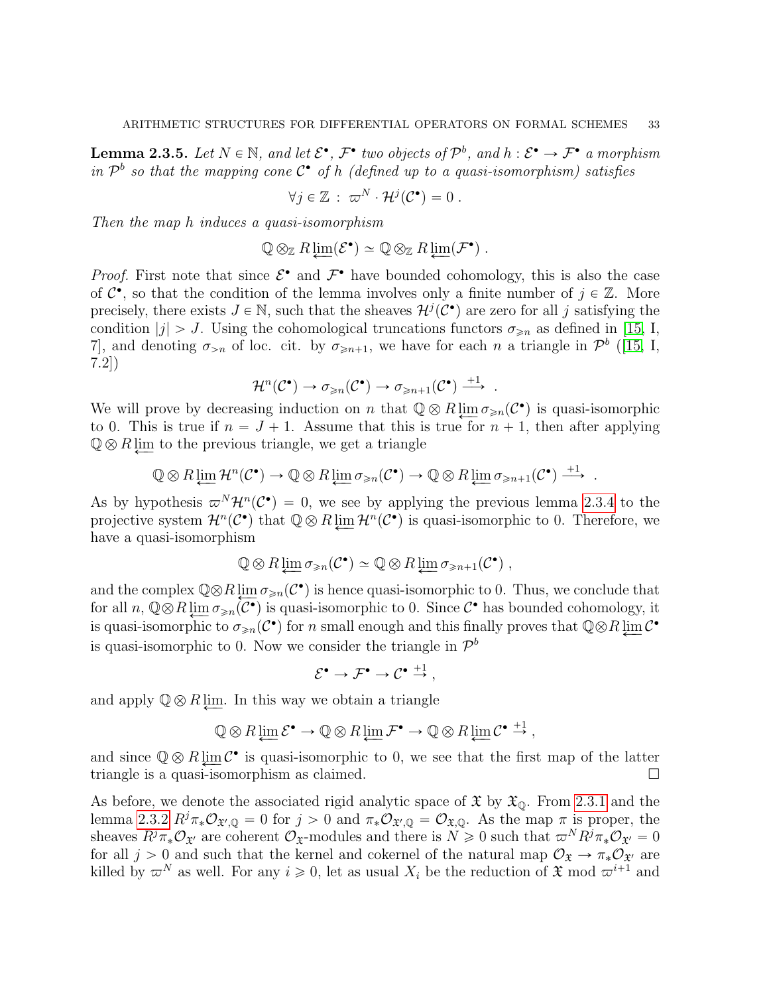<span id="page-32-0"></span>**Lemma 2.3.5.** Let  $N \in \mathbb{N}$ , and let  $\mathcal{E}^{\bullet}$ ,  $\mathcal{F}^{\bullet}$  two objects of  $\mathcal{P}^b$ , and  $h : \mathcal{E}^{\bullet} \to \mathcal{F}^{\bullet}$  a morphism in  $\mathcal{P}^b$  so that the mapping cone  $\mathcal{C}^{\bullet}$  of h (defined up to a quasi-isomorphism) satisfies

$$
\forall j \in \mathbb{Z} : \ \varpi^N \cdot \mathcal{H}^j(\mathcal{C}^{\bullet}) = 0 \ .
$$

Then the map h induces a quasi-isomorphism

$$
\mathbb{Q} \otimes_{\mathbb{Z}} R \varprojlim(\mathcal{E}^{\bullet}) \simeq \mathbb{Q} \otimes_{\mathbb{Z}} R \varprojlim(\mathcal{F}^{\bullet}).
$$

*Proof.* First note that since  $\mathcal{E}^{\bullet}$  and  $\mathcal{F}^{\bullet}$  have bounded cohomology, this is also the case of  $C^{\bullet}$ , so that the condition of the lemma involves only a finite number of  $j \in \mathbb{Z}$ . More precisely, there exists  $J \in \mathbb{N}$ , such that the sheaves  $\mathcal{H}^j(\mathcal{C}^{\bullet})$  are zero for all j satisfying the condition  $|j| > J$ . Using the cohomological truncations functors  $\sigma_{\geq n}$  as defined in [\[15,](#page-52-14) I, 7], and denoting  $\sigma_{>n}$  of loc. cit. by  $\sigma_{\geq n+1}$ , we have for each n a triangle in  $\mathcal{P}^b$  ([\[15,](#page-52-14) I, 7.2])

$$
\mathcal{H}^n(\mathcal{C}^{\bullet}) \to \sigma_{\geqslant n}(\mathcal{C}^{\bullet}) \to \sigma_{\geqslant n+1}(\mathcal{C}^{\bullet}) \xrightarrow{+1}.
$$

We will prove by decreasing induction on n that  $\mathbb{Q} \otimes R \varprojlim \sigma_{\geqslant n} (\mathcal{C}^{\bullet})$  is quasi-isomorphic<br>to 0. This is two if  $x = I + 1$ , Agyme that this is two for  $x + 1$ , then efter environto 0. This is true if  $n = J + 1$ . Assume that this is true for  $n + 1$ , then after applying  $\mathbb{Q}\otimes R$  lim to the previous triangle, we get a triangle

$$
\mathbb{Q}\otimes R\varprojlim \mathcal{H}^n(\mathcal{C}^\bullet) \to \mathbb{Q}\otimes R\varprojlim \sigma_{\geqslant n}(\mathcal{C}^\bullet) \to \mathbb{Q}\otimes R\varprojlim \sigma_{\geqslant n+1}(\mathcal{C}^\bullet) \stackrel{+1}{\longrightarrow}.
$$

As by hypothesis  $\varpi^{N}\mathcal{H}^{n}(\mathcal{C}^{\bullet}) = 0$ , we see by applying the previous lemma [2.3.4](#page-31-1) to the projective system  $\mathcal{H}^n(\mathcal{C}^{\bullet})$  that  $\mathbb{Q} \otimes R \varprojlim \mathcal{H}^n(\mathcal{C}^{\bullet})$  is quasi-isomorphic to 0. Therefore, we have a quasi-isomorphism

$$
\mathbb{Q}\otimes R\varprojlim \sigma_{\geqslant n}(\mathcal{C}^{\bullet})\simeq \mathbb{Q}\otimes R\varprojlim \sigma_{\geqslant n+1}(\mathcal{C}^{\bullet}),
$$

and the complex  $\mathbb{Q}\otimes R\varprojlim_{\mathcal{O}\geq n}C^{\bullet}$  is hence quasi-isomorphic to 0. Thus, we conclude that for all  $n, \mathbb{Q} \otimes R \varprojlim_{\mathcal{O} \geq n} \overline{(\mathcal{C}^{\bullet})}$  is quasi-isomorphic to 0. Since  $\mathcal{C}^{\bullet}$  has bounded cohomology, it is quasi-isomorphic to  $\sigma_{\geq n}(\mathcal{C}^{\bullet})$  for n small enough and this finally proves that  $\mathbb{Q}\otimes R \varprojlim \mathcal{C}^{\bullet}$ is quasi-isomorphic to 0. Now we consider the triangle in  $\mathcal{P}^b$ 

$$
\mathcal{E}^{\bullet} \to \mathcal{F}^{\bullet} \to \mathcal{C}^{\bullet} \stackrel{+1}{\to} ,
$$

and apply  $\mathbb{Q} \otimes R$  lim. In this way we obtain a triangle

$$
\mathbb{Q}\otimes R\varprojlim \mathcal{E}^{\bullet}\to \mathbb{Q}\otimes R\varprojlim \mathcal{F}^{\bullet}\to \mathbb{Q}\otimes R\varprojlim \mathcal{C}^{\bullet}\stackrel{+1}{\to},
$$

and since  $\mathbb{Q} \otimes R \varprojlim \mathcal{C}^{\bullet}$  is quasi-isomorphic to 0, we see that the first map of the latter triangle is a quasi-isomorphism as claimed.

As before, we denote the associated rigid analytic space of  $\mathfrak{X}$  by  $\mathfrak{X}_{\mathbb{O}}$ . From [2.3.1](#page-29-1) and the lemma [2.3.2](#page-30-0)  $R^j \pi_* \mathcal{O}_{\mathfrak{X}',\mathbb{Q}} = 0$  for  $j > 0$  and  $\pi_* \mathcal{O}_{\mathfrak{X}',\mathbb{Q}} = \mathcal{O}_{\mathfrak{X},\mathbb{Q}}$ . As the map  $\pi$  is proper, the sheaves  $R^j \pi_* \mathcal{O}_{\mathfrak{X}'}$  are coherent  $\mathcal{O}_{\mathfrak{X}}$ -modules and there is  $N \geq 0$  such that  $\varpi^N R^j \pi_* \mathcal{O}_{\mathfrak{X}'} = 0$ for all  $j > 0$  and such that the kernel and cokernel of the natural map  $\mathcal{O}_{\mathfrak{X}} \to \pi_* \mathcal{O}_{\mathfrak{X}}$  are killed by  $\varpi^N$  as well. For any  $i \geq 0$ , let as usual  $X_i$  be the reduction of  $\mathfrak{X}$  mod  $\varpi^{i+1}$  and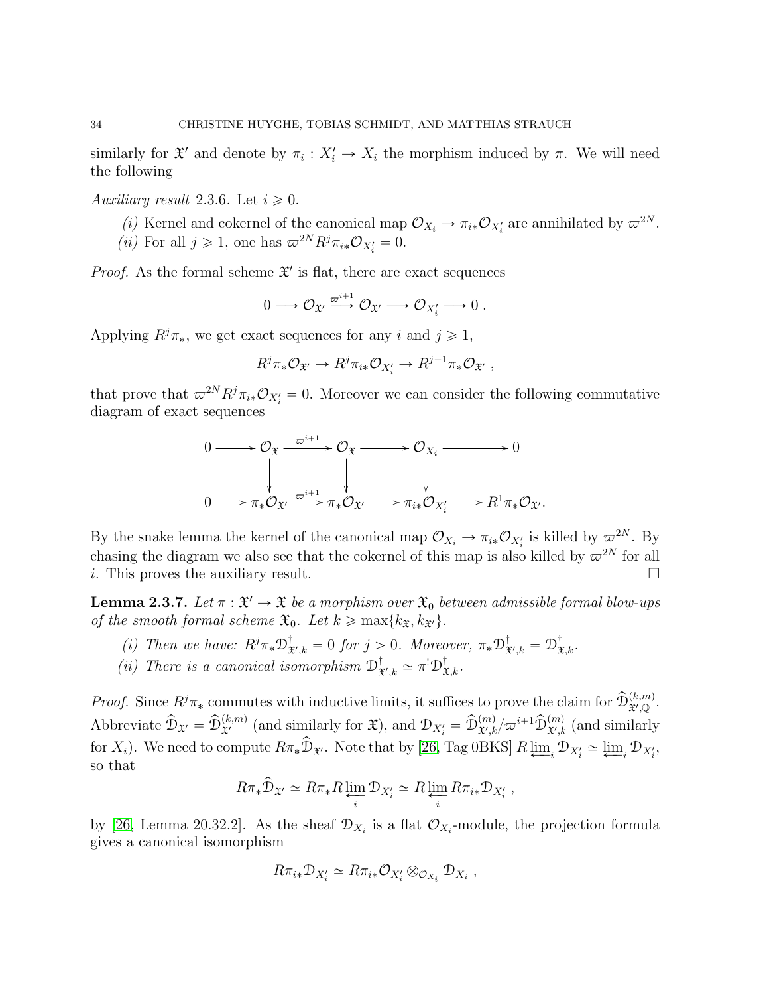similarly for  $\mathfrak{X}'$  and denote by  $\pi_i: X'_i \to X_i$  the morphism induced by  $\pi$ . We will need the following

<span id="page-33-0"></span>Auxiliary result 2.3.6. Let  $i \geqslant 0$ .

- (i) Kernel and cokernel of the canonical map  $\mathcal{O}_{X_i} \to \pi_{i*} \mathcal{O}_{X_i'}$  are annihilated by  $\varpi^{2N}$ .
- (*ii*) For all  $j \ge 1$ , one has  $\varpi^{2N} R^j \pi_{i*} \mathcal{O}_{X_i'} = 0$ .

*Proof.* As the formal scheme  $\mathfrak{X}'$  is flat, there are exact sequences

$$
0 \longrightarrow \mathcal{O}_{\mathfrak{X}'} \xrightarrow{\varpi^{i+1}} \mathcal{O}_{\mathfrak{X}'} \longrightarrow \mathcal{O}_{X'_i} \longrightarrow 0.
$$

Applying  $R^j \pi_*$ , we get exact sequences for any i and  $j \geq 1$ ,

$$
R^j \pi_* \mathcal{O}_{\mathfrak{X}'} \to R^j \pi_{i*} \mathcal{O}_{X'_i} \to R^{j+1} \pi_* \mathcal{O}_{\mathfrak{X}'},
$$

that prove that  $\omega^{2N} R^j \pi_{i*} \mathcal{O}_{X_i'} = 0$ . Moreover we can consider the following commutative diagram of exact sequences

$$
0 \longrightarrow \mathcal{O}_{\mathfrak{X}} \xrightarrow{\varpi^{i+1}} \mathcal{O}_{\mathfrak{X}} \longrightarrow \mathcal{O}_{X_i} \longrightarrow 0
$$
  

$$
0 \longrightarrow \pi_* \mathcal{O}_{\mathfrak{X}'} \xrightarrow{\varpi^{i+1}} \pi_* \mathcal{O}_{\mathfrak{X}'} \longrightarrow \pi_{i*} \mathcal{O}_{X'_i} \longrightarrow R^1 \pi_* \mathcal{O}_{\mathfrak{X}'}.
$$

By the snake lemma the kernel of the canonical map  $\mathcal{O}_{X_i} \to \pi_{i*} \mathcal{O}_{X_i}$  is killed by  $\varpi^{2N}$ . By chasing the diagram we also see that the cokernel of this map is also killed by  $\varpi^{2N}$  for all i. This proves the auxiliary result.

<span id="page-33-1"></span>**Lemma 2.3.7.** Let  $\pi : \mathfrak{X}' \to \mathfrak{X}$  be a morphism over  $\mathfrak{X}_0$  between admissible formal blow-ups of the smooth formal scheme  $\mathfrak{X}_0$ . Let  $k \geq \max\{k_{\mathfrak{X}}, k_{\mathfrak{X}'}\}.$ 

- (i) Then we have:  $R^j \pi_* \mathcal{D}^{\dagger}_{\mathfrak{Z}}$  $\mathcal{F}_{\mathcal{X}',k}^{\dagger} = 0$  for  $j > 0$ . Moreover,  $\pi_* \mathcal{D}^{\dagger}_{\mathfrak{X}}$  $_{\mathfrak{X}',k}^{\dagger}=\mathfrak{D}_{\mathfrak{X},k}^{\dagger}.$
- (*ii*) There is a canonical isomorphism  $\mathcal{D}_3^{\dagger}$  $x^{\dagger}_{x',k} \simeq \pi^! \mathcal{D}^{\dagger}_{x,k}.$

*Proof.* Since  $R^j \pi_*$  commutes with inductive limits, it suffices to prove the claim for  $\hat{\mathcal{D}}_{\mathcal{X}',\mathbb{Q}}^{(k,m)}$ . Abbreviate  $\widehat{\mathcal{D}}_{\mathfrak{X}'} = \widehat{\mathcal{D}}_{\mathfrak{X}'}^{(k,m)}$  (and similarly for  $\mathfrak{X}$ ), and  $\mathcal{D}_{X_i'} = \widehat{\mathcal{D}}_{\mathfrak{X}',k}^{(m)}/\varpi^{i+1} \widehat{\mathcal{D}}_{\mathfrak{X}',k}^{(m)}$  (and similarly for  $X_i$ ). We need to compute  $R\pi_*\hat{\mathcal{D}}_{\mathfrak{X}'}$ . Note that by [\[26,](#page-52-15) Tag 0BKS]  $R \varprojlim_i \mathcal{D}_{X'_i} \simeq \varprojlim_i \mathcal{D}_{X'_i}$ , so that

$$
R\pi_*\widehat{\mathcal{D}}_{\mathfrak{X}'}\simeq R\pi_*R\varprojlim_i \mathcal{D}_{X_i'}\simeq R\varprojlim_i R\pi_{i*}\mathcal{D}_{X_i'},
$$

by [\[26,](#page-52-15) Lemma 20.32.2]. As the sheaf  $\mathcal{D}_{X_i}$  is a flat  $\mathcal{O}_{X_i}$ -module, the projection formula gives a canonical isomorphism

$$
R\pi_{i*}\mathcal{D}_{X'_{i}} \simeq R\pi_{i*}\mathcal{O}_{X'_{i}} \otimes_{\mathcal{O}_{X_{i}}} \mathcal{D}_{X_{i}} ,
$$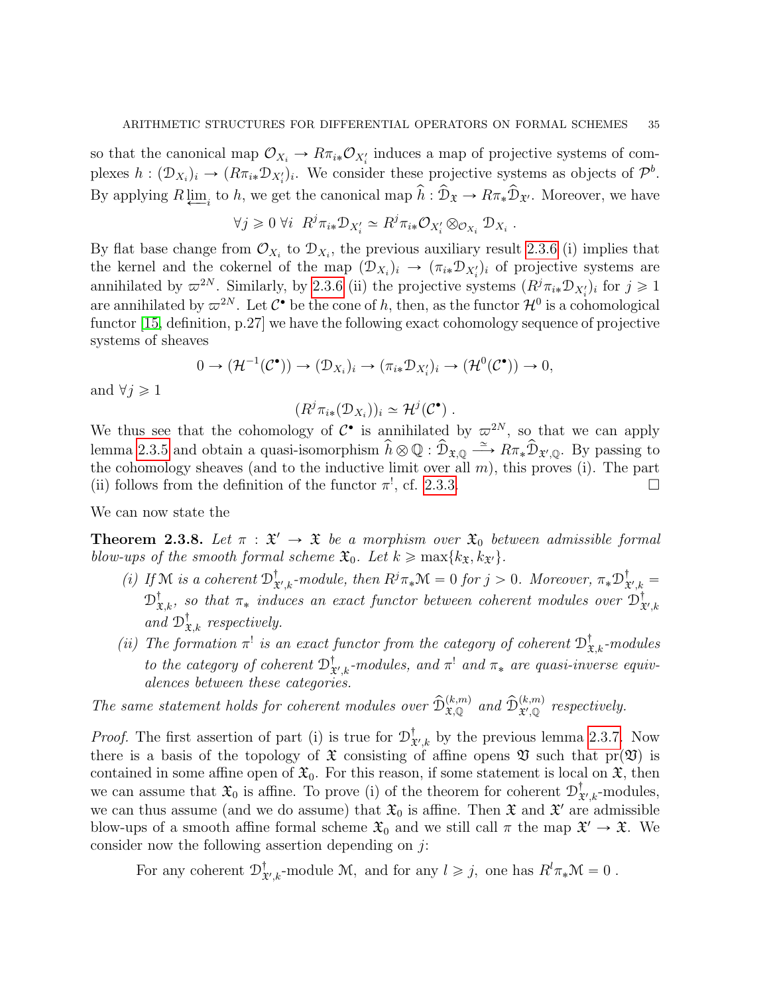so that the canonical map  $\mathcal{O}_{X_i} \to R\pi_{i*}\mathcal{O}_{X'_i}$  induces a map of projective systems of complexes  $h: (\mathcal{D}_{X_i})_i \to (R\pi_{i*}\mathcal{D}_{X_i'})_i$ . We consider these projective systems as objects of  $\mathcal{P}^b$ . By applying  $R\underline{\lim}_{i}$  to h, we get the canonical map  $\hat{h} : \hat{\mathcal{D}}_{\mathfrak{X}} \to R\pi_*\hat{\mathcal{D}}_{\mathfrak{X}'}$ . Moreover, we have

$$
\forall j \geq 0 \; \forall i \; R^j \pi_{i*} \mathcal{D}_{X_i'} \simeq R^j \pi_{i*} \mathcal{O}_{X_i'} \otimes_{\mathcal{O}_{X_i}} \mathcal{D}_{X_i} .
$$

By flat base change from  $\mathcal{O}_{X_i}$  to  $\mathcal{D}_{X_i}$ , the previous auxiliary result [2.3.6](#page-33-0) (i) implies that the kernel and the cokernel of the map  $(\mathcal{D}_{X_i})_i \to (\pi_{i*} \mathcal{D}_{X'_i})_i$  of projective systems are annihilated by  $\varpi^{2N}$ . Similarly, by [2.3.6](#page-33-0) (ii) the projective systems  $(R^j \pi_{i*} \mathcal{D}_{X'_i})_i$  for  $j \geq 1$ are annihilated by  $\varpi^{2N}$ . Let  $\mathcal{C}^{\bullet}$  be the cone of h, then, as the functor  $\mathcal{H}^0$  is a cohomological functor [\[15,](#page-52-14) definition, p.27] we have the following exact cohomology sequence of projective systems of sheaves

$$
0 \to (\mathcal{H}^{-1}(\mathcal{C}^{\bullet})) \to (\mathcal{D}_{X_i})_i \to (\pi_{i*} \mathcal{D}_{X'_i})_i \to (\mathcal{H}^0(\mathcal{C}^{\bullet})) \to 0,
$$

and  $\forall j \geq 1$ 

$$
(R^j \pi_{i*}(\mathcal{D}_{X_i}))_i \simeq \mathcal{H}^j(\mathcal{C}^{\bullet}).
$$

We thus see that the cohomology of  $\mathcal{C}^{\bullet}$  is annihilated by  $\varpi^{2N}$ , so that we can apply lemma [2.3.5](#page-32-0) and obtain a quasi-isomorphism  $\hat{h} \otimes \mathbb{Q} : \hat{\mathcal{D}}_{\mathfrak{X},\mathbb{Q}} \stackrel{\simeq}{\longrightarrow} R\pi_* \hat{\mathcal{D}}_{\mathfrak{X}',\mathbb{Q}}$ . By passing to the cohomology sheaves (and to the inductive limit over all  $m$ ), this proves (i). The part (ii) follows from the definition of the functor  $\pi^!,$  cf. [2.3.3.](#page-31-2)

We can now state the

<span id="page-34-0"></span>**Theorem 2.3.8.** Let  $\pi : \mathfrak{X}' \to \mathfrak{X}$  be a morphism over  $\mathfrak{X}_0$  between admissible formal blow-ups of the smooth formal scheme  $\mathfrak{X}_0$ . Let  $k \geq \max\{k_{\mathfrak{X}}, k_{\mathfrak{X}'}\}.$ 

- (*i*) If M is a coherent  $\mathcal{D}_3^{\dagger}$  $_{\mathfrak{X}',k}^{\dagger}\text{-module, then }R^{j}\pi_{*}\mathfrak{M}=0$  for  $j>0$ . Moreover,  $\pi_{*}\mathfrak{D}^{\dagger}_{\mathfrak{X}}$  $x_{k'} =$  $\mathcal{D}^{\dagger}_{\mathfrak{X},k}$ , so that  $\pi_*$  induces an exact functor between coherent modules over  $\mathcal{D}^{\dagger}_{\mathfrak{X}}$  $\mathfrak{X}', k$ and  $\mathcal{D}^{\dagger}_{\mathfrak{X},k}$  respectively.
- (ii) The formation  $\pi^!$  is an exact functor from the category of coherent  $\mathcal{D}^{\dagger}_{\mathfrak{X},k}$ -modules to the category of coherent  $\mathcal{D}_3^{\dagger}$  $_{\mathfrak{X}',k}^{\dagger}\text{-modules}, \text{ and } \pi^! \text{ and } \pi_* \text{ are quasi-inverse equiv-}$ alences between these categories.

The same statement holds for coherent modules over  $\hat{D}_{\mathfrak{X},\mathbb{Q}}^{(k,m)}$  and  $\hat{D}_{\mathfrak{X}',\mathbb{Q}}^{(k,m)}$  respectively.

*Proof.* The first assertion of part (i) is true for  $\mathcal{D}_3^{\dagger}$  $_{\mathfrak{X}',k}^{\dagger}$  by the previous lemma [2.3.7.](#page-33-1) Now there is a basis of the topology of  $\mathfrak X$  consisting of affine opens  $\mathfrak V$  such that  $pr(\mathfrak V)$  is contained in some affine open of  $\mathfrak{X}_0$ . For this reason, if some statement is local on  $\mathfrak{X}$ , then we can assume that  $\mathfrak{X}_0$  is affine. To prove (i) of the theorem for coherent  $\mathcal{D}^{\dagger}_3$  ${}^{\mathbb{T}}_{\mathfrak{X}',k}$ -modules, we can thus assume (and we do assume) that  $\mathfrak{X}_0$  is affine. Then  $\mathfrak{X}$  and  $\mathfrak{X}'$  are admissible blow-ups of a smooth affine formal scheme  $\mathfrak{X}_0$  and we still call  $\pi$  the map  $\mathfrak{X}' \to \mathfrak{X}$ . We consider now the following assertion depending on  $j$ :

For any coherent  $\mathcal{D}^{\dagger}_{\mathbf{A}}$  $^{\dagger}_{\mathfrak{X}',k}$ -module M, and for any  $l \geqslant j$ , one has  $R^l \pi_* \mathfrak{M} = 0$ .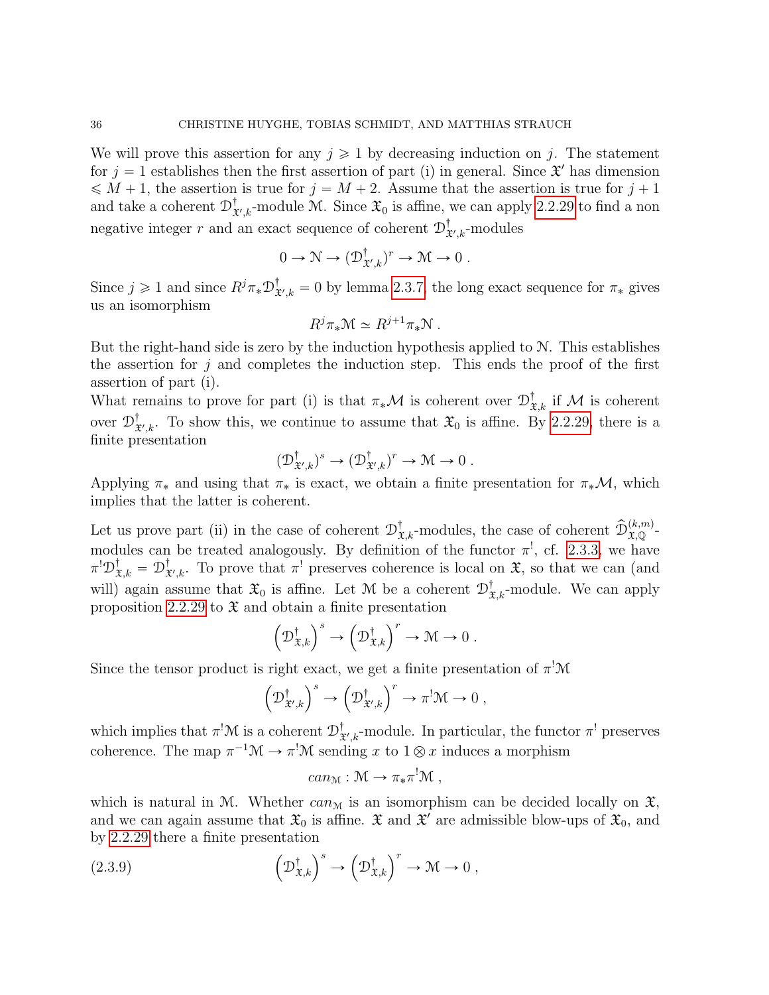We will prove this assertion for any  $j \geq 1$  by decreasing induction on j. The statement for  $j = 1$  establishes then the first assertion of part (i) in general. Since  $\mathfrak{X}'$  has dimension  $\leqslant M + 1$ , the assertion is true for  $j = M + 2$ . Assume that the assertion is true for  $j + 1$ and take a coherent  $\mathcal{D}_3^{\dagger}$  $\mathfrak{X}_{\mathcal{X},k}^{\dagger}$ -module M. Since  $\mathfrak{X}_0$  is affine, we can apply [2.2.29](#page-0-1) to find a non negative integer r and an exact sequence of coherent  $\mathcal{D}_3^{\dagger}$  ${}^{\mathbb{T}}_{\mathfrak{X}',k}$ -modules

$$
0 \to \mathcal{N} \to (\mathcal{D}^{\dagger}_{\mathfrak{X}',k})^r \to \mathcal{M} \to 0.
$$

Since  $j \geq 1$  and since  $R^j \pi_* \mathcal{D}_3^{\dagger}$  $X_{\mathcal{X},k}^{\dagger} = 0$  by lemma [2.3.7,](#page-33-1) the long exact sequence for  $\pi_*$  gives us an isomorphism

$$
R^j \pi_* \mathcal{M} \simeq R^{j+1} \pi_* \mathcal{N} \ .
$$

But the right-hand side is zero by the induction hypothesis applied to N. This establishes the assertion for  $j$  and completes the induction step. This ends the proof of the first assertion of part (i).

What remains to prove for part (i) is that  $\pi_*\mathcal{M}$  is coherent over  $\mathcal{D}^{\dagger}_{\mathfrak{X},k}$  if  $\mathcal M$  is coherent over  $\mathcal{D}^{\dagger}_{\mathbf{a}}$  $\mathfrak{X}_{k',k}$ . To show this, we continue to assume that  $\mathfrak{X}_0$  is affine. By [2.2.29,](#page-0-1) there is a finite presentation

$$
(\mathcal{D}^{\dagger}_{\mathfrak{X}',k})^s \to (\mathcal{D}^{\dagger}_{\mathfrak{X}',k})^r \to \mathcal{M} \to 0.
$$

Applying  $\pi_*$  and using that  $\pi_*$  is exact, we obtain a finite presentation for  $\pi_*\mathcal{M}$ , which implies that the latter is coherent.

Let us prove part (ii) in the case of coherent  $\mathcal{D}^{\dagger}_{\mathfrak{X},k}$ -modules, the case of coherent  $\widehat{\mathcal{D}}_{\mathfrak{X},\mathbb{Q}}^{(k,m)}$ modules can be treated analogously. By definition of the functor  $\pi^!,$  cf. [2.3.3,](#page-31-2) we have  $\pi^! \mathfrak{D}^{\dagger}_{\mathfrak{X},k} = \mathfrak{D}^{\dagger}_{\mathfrak{X}}$  $\mathcal{X}_{\mathcal{X},k}^{\dagger}$ . To prove that  $\pi^!$  preserves coherence is local on  $\mathcal{X}$ , so that we can (and will) again assume that  $\mathfrak{X}_0$  is affine. Let M be a coherent  $\mathcal{D}^{\dagger}_{\mathfrak{X},k}$ -module. We can apply proposition [2.2.29](#page-0-1) to  $\mathfrak{X}$  and obtain a finite presentation<br> $\left(\mathcal{D}^{\dagger}_{\mathfrak{X},k}\right)^s \to \left(\mathcal{D}^{\dagger}_{\mathfrak{X},k}\right)^r \to \mathcal{M}$ 

$$
\left(\mathcal{D}^{\dagger}_{\mathfrak{X},k}\right)^s\to\left(\mathcal{D}^{\dagger}_{\mathfrak{X},k}\right)^r\to\mathcal{M}\to 0.
$$

Since the tensor product is right exact, we get a finite presentation of  $\pi^!\mathcal{M}$ <br> $\left(\mathcal{D}^{\dagger}_{\mathfrak{X}',k}\right)^s \to \left(\mathcal{D}^{\dagger}_{\mathfrak{X}',k}\right)^r \to \pi^!\mathcal{M} \to 0$ ,

$$
\left(\mathcal{D}^{\dagger}_{\mathfrak{X}',k}\right)^s \to \left(\mathcal{D}^{\dagger}_{\mathfrak{X}',k}\right)^r \to \pi^!\mathcal{M} \to 0,
$$

which implies that  $\pi^! \mathcal{M}$  is a coherent  $\mathcal{D}_3^{\dagger}$  $\mathbf{x}^{\dagger}_{k,k}$ -module. In particular, the functor  $\pi^!$  preserves coherence. The map  $\pi^{-1} \mathcal{M} \to \pi^! \mathcal{M}$  sending x to  $1 \otimes x$  induces a morphism

<span id="page-35-0"></span>
$$
can_{\mathcal{M}} : \mathcal{M} \to \pi_* \pi^! \mathcal{M} ,
$$

which is natural in M. Whether  $can_{\mathcal{M}}$  is an isomorphism can be decided locally on  $\mathfrak{X}$ , and we can again assume that  $\mathfrak{X}_0$  is affine.  $\mathfrak{X}$  and  $\mathfrak{X}'$  are admissible blow-ups of  $\mathfrak{X}_0$ , and by [2.2.29](#page-0-1) there a finite presentation

(2.3.9) 
$$
\left(\mathcal{D}^{\dagger}_{\mathfrak{X},k}\right)^s \to \left(\mathcal{D}^{\dagger}_{\mathfrak{X},k}\right)^r \to \mathcal{M} \to 0,
$$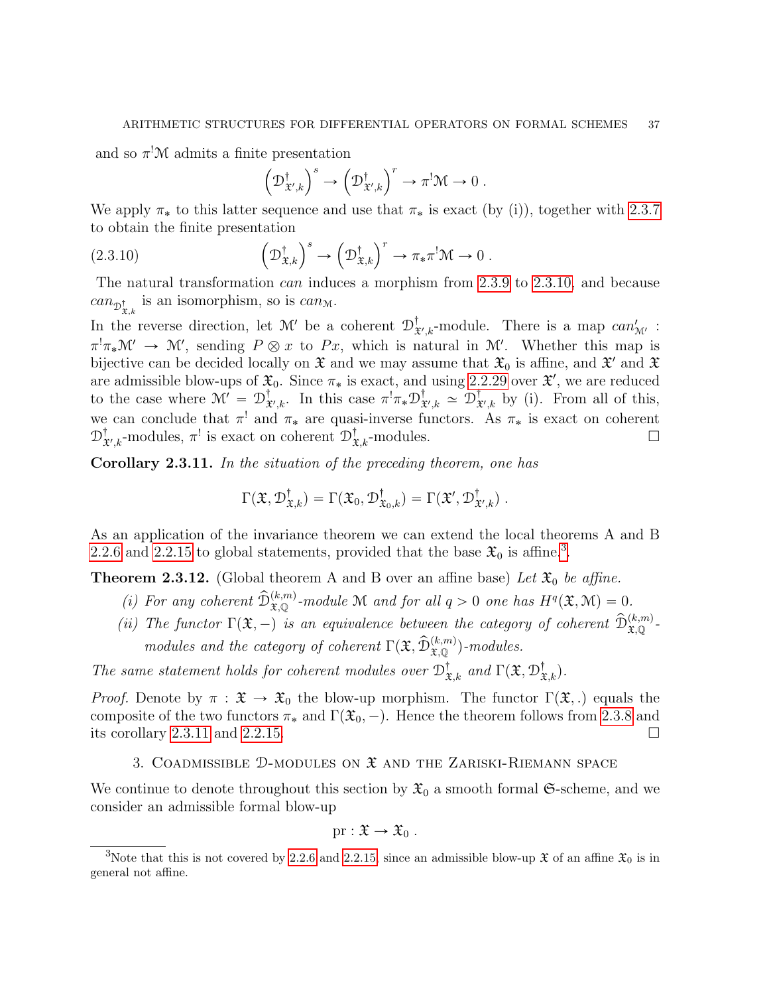and so  $\pi^! \mathcal{M}$  admits a finite presentation<br> $\left(\mathcal{D}^{\dagger}_{\mathfrak{X}',k}\right)^s \to \left(\right)$ 

<span id="page-36-2"></span>
$$
\left(\mathcal{D}^{\dagger}_{\mathfrak{X}',k}\right)^s \to \left(\mathcal{D}^{\dagger}_{\mathfrak{X}',k}\right)^r \to \pi^!\mathcal{M} \to 0.
$$

We apply  $\pi_*$  to this latter sequence and use that  $\pi_*$  is exact (by (i)), together with [2.3.7](#page-33-1)  $\mathbf{r}$ 

to obtain the finite presentation  
(2.3.10) 
$$
\left(\mathcal{D}^{\dagger}_{\mathfrak{X},k}\right)^s \to \left(\mathcal{D}^{\dagger}_{\mathfrak{X},k}\right)^r \to \pi_*\pi^!\mathcal{M} \to 0.
$$

The natural transformation can induces a morphism from [2.3.9](#page-35-0) to [2.3.10,](#page-36-2) and because  $can_{\mathcal{D}^{\dagger}_{\mathbf{x},k}}$  is an isomorphism, so is  $can_{\mathcal{M}}$ .

In the reverse direction, let  $\mathcal{M}'$  be a coherent  $\mathcal{D}_3^{\dagger}$  $_{\mathfrak{X}',k}^{\dagger}$ -module. There is a map  $can'_{\mathfrak{M}'}$ :  $\pi^!\pi_*\mathcal{M}' \to \mathcal{M}'$ , sending  $P \otimes x$  to  $Px$ , which is natural in  $\mathcal{M}'$ . Whether this map is bijective can be decided locally on  $\mathfrak X$  and we may assume that  $\mathfrak X_0$  is affine, and  $\mathfrak X'$  and  $\mathfrak X$ are admissible blow-ups of  $\mathfrak{X}_0$ . Since  $\pi_*$  is exact, and using [2.2.29](#page-0-1) over  $\mathfrak{X}'$ , we are reduced to the case where  $\mathcal{M}' = \mathcal{D}_{3}^{\dagger}$  $^{\dagger}_{\mathfrak{X}',k}$ . In this case  $\pi^!\pi_*\mathfrak{D}^{\dagger}_{\mathfrak{X}}$  $\mathfrak{x'}_{k}$   $\simeq$   $\mathcal{D}^{\dagger}_{\mathfrak{X}}$  $_{\mathfrak{X}',k}^{\dagger}$  by (i). From all of this, we can conclude that  $\pi^!$  and  $\pi_*$  are quasi-inverse functors. As  $\pi_*$  is exact on coherent  ${\mathcal{D}}_{\mathtt{3}}^{\dagger}$  $\mathcal{L}_{\mathcal{X},k}^{\dagger}$ -modules,  $\pi^!$  is exact on coherent  $\mathcal{D}^{\dagger}_{\mathcal{X},k}$ -modules.

<span id="page-36-4"></span>Corollary 2.3.11. In the situation of the preceding theorem, one has

$$
\Gamma(\mathfrak{X}, \mathcal{D}^{\dagger}_{\mathfrak{X},k}) = \Gamma(\mathfrak{X}_0, \mathcal{D}^{\dagger}_{\mathfrak{X}_0,k}) = \Gamma(\mathfrak{X}', \mathcal{D}^{\dagger}_{\mathfrak{X}',k}) \ .
$$

As an application of the invariance theorem we can extend the local theorems A and B [2.2.6](#page-13-0) and [2.2.15](#page-18-0) to global statements, provided that the base  $\mathfrak{X}_0$  is affine.<sup>[3](#page-36-3)</sup>.

<span id="page-36-1"></span>**Theorem 2.3.12.** (Global theorem A and B over an affine base) Let  $\mathfrak{X}_0$  be affine.

- (i) For any coherent  $\widehat{\mathcal{D}}_{\mathfrak{X},\mathbb{Q}}^{(k,m)}$ -module M and for all  $q > 0$  one has  $H^q(\mathfrak{X},\mathcal{M}) = 0$ .
- (ii) The functor  $\Gamma(\mathfrak{X},-)$  is an equivalence between the category of coherent  $\widehat{\mathcal{D}}_{\mathfrak{X},\mathbb{Q}}^{(k,m)}$ . modules and the category of coherent  $\Gamma(\mathfrak{X}, \widehat{\mathfrak{D}}^{(k,m)}_{\mathfrak{X},\mathbb{Q}})$ -modules.

The same statement holds for coherent modules over  $\mathcal{D}^{\dagger}_{\mathfrak{X},k}$  and  $\Gamma(\mathfrak{X}, \mathcal{D}^{\dagger}_{\mathfrak{X},k})$ .

*Proof.* Denote by  $\pi : \mathfrak{X} \to \mathfrak{X}_0$  the blow-up morphism. The functor  $\Gamma(\mathfrak{X},.)$  equals the composite of the two functors  $\pi_*$  and  $\Gamma(\mathfrak{X}_0, -)$ . Hence the theorem follows from [2.3.8](#page-34-0) and its corollary [2.3.11](#page-36-4) and [2.2.15.](#page-18-0)

3. COADMISSIBLE  $D$ -MODULES ON  $\mathfrak X$  AND THE ZARISKI-RIEMANN SPACE

<span id="page-36-0"></span>We continue to denote throughout this section by  $\mathfrak{X}_0$  a smooth formal  $\mathfrak{S}\text{-scheme}$ , and we consider an admissible formal blow-up

$$
\mathrm{pr}:\mathfrak{X}\to\mathfrak{X}_0\;.
$$

<span id="page-36-3"></span><sup>&</sup>lt;sup>3</sup>Note that this is not covered by [2.2.6](#page-13-0) and [2.2.15,](#page-18-0) since an admissible blow-up  $\mathfrak{X}$  of an affine  $\mathfrak{X}_0$  is in general not affine.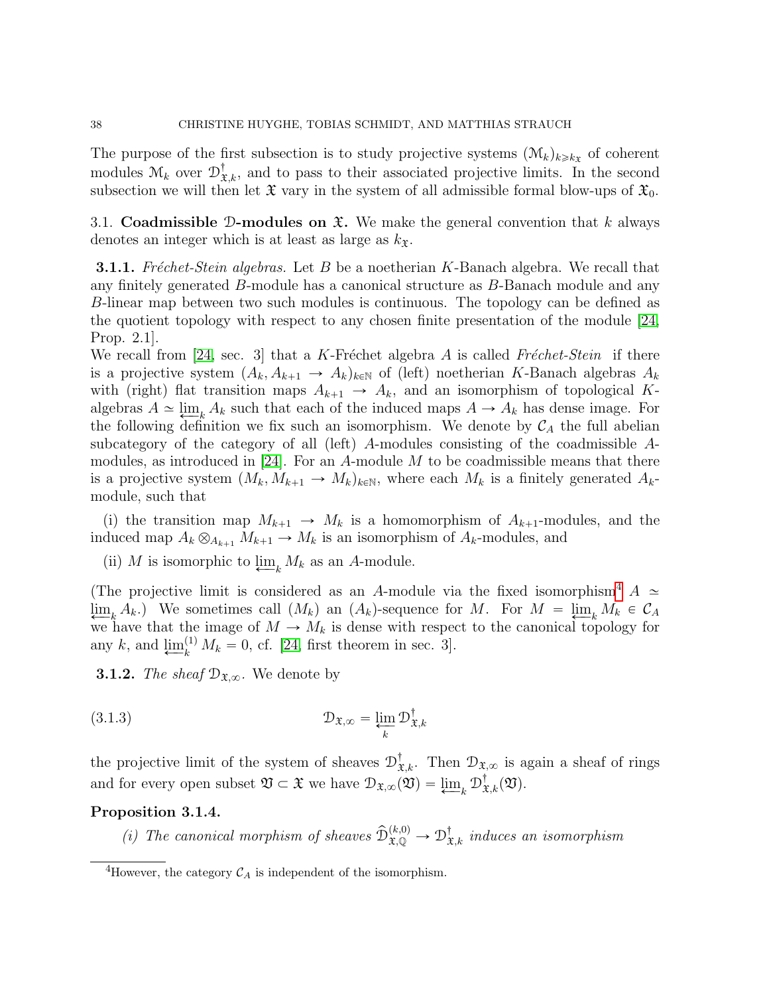The purpose of the first subsection is to study projective systems  $(\mathcal{M}_k)_{k\geq k}$  of coherent modules  $\mathcal{M}_k$  over  $\mathcal{D}^{\dagger}_{\mathfrak{X},k}$ , and to pass to their associated projective limits. In the second subsection we will then let  $\mathfrak X$  vary in the system of all admissible formal blow-ups of  $\mathfrak X_0$ .

<span id="page-37-0"></span>3.1. Coadmissible D-modules on  $\mathfrak{X}$ . We make the general convention that k always denotes an integer which is at least as large as  $k_{\mathfrak{X}}$ .

**3.1.1.** Fréchet-Stein algebras. Let B be a noetherian K-Banach algebra. We recall that any finitely generated B-module has a canonical structure as B-Banach module and any B-linear map between two such modules is continuous. The topology can be defined as the quotient topology with respect to any chosen finite presentation of the module [\[24,](#page-52-4) Prop. 2.1].

We recall from [\[24,](#page-52-4) sec. 3] that a K-Fréchet algebra A is called Fréchet-Stein if there is a projective system  $(A_k, A_{k+1} \rightarrow A_k)_{k \in \mathbb{N}}$  of (left) noetherian K-Banach algebras  $A_k$ with (right) flat transition maps  $A_{k+1} \to A_k$ , and an isomorphism of topological Kalgebras  $A \simeq \lim_{k \to \infty} A_k$  such that each of the induced maps  $A \to A_k$  has dense image. For the following definition we fix such an isomorphism. We denote by  $C_A$  the full abelian subcategory of the category of all (left) A-modules consisting of the coadmissible Amodules, as introduced in  $[24]$ . For an A-module M to be coadmissible means that there is a projective system  $(M_k, M_{k+1} \to M_k)_{k \in \mathbb{N}}$ , where each  $M_k$  is a finitely generated  $A_k$ module, such that

(i) the transition map  $M_{k+1} \to M_k$  is a homomorphism of  $A_{k+1}$ -modules, and the induced map  $A_k \otimes_{A_{k+1}} M_{k+1} \to M_k$  is an isomorphism of  $A_k$ -modules, and

(ii) M is isomorphic to  $\lim_{k} M_k$  as an A-module.

(The projective limit is considered as an A-module via the fixed isomorphism<sup>[4](#page-37-1)</sup> A  $\simeq$  $\lim_{k \to \infty} A_k$ .) We sometimes call  $(M_k)$  an  $(A_k)$ -sequence for M. For  $M = \lim_{k \to \infty} M_k \in \mathcal{C}_A$ we have that the image of  $M \to M_k$  is dense with respect to the canonical topology for any k, and  $\underline{\lim}_{k}^{(1)} M_{k} = 0$ , cf. [\[24,](#page-52-4) first theorem in sec. 3].

**3.1.2.** The sheaf  $\mathcal{D}_{\mathfrak{X},\infty}$ . We denote by

(3.1.3) 
$$
\mathcal{D}_{\mathfrak{X},\infty} = \varprojlim_{k} \mathcal{D}_{\mathfrak{X},k}^{\dagger}
$$

the projective limit of the system of sheaves  $\mathcal{D}^{\dagger}_{\mathfrak{X},k}$ . Then  $\mathcal{D}_{\mathfrak{X},\infty}$  is again a sheaf of rings and for every open subset  $\mathfrak{V} \subset \mathfrak{X}$  we have  $\mathcal{D}_{\mathfrak{X},\infty}(\mathfrak{V}) = \varprojlim_k \mathcal{D}_{\mathfrak{X},k}^{\dagger}(\mathfrak{V}).$ 

# Proposition 3.1.4.

(i) The canonical morphism of sheaves  $\widehat{\mathcal{D}}_{\mathfrak{X},\mathbb{Q}}^{(k,0)} \to \mathcal{D}_{\mathfrak{X},k}^{\dagger}$  induces an isomorphism

<span id="page-37-1"></span><sup>&</sup>lt;sup>4</sup>However, the category  $\mathcal{C}_A$  is independent of the isomorphism.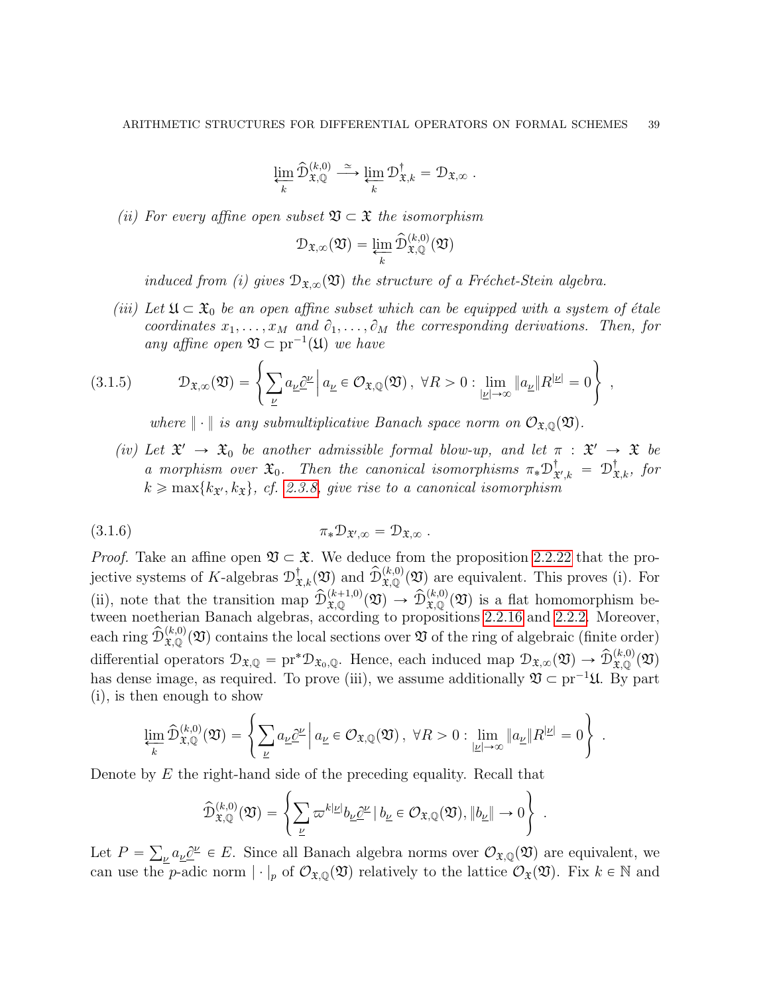$$
\varprojlim_k \widehat {\mathcal D}_{\mathfrak X,{\mathbb Q}}^{(k,0)} \stackrel{\simeq}{\longrightarrow} \varprojlim_k {\mathcal D}_{\mathfrak X,k}^\dagger = {\mathcal D}_{\mathfrak X,\infty}\;.
$$

(ii) For every affine open subset  $\mathfrak{V} \subset \mathfrak{X}$  the isomorphism

$$
\mathcal{D}_{\mathfrak{X}, \infty}(\mathfrak{V}) = \varprojlim_k \widehat{\mathcal{D}}_{\mathfrak{X}, \mathbb{Q}}^{(k, 0)}(\mathfrak{V})
$$

induced from (i) gives  $\mathcal{D}_{\mathfrak{X},\infty}(\mathfrak{Y})$  the structure of a Fréchet-Stein algebra.

(iii) Let  $\mathfrak{U} \subset \mathfrak{X}_0$  be an open affine subset which can be equipped with a system of étale coordinates  $x_1, \ldots, x_M$  and  $\partial_1, \ldots, \partial_M$  the corresponding derivations. Then, for any affine open  $\mathfrak{V} \subset \mathrm{pr}^{-1}(\mathfrak{U})$  we have +

(3.1.5) 
$$
\mathcal{D}_{\mathfrak{X},\infty}(\mathfrak{Y}) = \left\{ \sum_{\underline{\nu}} a_{\underline{\nu}} \underline{\partial}^{\underline{\nu}} \Big| a_{\underline{\nu}} \in \mathcal{O}_{\mathfrak{X},\mathbb{Q}}(\mathfrak{Y}), \ \forall R > 0 : \lim_{|\underline{\nu}| \to \infty} \| a_{\underline{\nu}} \| R^{|\underline{\nu}|} = 0 \right\},
$$

<span id="page-38-0"></span>where  $\|\cdot\|$  is any submultiplicative Banach space norm on  $\mathcal{O}_{\mathfrak{X},\mathbb{Q}}(\mathfrak{Y})$ .

(iv) Let  $\mathfrak{X}' \to \mathfrak{X}_0$  be another admissible formal blow-up, and let  $\pi : \mathfrak{X}' \to \mathfrak{X}$  be a morphism over  $\mathfrak{X}_0$ . Then the canonical isomorphisms  $\pi_* \mathfrak{D}_\mathfrak{X}^\dagger$  $\mathbf{x}^{\dagger}_{\mathbf{x}',k} = \mathcal{D}^{\dagger}_{\mathbf{x},k}, \text{ for }$  $k \ge \max\{k_{\mathfrak{X}'}, k_{\mathfrak{X}}\},\$  cf. [2.3.8,](#page-34-0) give rise to a canonical isomorphism

$$
\pi_* \mathcal{D}_{\mathfrak{X}',\infty} = \mathcal{D}_{\mathfrak{X},\infty} \ .
$$

*Proof.* Take an affine open  $\mathfrak{V} \subset \mathfrak{X}$ . We deduce from the proposition [2.2.22](#page-23-0) that the projective systems of K-algebras  $\mathcal{D}^{\dagger}_{\mathfrak{X},k}(\mathfrak{Y})$  and  $\widehat{\mathcal{D}}^{(k,0)}_{\mathfrak{X},\mathbb{Q}}(\mathfrak{Y})$  are equivalent. This proves (i). For (ii), note that the transition map  $\widehat{\mathcal{D}}_{\mathfrak{X},\mathbb{Q}}^{(k+1,0)}(\mathfrak{Y}) \to \widehat{\mathcal{D}}_{\mathfrak{X},\mathbb{Q}}^{(k,0)}(\mathfrak{Y})$  is a flat homomorphism between noetherian Banach algebras, according to propositions [2.2.16](#page-19-0) and [2.2.2.](#page-11-1) Moreover, each ring  $\widehat{\mathcal{D}}_{\mathfrak{X},\mathbb{Q}}^{(k,0)}(\mathfrak{V})$  contains the local sections over  $\mathfrak{V}$  of the ring of algebraic (finite order) differential operators  $\mathcal{D}_{\mathfrak{X},\mathbb{Q}} = \text{pr}^*\mathcal{D}_{\mathfrak{X}_0,\mathbb{Q}}$ . Hence, each induced map  $\mathcal{D}_{\mathfrak{X},\infty}(\mathfrak{Y}) \to \hat{\mathcal{D}}_{\mathfrak{X},\mathbb{Q}}^{(k,0)}(\mathfrak{Y})$ has dense image, as required. To prove (iii), we assume additionally  $\mathfrak{V} \subset \text{pr}^{-1} \mathfrak{U}$ . By part (i), is then enough to show  $\frac{1}{2}$ 

$$
\lim_{k} \widehat{\mathcal{D}}_{\mathfrak{X},\mathbb{Q}}^{(k,0)}(\mathfrak{V}) = \left\{ \sum_{\underline{\nu}} a_{\underline{\nu}} \underline{\partial}^{\underline{\nu}} \, \Big| \, a_{\underline{\nu}} \in \mathcal{O}_{\mathfrak{X},\mathbb{Q}}(\mathfrak{V}), \ \forall R > 0 : \lim_{|\underline{\nu}| \to \infty} \| a_{\underline{\nu}} \| R^{|\underline{\nu}|} = 0 \right\} \ .
$$

Denote by  $E$  the right-hand side of the preceding equality. Recall that

$$
\widehat{\mathcal{D}}_{\mathfrak{X},\mathbb{Q}}^{(k,0)}(\mathfrak{V}) = \left\{ \sum_{\underline{\nu}} \varpi^{k|\underline{\nu}|} b_{\underline{\nu}} \underline{\partial}^{\underline{\nu}} \, | \, b_{\underline{\nu}} \in \mathcal{O}_{\mathfrak{X},\mathbb{Q}}(\mathfrak{V}), \|b_{\underline{\nu}}\| \to 0 \right\} \, .
$$

Let  $P =$  $u_{\mu}a_{\mu}\partial^{\mu} \in E$ . Since all Banach algebra norms over  $\mathcal{O}_{\mathfrak{X},\mathbb{Q}}(\mathfrak{V})$  are equivalent, we can use the p-adic norm  $|\cdot|_p$  of  $\mathcal{O}_{\mathfrak{X},\mathbb{Q}}(\mathfrak{Y})$  relatively to the lattice  $\mathcal{O}_{\mathfrak{X}}(\mathfrak{Y})$ . Fix  $k \in \mathbb{N}$  and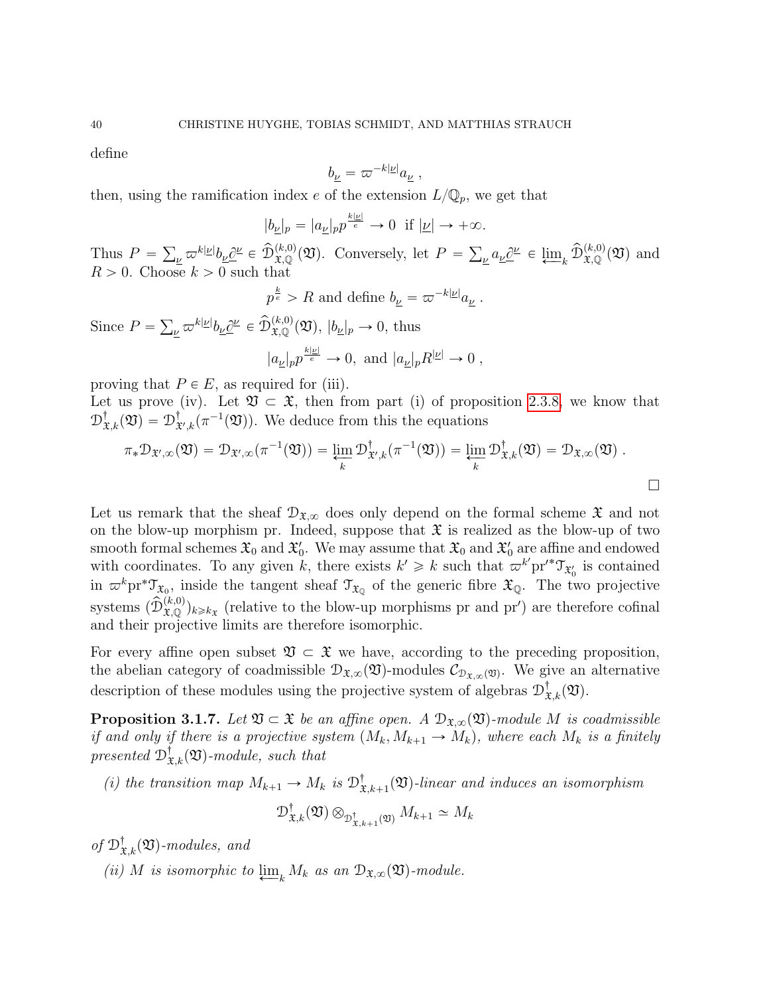define

$$
b_{\underline{\nu}} = \varpi^{-k|\underline{\nu}|} a_{\underline{\nu}} \;,
$$

then, using the ramification index e of the extension  $L/\mathbb{Q}_p$ , we get that

$$
|b_{\underline{\nu}}|_p = |a_{\underline{\nu}}|_p p^{\frac{k|\underline{\nu}|}{e}} \to 0 \text{ if } |\underline{\nu}| \to +\infty.
$$

Thus  $P =$  $v_{\nu} \varpi^{k|\underline{\nu}|} b_{\underline{\nu}} \underline{\partial}^{\underline{\nu}} \in \widehat{\mathcal{D}}_{\mathfrak{X},\mathbb{Q}}^{(k,0)}(\mathfrak{V}).$  Conversely, let  $P =$  $\underline{\psi} a_{\underline{\nu}} \underline{\partial}^{\underline{\nu}} \in \underline{\lim}_{k} \widehat{\mathcal{D}}_{\mathfrak{X},\mathbb{Q}}^{(k,0)}(\mathfrak{V})$  and  $R > 0$ . Choose  $k > 0$  such that

$$
p^{\frac{k}{e}} > R
$$
 and define  $b_{\underline{\nu}} = \varpi^{-k|\underline{\nu}|} a_{\underline{\nu}}$ .

Since  $P =$  $v_{\nu} \varpi^{k|\underline{\nu}|} b_{\underline{\nu}} \underline{\partial}^{\underline{\nu}} \in \widehat{\mathcal{D}}_{\mathfrak{X},\mathbb{Q}}^{(k,0)}(\mathfrak{Y}), |b_{\underline{\nu}}|_{p} \to 0$ , thus  $k|\underline{\nu}|$ 

$$
|a_{\underline{\nu}}|_p p^{\frac{k|\underline{\nu}|}{e}} \to 0
$$
, and  $|a_{\underline{\nu}}|_p R^{|\underline{\nu}|} \to 0$ ,

proving that  $P \in E$ , as required for (iii).

Let us prove (iv). Let  $\mathfrak{V} \subset \mathfrak{X}$ , then from part (i) of proposition [2.3.8,](#page-34-0) we know that  $\mathcal{D}^{\dagger}_{\mathfrak{X},k}(\mathfrak{V})=\mathcal{D}^{\dagger}_{\mathfrak{X}}$  $\mathcal{L}_{\mathcal{X},k}^{\dagger}(\pi^{-1}(\mathfrak{V}))$ . We deduce from this the equations

$$
\pi_* \mathcal{D}_{\mathfrak{X}',\infty}(\mathfrak{V}) = \mathcal{D}_{\mathfrak{X}',\infty}(\pi^{-1}(\mathfrak{V})) = \varprojlim_k \mathcal{D}^{\dagger}_{\mathfrak{X}',k}(\pi^{-1}(\mathfrak{V})) = \varprojlim_k \mathcal{D}^{\dagger}_{\mathfrak{X},k}(\mathfrak{V}) = \mathcal{D}_{\mathfrak{X},\infty}(\mathfrak{V}) .
$$

Let us remark that the sheaf  $\mathcal{D}_{\mathfrak{X},\infty}$  does only depend on the formal scheme  $\mathfrak{X}$  and not on the blow-up morphism pr. Indeed, suppose that  $\mathfrak X$  is realized as the blow-up of two smooth formal schemes  $\mathfrak{X}_0$  and  $\mathfrak{X}'_0$ . We may assume that  $\mathfrak{X}_0$  and  $\mathfrak{X}'_0$  are affine and endowed with coordinates. To any given k, there exists  $k' \geq k$  such that  $\varpi^{k'}$ pr'<sup>\*</sup>T<sub>x'</sub> is contained in  $\varpi^k$ pr<sup>\*</sup> $\mathcal{T}_{\mathfrak{X}_0}$ , inside the tangent sheaf  $\mathcal{T}_{\mathfrak{X}_\mathbb{Q}}$  of the generic fibre  $\mathfrak{X}_\mathbb{Q}$ . The two projective systems  $(\widehat{\mathcal{D}}_{\mathfrak{X},\mathbb{Q}}^{(k,0)})_{k\geq k_{\mathfrak{X}}}$  (relative to the blow-up morphisms pr and pr') are therefore cofinal and their projective limits are therefore isomorphic.

For every affine open subset  $\mathfrak{V} \subset \mathfrak{X}$  we have, according to the preceding proposition, the abelian category of coadmissible  $\mathcal{D}_{\mathfrak{X},\infty}(\mathfrak{Y})$ -modules  $\mathcal{C}_{\mathfrak{D}_{\mathfrak{X},\infty}(\mathfrak{Y})}$ . We give an alternative description of these modules using the projective system of algebras  $\mathcal{D}^{\dagger}_{\mathfrak{X},k}(\mathfrak{Y})$ .

<span id="page-39-0"></span>**Proposition 3.1.7.** Let  $\mathfrak{V} \subset \mathfrak{X}$  be an affine open. A  $\mathcal{D}_{\mathfrak{X},\infty}(\mathfrak{V})$ -module M is coadmissible if and only if there is a projective system  $(M_k, M_{k+1} \to M_k)$ , where each  $M_k$  is a finitely presented  $\mathcal{D}^{\dagger}_{\mathfrak{X},k}(\mathfrak{V})$ -module, such that

(i) the transition map  $M_{k+1} \to M_k$  is  $\mathcal{D}_{\mathfrak{X}}^{\dagger}$  $X_{\mathfrak{X},k+1}(\mathfrak{V})$ -linear and induces an isomorphism

$$
\mathcal{D}^{\dagger}_{\mathfrak{X},k}(\mathfrak{Y}) \otimes_{\mathcal{D}^{\dagger}_{\mathfrak{X},k+1}(\mathfrak{Y})} M_{k+1} \simeq M_k
$$

of  $\mathcal{D}^{\dagger}_{\mathfrak{X},k}(\mathfrak{Y})$ -modules, and

(ii) M is isomorphic to  $\varprojlim_k M_k$  as an  $\mathfrak{D}_{\mathfrak{X},\infty}(\mathfrak{Y})$ -module.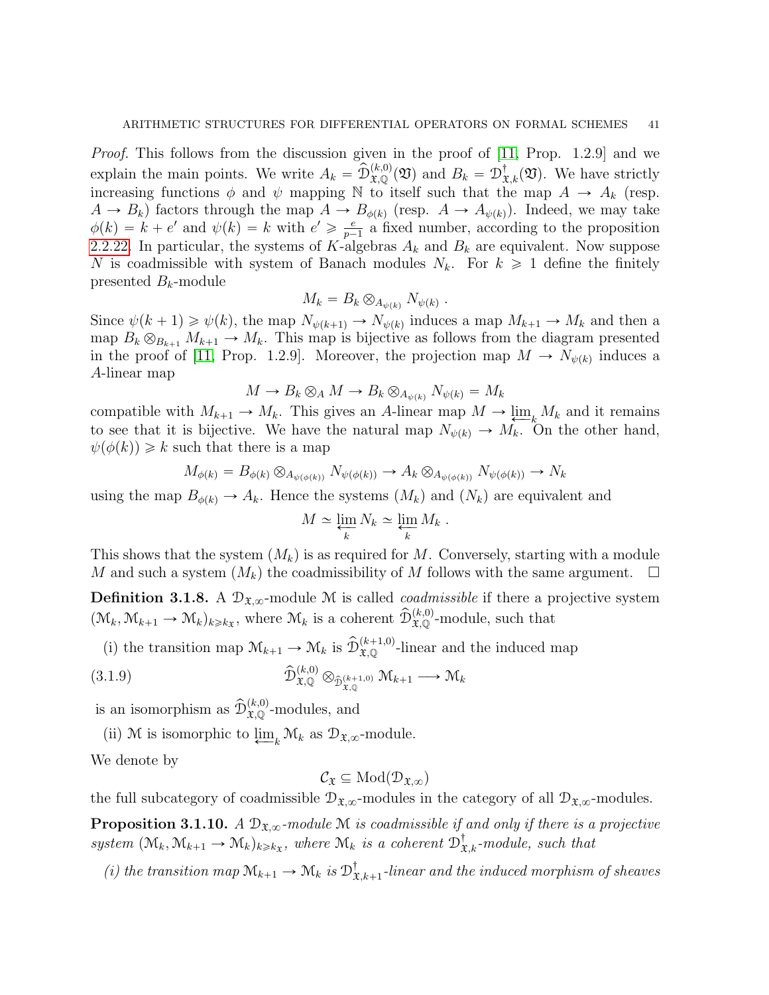Proof. This follows from the discussion given in the proof of [\[11,](#page-52-16) Prop. 1.2.9] and we explain the main points. We write  $A_k = \widehat{\mathcal{D}}_{\mathfrak{X},\mathbb{Q}}^{(k,0)}(\mathfrak{V})$  and  $B_k = \mathcal{D}_{\mathfrak{X},k}^{\dagger}(\mathfrak{V})$ . We have strictly increasing functions  $\phi$  and  $\psi$  mapping N to itself such that the map  $A \to A_k$  (resp.  $A \to B_k$ ) factors through the map  $A \to B_{\phi(k)}$  (resp.  $A \to A_{\psi(k)}$ ). Indeed, we may take  $\phi(k) = k + e'$  and  $\psi(k) = k$  with  $e' \geqslant \frac{e}{n-1}$  $\frac{e}{p-1}$  a fixed number, according to the proposition [2.2.22.](#page-23-0) In particular, the systems of K-algebras  $A_k$  and  $B_k$  are equivalent. Now suppose N is coadmissible with system of Banach modules  $N_k$ . For  $k \geq 1$  define the finitely presented  $B_k$ -module

$$
M_k = B_k \otimes_{A_{\psi(k)}} N_{\psi(k)}.
$$

Since  $\psi(k+1) \ge \psi(k)$ , the map  $N_{\psi(k+1)} \to N_{\psi(k)}$  induces a map  $M_{k+1} \to M_k$  and then a map  $B_k \otimes_{B_{k+1}} M_{k+1} \to M_k$ . This map is bijective as follows from the diagram presented in the proof of [\[11,](#page-52-16) Prop. 1.2.9]. Moreover, the projection map  $M \to N_{\psi(k)}$  induces a A-linear map

$$
M \to B_k \otimes_A M \to B_k \otimes_{A_{\psi(k)}} N_{\psi(k)} = M_k
$$

compatible with  $M_{k+1} \to M_k$ . This gives an A-linear map  $M \to \underline{\lim}_{k} M_k$  and it remains to see that it is bijective. We have the natural map  $N_{\psi(k)} \to M_k$ . On the other hand,  $\psi(\phi(k)) \geq k$  such that there is a map

$$
M_{\phi(k)} = B_{\phi(k)} \otimes_{A_{\psi(\phi(k))}} N_{\psi(\phi(k))} \to A_k \otimes_{A_{\psi(\phi(k))}} N_{\psi(\phi(k))} \to N_k
$$

using the map  $B_{\phi(k)} \to A_k$ . Hence the systems  $(M_k)$  and  $(N_k)$  are equivalent and

$$
M \simeq \varprojlim_k N_k \simeq \varprojlim_k M_k.
$$

This shows that the system  $(M_k)$  is as required for M. Conversely, starting with a module M and such a system  $(M_k)$  the coadmissibility of M follows with the same argument.

<span id="page-40-0"></span>**Definition 3.1.8.** A  $\mathcal{D}_{\mathfrak{X},\infty}$ -module M is called *coadmissible* if there a projective system  $(\mathcal{M}_k, \mathcal{M}_{k+1} \to \mathcal{M}_k)_{k \geq k_x}$ , where  $\mathcal{M}_k$  is a coherent  $\widehat{\mathcal{D}}_{\mathfrak{X},\mathbb{Q}}^{(k,0)}$ -module, such that

(i) the transition map  $\mathcal{M}_{k+1} \to \mathcal{M}_k$  is  $\widehat{\mathcal{D}}_{\mathfrak{X},\mathbb{Q}}^{(k+1,0)}$ -linear and the induced map

(3.1.9) 
$$
\widehat{\mathcal{D}}_{\mathfrak{X},\mathbb{Q}}^{(k,0)} \otimes_{\widehat{\mathcal{D}}_{\mathfrak{X},\mathbb{Q}}^{(k+1,0)}} \mathcal{M}_{k+1} \longrightarrow \mathcal{M}_k
$$

is an isomorphism as  $\widehat{\mathcal{D}}_{\mathfrak{X},\mathbb{Q}}^{(k,0)}$ -modules, and

(ii) M is isomorphic to  $\lim_{k} M_k$  as  $\mathcal{D}_{\mathfrak{X},\infty}$ -module.

We denote by

$$
\mathcal{C}_{\mathfrak{X}}\subseteq\mathrm{Mod}(\mathcal{D}_{\mathfrak{X},\infty})
$$

the full subcategory of coadmissible  $\mathcal{D}_{\mathfrak{X},\infty}$ -modules in the category of all  $\mathcal{D}_{\mathfrak{X},\infty}$ -modules.

**Proposition 3.1.10.** A  $\mathcal{D}_{\mathfrak{X},\infty}$ -module M is coadmissible if and only if there is a projective system  $(\mathcal{M}_k, \mathcal{M}_{k+1} \to \mathcal{M}_k)_{k \geq k}$ , where  $\mathcal{M}_k$  is a coherent  $\mathcal{D}^{\dagger}_{\mathfrak{X},k}$ -module, such that

(i) the transition map  $\mathcal{M}_{k+1} \to \mathcal{M}_k$  is  $\mathcal{D}_{3}^{\dagger}$  $X_{k,k+1}$ -linear and the induced morphism of sheaves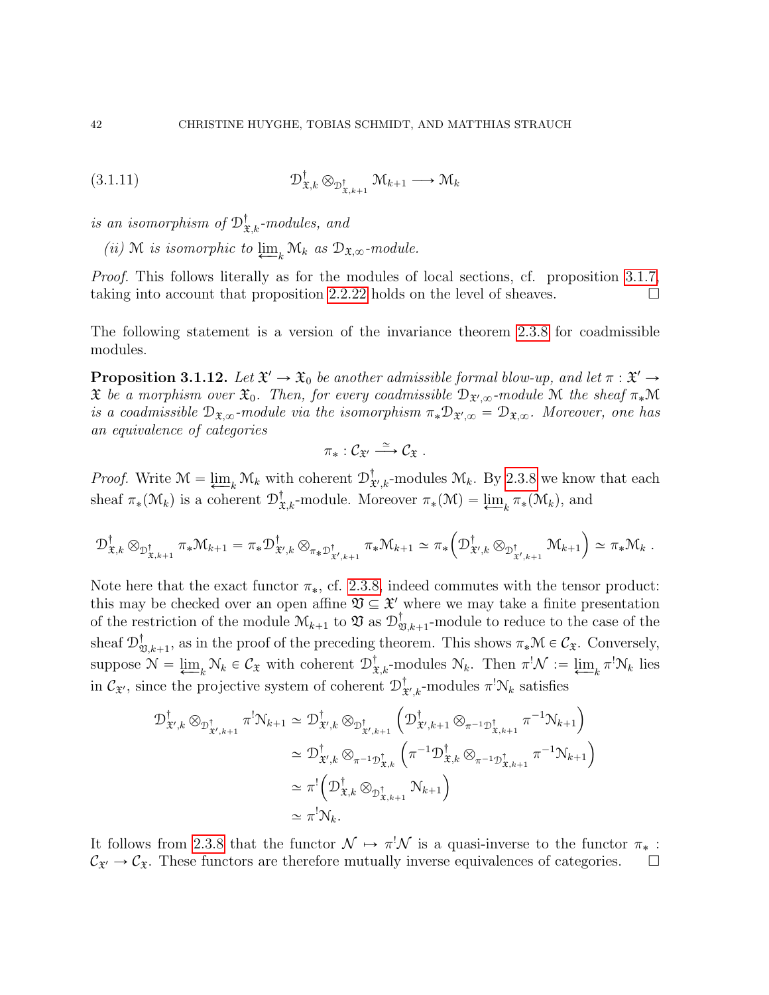$$
(3.1.11) \t\t\t\t\t\mathcal{D}_{\mathfrak{X},k}^{\dagger} \otimes_{\mathcal{D}_{\mathfrak{X},k+1}^{\dagger}} \mathfrak{M}_{k+1} \longrightarrow \mathfrak{M}_{k}
$$

is an isomorphism of  $\mathcal{D}^{\dagger}_{\mathfrak{X},k}$ -modules, and

(ii) M is isomorphic to  $\lim_{k \to \infty} \mathcal{M}_k$  as  $\mathcal{D}_{\mathfrak{X},\infty}$ -module.

Proof. This follows literally as for the modules of local sections, cf. proposition [3.1.7,](#page-39-0) taking into account that proposition [2.2.22](#page-23-0) holds on the level of sheaves.  $\Box$ 

The following statement is a version of the invariance theorem [2.3.8](#page-34-0) for coadmissible modules.

<span id="page-41-0"></span>**Proposition 3.1.12.** Let  $\mathfrak{X}' \to \mathfrak{X}_0$  be another admissible formal blow-up, and let  $\pi : \mathfrak{X}' \to$  $\mathfrak X$  be a morphism over  $\mathfrak X_0$ . Then, for every coadmissible  $\mathfrak D_{\mathfrak X',\infty}$ -module  $\mathfrak M$  the sheaf  $\pi_*\mathfrak M$ is a coadmissible  $\mathcal{D}_{\mathfrak{X},\infty}$ -module via the isomorphism  $\pi_*\mathcal{D}_{\mathfrak{X}',\infty} = \mathcal{D}_{\mathfrak{X},\infty}$ . Moreover, one has an equivalence of categories

$$
\pi_*:\mathcal{C}_{\mathfrak{X}'}\stackrel{\simeq}{\longrightarrow}\mathcal{C}_{\mathfrak{X}}.
$$

*Proof.* Write  $\mathcal{M} = \varprojlim_k \mathcal{M}_k$  with coherent  $\mathcal{D}_3^{\dagger}$  $_{\mathfrak{X}',k}^{\dagger}$ -modules  $\mathfrak{M}_k$ . By [2.3.8](#page-34-0) we know that each sheaf  $\pi_*(\mathcal{M}_k)$  is a coherent  $\mathcal{D}^{\dagger}_{\mathfrak{X},k}$ -module. Moreover  $\pi_*(\mathcal{M}) = \varprojlim_k \pi_*(\mathcal{M}_k)$ , and

$$
\mathcal{D}^{\dagger}_{\mathfrak{X},k}\otimes_{\mathcal{D}^{\dagger}_{\mathfrak{X},k+1}}\pi_*\mathcal{M}_{k+1}=\pi_*\mathcal{D}^{\dagger}_{\mathfrak{X}',k}\otimes_{\pi_*\mathcal{D}^{\dagger}_{\mathfrak{X}',k+1}}\pi_*\mathcal{M}_{k+1}\simeq \pi_*\left(\mathcal{D}^{\dagger}_{\mathfrak{X}',k}\otimes_{\mathcal{D}^{\dagger}_{\mathfrak{X}',k+1}}\mathcal{M}_{k+1}\right)\simeq \pi_*\mathcal{M}_k.
$$

Note here that the exact functor  $\pi_*$ , cf. [2.3.8,](#page-34-0) indeed commutes with the tensor product: this may be checked over an open affine  $\mathfrak{V} \subseteq \mathfrak{X}'$  where we may take a finite presentation of the restriction of the module  $\mathcal{M}_{k+1}$  to  $\mathfrak{V}$  as  $\mathcal{D}_2^{\dagger}$  $\mathcal{V}_{\mathfrak{V},k+1}$ -module to reduce to the case of the sheaf  $\mathcal{D}_2^{\dagger}$  $\mathcal{V}_{\mathfrak{V},k+1}$ , as in the proof of the preceding theorem. This shows  $\pi_*\mathcal{M} \in \mathcal{C}_{\mathfrak{X}}$ . Conversely, suppose  $\mathcal{N} = \varprojlim_k \mathcal{N}_k \in \mathcal{C}_{\mathfrak{X}}$  with coherent  $\mathcal{D}^{\dagger}_{\mathfrak{X},k}$ -modules  $\mathcal{N}_k$ . Then  $\pi^! \mathcal{N} := \varprojlim_k \pi^! \mathcal{N}_k$  lies in  $\mathcal{C}_{\mathfrak{X}}$ , since the projective system of coherent  $\mathcal{D}^{\dagger}_{\mathfrak{X}}$  $^{\dagger}_{\mathfrak{X}',k}$ -modules  $\pi^!\mathcal{N}_k$  satisfies ´ on a construction of the construction of the construction of the construction of the construction of the construction of the construction of the construction of the construction of the construction of the construction of

$$
\mathcal{D}_{\mathfrak{X}',k}^{\dagger} \otimes_{\mathcal{D}_{\mathfrak{X}',k+1}^{\dagger}} \pi^! \mathcal{N}_{k+1} \simeq \mathcal{D}_{\mathfrak{X}',k}^{\dagger} \otimes_{\mathcal{D}_{\mathfrak{X}',k+1}^{\dagger}} \left( \mathcal{D}_{\mathfrak{X}',k+1}^{\dagger} \otimes_{\pi^{-1} \mathcal{D}_{\mathfrak{X},k+1}^{\dagger}} \pi^{-1} \mathcal{N}_{k+1} \right)
$$

$$
\simeq \mathcal{D}_{\mathfrak{X}',k}^{\dagger} \otimes_{\pi^{-1} \mathcal{D}_{\mathfrak{X},k}^{\dagger}} \left( \pi^{-1} \mathcal{D}_{\mathfrak{X},k}^{\dagger} \otimes_{\pi^{-1} \mathcal{D}_{\mathfrak{X},k+1}^{\dagger}} \pi^{-1} \mathcal{N}_{k+1} \right)
$$

$$
\simeq \pi^! \left( \mathcal{D}_{\mathfrak{X},k}^{\dagger} \otimes_{\mathcal{D}_{\mathfrak{X},k+1}^{\dagger}} \mathcal{N}_{k+1} \right)
$$

$$
\simeq \pi^! \mathcal{N}_k.
$$

It follows from [2.3.8](#page-34-0) that the functor  $\mathcal{N} \mapsto \pi^! \mathcal{N}$  is a quasi-inverse to the functor  $\pi_*$ :  $C_{\mathfrak{X}'} \to C_{\mathfrak{X}}$ . These functors are therefore mutually inverse equivalences of categories.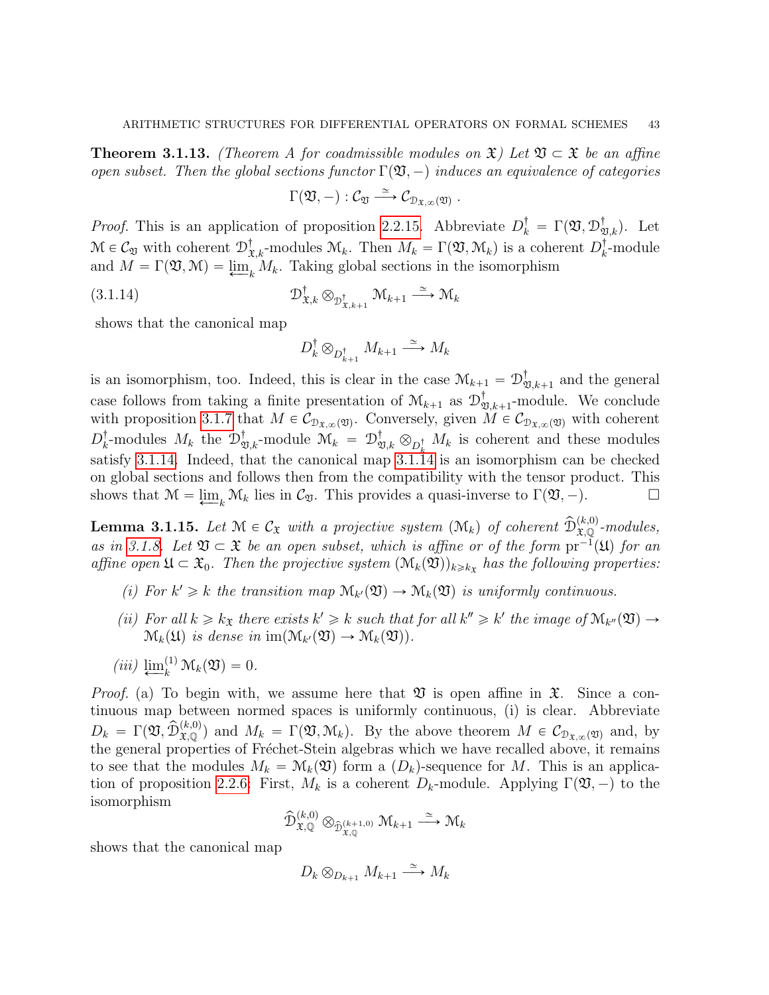<span id="page-42-0"></span>**Theorem 3.1.13.** (Theorem A for coadmissible modules on  $\mathfrak{X}$ ) Let  $\mathfrak{V} \subset \mathfrak{X}$  be an affine open subset. Then the global sections functor  $\Gamma(\mathfrak{V},-)$  induces an equivalence of categories

$$
\Gamma({\mathfrak{V}},-): {\mathcal{C}}_{\mathfrak{V}} \stackrel{\simeq}{\longrightarrow} {\mathcal{C}}_{{\mathfrak{D}}_{{\mathfrak{X}}, \infty}({\mathfrak{V}})}\ .
$$

*Proof.* This is an application of proposition [2.2.15.](#page-18-0) Abbreviate  $D_k^{\dagger} = \Gamma(\mathfrak{V}, \mathcal{D}_{\mathfrak{V},k}^{\dagger})$ . Let  $\mathcal{M} \in \mathcal{C}_{\mathfrak{V}}$  with coherent  $\mathcal{D}^{\dagger}_{\mathfrak{X},k}$ -modules  $\mathcal{M}_k$ . Then  $M_k = \Gamma(\mathfrak{V}, \mathcal{M}_k)$  is a coherent  $D^{\dagger}_k$  $_{k}^{^{\mathrm{T}}}$ -module and  $M = \Gamma(\mathfrak{V}, \mathfrak{M}) = \underline{\lim}_{k} M_k$ . Taking global sections in the isomorphism

$$
(3.1.14) \t\t\t\t\mathcal{D}_{\mathfrak{X},k}^{\dagger} \otimes_{\mathcal{D}_{\mathfrak{X},k+1}^{\dagger}} \mathfrak{M}_{k+1} \xrightarrow{\simeq} \mathfrak{M}_{k}
$$

shows that the canonical map

<span id="page-42-1"></span>
$$
D_k^{\dagger} \otimes_{D_{k+1}^{\dagger}} M_{k+1} \xrightarrow{\simeq} M_k
$$

is an isomorphism, too. Indeed, this is clear in the case  $\mathcal{M}_{k+1} = \mathcal{D}_{2}^{\dagger}$  $\mathcal{L}_{\mathfrak{V},k+1}$  and the general case follows from taking a finite presentation of  $\mathcal{M}_{k+1}$  as  $\mathcal{D}_{2}^{\dagger}$  $\mathbb{I}_{\mathfrak{V},k+1}$ -module. We conclude with proposition [3.1.7](#page-39-0) that  $M \in C_{\mathcal{D}_{\mathfrak{X},\infty}(\mathfrak{Y})}$ . Conversely, given  $M \in C_{\mathcal{D}_{\mathfrak{X},\infty}(\mathfrak{Y})}$  with coherent  $D_k^\dagger$ <sup>†</sup><sub>k</sub>-modules  $M_k$  the  $\mathcal{D}^{\dagger}_{\mathfrak{V},k}$ -module  $\mathfrak{M}_k = \mathcal{D}^{\dagger}_{\mathfrak{V},k} \otimes_{D^{\dagger}_k} M_k$  is coherent and these modules satisfy [3.1.14.](#page-42-1) Indeed, that the canonical map  $3.1.\overline{14}$  is an isomorphism can be checked on global sections and follows then from the compatibility with the tensor product. This shows that  $\mathcal{M} = \underline{\lim}_{k} \mathcal{M}_{k}$  lies in  $\mathcal{C}_{\mathfrak{V}}$ . This provides a quasi-inverse to  $\Gamma(\mathfrak{V}, -)$ .

<span id="page-42-2"></span>**Lemma 3.1.15.** Let  $\mathcal{M} \in C_{\mathfrak{X}}$  with a projective system  $(\mathcal{M}_k)$  of coherent  $\widehat{\mathcal{D}}_{\mathfrak{X},\mathbb{Q}}^{(k,0)}$ -modules, as in [3.1.8.](#page-40-0) Let  $\mathfrak{V} \subset \mathfrak{X}$  be an open subset, which is affine or of the form  $pr^{-1}(\mathfrak{U})$  for an affine open  $\mathfrak{U} \subset \mathfrak{X}_0$ . Then the projective system  $(\mathcal{M}_k(\mathfrak{V}))_{k \geq k_{\mathfrak{X}}}$  has the following properties:

- (i) For  $k' \geq k$  the transition map  $\mathcal{M}_{k'}(\mathfrak{V}) \to \mathcal{M}_{k}(\mathfrak{V})$  is uniformly continuous.
- (ii) For all  $k \geq k_{\mathfrak{X}}$  there exists  $k' \geq k$  such that for all  $k'' \geq k'$  the image of  $\mathcal{M}_{k''}(\mathfrak{Y}) \to$  $\mathcal{M}_k(\mathfrak{U})$  is dense in  $\text{im}(\mathcal{M}_{k'}(\mathfrak{V}) \to \mathcal{M}_k(\mathfrak{V})).$
- $(iii) \lim_{k}^{(1)} \mathcal{M}_k(\mathfrak{V}) = 0.$

*Proof.* (a) To begin with, we assume here that  $\mathfrak V$  is open affine in  $\mathfrak X$ . Since a continuous map between normed spaces is uniformly continuous, (i) is clear. Abbreviate  $D_k = \Gamma(\mathfrak{V}, \widehat{\mathcal{D}}_{\mathfrak{X},\mathbb{Q}}^{(k,0)})$  and  $M_k = \Gamma(\mathfrak{V}, \mathfrak{M}_k)$ . By the above theorem  $M \in \mathcal{C}_{\mathfrak{D}_{\mathfrak{X},\infty}(\mathfrak{V})}$  and, by the general properties of Fréchet-Stein algebras which we have recalled above, it remains to see that the modules  $M_k = \mathcal{M}_k(\mathfrak{V})$  form a  $(D_k)$ -sequence for M. This is an applica-tion of proposition [2.2.6:](#page-13-0) First,  $M_k$  is a coherent  $D_k$ -module. Applying  $\Gamma(\mathfrak{V},-)$  to the isomorphism

$$
\widehat{\mathcal{D}}_{\mathfrak{X},\mathbb{Q}}^{(k,0)} \otimes_{\widehat{\mathcal{D}}_{\mathfrak{X},\mathbb{Q}}^{(k+1,0)}} \mathcal{M}_{k+1} \stackrel{\simeq}{\longrightarrow} \mathcal{M}_k
$$

shows that the canonical map

$$
D_k \otimes_{D_{k+1}} M_{k+1} \xrightarrow{\simeq} M_k
$$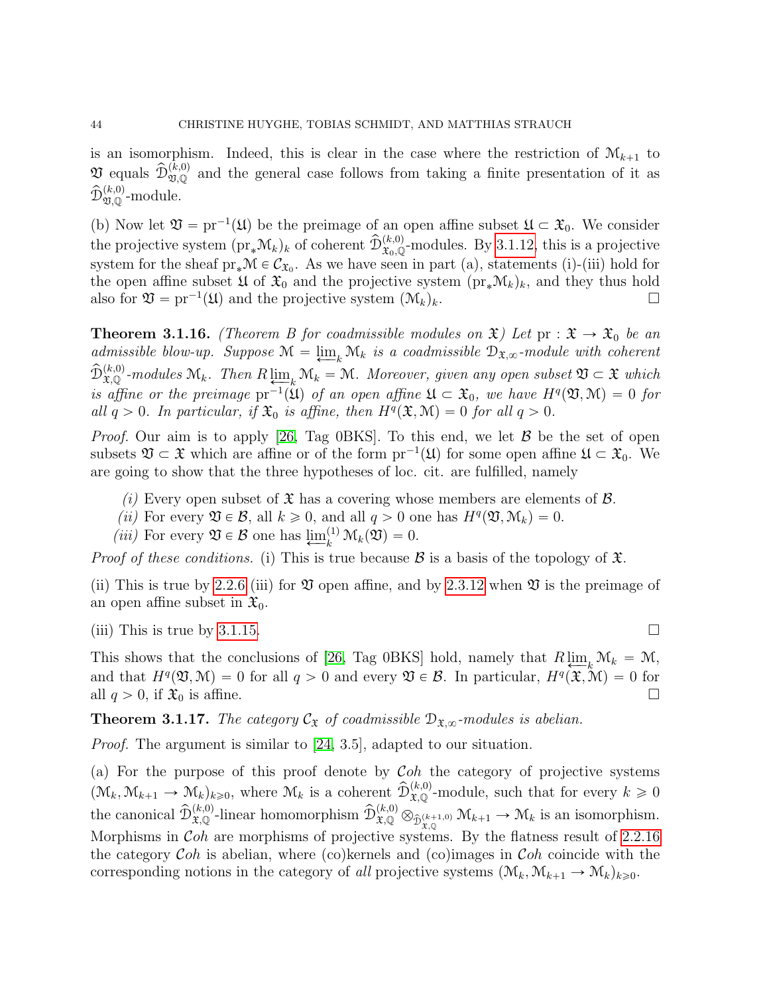is an isomorphism. Indeed, this is clear in the case where the restriction of  $\mathcal{M}_{k+1}$  to  $\mathfrak{V}$  equals  $\widehat{\mathcal{D}}_{\mathfrak{V},\mathbb{Q}}^{(k,0)}$  and the general case follows from taking a finite presentation of it as  $\widehat{\mathcal{D}}_{\mathfrak{V}, \mathbb{Q}}^{(k,0)}$ -module.

(b) Now let  $\mathfrak{V} = \text{pr}^{-1}(\mathfrak{U})$  be the preimage of an open affine subset  $\mathfrak{U} \subset \mathfrak{X}_0$ . We consider the projective system  $(p_{\mathbf{r}}^* \mathcal{M}_k)_k$  of coherent  $\widehat{\mathcal{D}}_{\mathbf{x}_0,\mathbb{Q}}^{(k,0)}$ -modules. By [3.1.12,](#page-41-0) this is a projective system for the sheaf  $pr_*\mathcal{M} \in \mathcal{C}_{\mathfrak{X}_0}$ . As we have seen in part (a), statements (i)-(iii) hold for the open affine subset  $\mathfrak{U}$  of  $\mathfrak{X}_0$  and the projective system  $(\text{pr}_{*}\mathcal{M}_{k})_k$ , and they thus hold also for  $\mathfrak{V} = \text{pr}^{-1}(\mathfrak{U})$  and the projective system  $(\mathcal{M}_k)_k$ .

<span id="page-43-0"></span>**Theorem 3.1.16.** (Theorem B for coadmissible modules on  $\mathfrak{X}$ ) Let  $pr : \mathfrak{X} \to \mathfrak{X}_0$  be an admissible blow-up. Suppose  $\mathcal{M} = \underline{\lim}_{k} \mathcal{M}_{k}$  is a coadmissible  $\mathcal{D}_{\mathfrak{X},\infty}$ -module with coherent  $\widehat{\mathcal{D}}_{\mathfrak{X},\mathbb{Q}}^{(k,0)}$ -modules  $\mathcal{M}_k$ . Then  $R\varprojlim_k \mathcal{M}_k = \mathcal{M}$ . Moreover, given any open subset  $\mathfrak{V} \subset \mathfrak{X}$  which is affine or the preimage  $pr^{-1}(\mathfrak{U})$  of an open affine  $\mathfrak{U} \subset \mathfrak{X}_0$ , we have  $H^q(\mathfrak{V}, \mathfrak{M}) = 0$  for all  $q > 0$ . In particular, if  $\mathfrak{X}_0$  is affine, then  $H^q(\mathfrak{X}, \mathcal{M}) = 0$  for all  $q > 0$ .

*Proof.* Our aim is to apply [\[26,](#page-52-15) Tag 0BKS]. To this end, we let  $\beta$  be the set of open subsets  $\mathfrak{V} \subset \mathfrak{X}$  which are affine or of the form  ${\rm pr}^{-1}(\mathfrak{U})$  for some open affine  $\mathfrak{U} \subset \mathfrak{X}_0$ . We are going to show that the three hypotheses of loc. cit. are fulfilled, namely

- (i) Every open subset of  $\mathfrak X$  has a covering whose members are elements of  $\mathcal B$ .
- (ii) For every  $\mathfrak{V} \in \mathcal{B}$ , all  $k \geq 0$ , and all  $q > 0$  one has  $H^q(\mathfrak{V}, \mathcal{M}_k) = 0$ .
- (*iii*) For every  $\mathfrak{V} \in \mathcal{B}$  one has  $\underline{\lim}_{k}^{(1)} \mathcal{M}_{k}(\mathfrak{V}) = 0$ .

*Proof of these conditions.* (i) This is true because  $\mathcal{B}$  is a basis of the topology of  $\mathfrak{X}$ .

(ii) This is true by [2.2.6](#page-13-0) (iii) for  $\mathfrak V$  open affine, and by [2.3.12](#page-36-1) when  $\mathfrak V$  is the preimage of an open affine subset in  $\mathfrak{X}_0$ .

(iii) This is true by [3.1.15.](#page-42-2)

This shows that the conclusions of [\[26,](#page-52-15) Tag 0BKS] hold, namely that  $R \varprojlim_k \mathcal{M}_k = \mathcal{M}$ , and that  $H^q(\mathfrak{V}, \mathcal{M}) = 0$  for all  $q > 0$  and every  $\mathfrak{V} \in \mathcal{B}$ . In particular,  $H^q(\mathfrak{X}, \mathcal{M}) = 0$  for all  $q > 0$ , if  $\mathfrak{X}_0$  is affine.

**Theorem 3.1.17.** The category  $\mathcal{C}_{\mathfrak{X}}$  of coadmissible  $\mathcal{D}_{\mathfrak{X},\infty}$ -modules is abelian.

Proof. The argument is similar to [\[24,](#page-52-4) 3.5], adapted to our situation.

(a) For the purpose of this proof denote by  $\mathcal{C}oh$  the category of projective systems  $(\mathcal{M}_k, \mathcal{M}_{k+1} \to \mathcal{M}_k)_{k \geqslant 0}$ , where  $\mathcal{M}_k$  is a coherent  $\widehat{\mathcal{D}}_{\mathfrak{X},\mathbb{Q}}^{(k,0)}$ -module, such that for every  $k \geqslant 0$ the canonical  $\widehat{\mathcal{D}}_{\mathfrak{X},\mathbb{Q}}^{(k,0)}$ -linear homomorphism  $\widehat{\mathcal{D}}_{\mathfrak{X},\mathbb{Q}}^{(k,0)} \otimes_{\widehat{\mathcal{D}}_{\mathfrak{X},\mathbb{Q}}^{(k+1,0)}} \mathcal{M}_{k+1} \to \mathcal{M}_k$  is an isomorphism. Morphisms in  $Coh$  are morphisms of projective systems. By the flatness result of [2.2.16](#page-19-0) the category  $Coh$  is abelian, where (co)kernels and (co)images in  $Coh$  coincide with the corresponding notions in the category of all projective systems  $(\mathcal{M}_k, \mathcal{M}_{k+1} \to \mathcal{M}_k)_{k \geq 0}$ .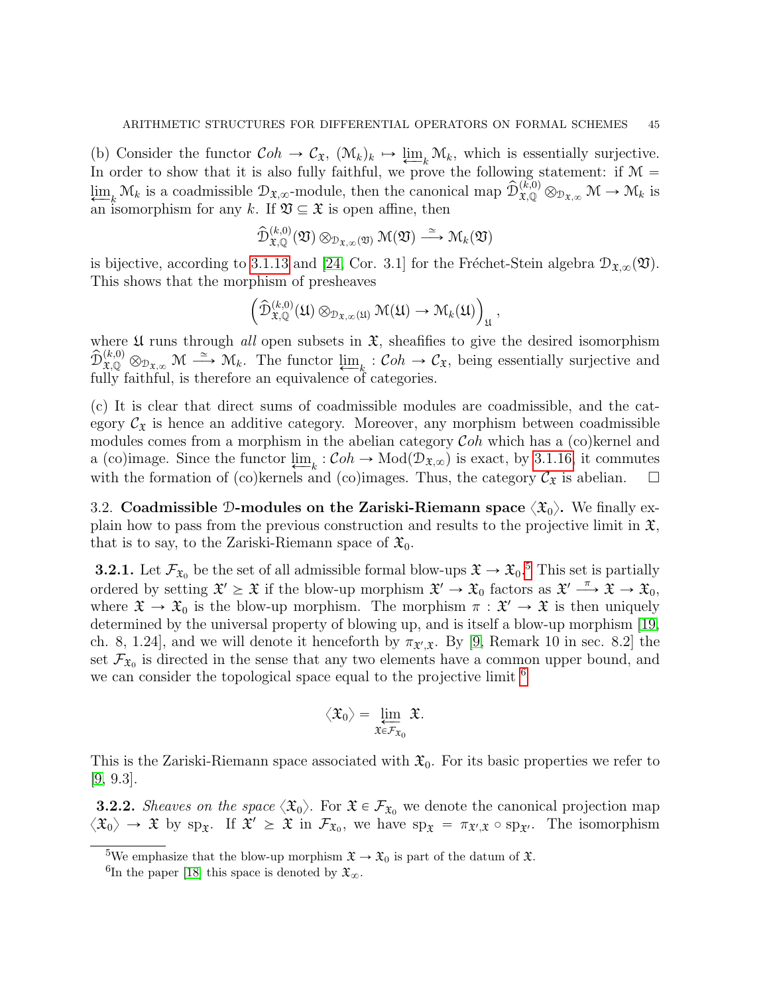(b) Consider the functor  $Coh \to \mathcal{C}_{\mathfrak{X}}$ ,  $(\mathcal{M}_k)_k \mapsto \underline{\lim}_{k} \mathcal{M}_k$ , which is essentially surjective. In order to show that it is also fully faithful, we prove the following statement: if  $\mathcal{M} =$  $\lim_{k \to \infty} \mathcal{M}_k$  is a coadmissible  $\mathcal{D}_{\mathfrak{X},\infty}$ -module, then the canonical map  $\widehat{\mathcal{D}}_{\mathfrak{X},\mathbb{Q}}^{(k,0)} \otimes_{\mathcal{D}_{\mathfrak{X},\infty}} \mathcal{M} \to \mathcal{M}_k$  is an isomorphism for any k. If  $\mathfrak{V} \subseteq \mathfrak{X}$  is open affine, then

$$
\widehat{\mathcal{D}}_{\mathfrak{X}, \mathbb{Q}}^{(k,0)}(\mathfrak{V}) \otimes_{\mathcal{D}_{\mathfrak{X}, \infty}(\mathfrak{V})} \mathcal{M}(\mathfrak{V}) \stackrel{\simeq}{\longrightarrow} \mathcal{M}_k(\mathfrak{V})
$$

is bijective, according to [3.1.13](#page-42-0) and [\[24,](#page-52-4) Cor. 3.1] for the Fréchet-Stein algebra  $\mathcal{D}_{\mathfrak{X},\infty}(\mathfrak{Y})$ . This shows that the morphism of presheaves ´

$$
\left(\widehat{\mathcal{D}}^{(k,0)}_{\mathfrak{X},\mathbb{Q}}(\mathfrak{U})\otimes_{\mathcal{D}_{\mathfrak{X},\infty}(\mathfrak{U})}\mathcal{M}(\mathfrak{U})\to \mathcal{M}_k(\mathfrak{U})\right)_{\mathfrak{U}},
$$

where  $\mathfrak U$  runs through all open subsets in  $\mathfrak X$ , sheafifies to give the desired isomorphism  $\widehat{\mathcal{D}}_{\mathfrak{X},\mathbb{Q}}^{(k,0)} \otimes_{\mathcal{D}_{\mathfrak{X},\infty}} \mathcal{M} \stackrel{\simeq}{\longrightarrow} \mathcal{M}_k$ . The functor  $\lim_{k \to \infty} \mathcal{C}oh \to \mathcal{C}_{\mathfrak{X}}$ , being essentially surjective and fully faithful, is therefore an equivalence of categories.

(c) It is clear that direct sums of coadmissible modules are coadmissible, and the category  $C_{\mathfrak{X}}$  is hence an additive category. Moreover, any morphism between coadmissible modules comes from a morphism in the abelian category  $\mathcal{C}$ *oh* which has a (co)kernel and a (co)image. Since the functor  $\lim_{k \to \infty} \mathcal{L}oh \to \text{Mod}(\mathcal{D}_{\mathfrak{X},\infty})$  is exact, by [3.1.16,](#page-43-0) it commutes with the formation of (co)kernels and (co)images. Thus, the category  $\mathcal{C}_{\mathfrak{X}}$  is abelian.  $\square$ 

<span id="page-44-0"></span>3.2. Coadmissible D-modules on the Zariski-Riemann space  $\langle \mathfrak{X}_0 \rangle$ . We finally explain how to pass from the previous construction and results to the projective limit in  $\mathfrak{X}$ , that is to say, to the Zariski-Riemann space of  $\mathfrak{X}_0$ .

**3.2.1.** Let  $\mathcal{F}_{\mathfrak{X}_0}$  be the set of all admissible formal blow-ups  $\mathfrak{X} \to \mathfrak{X}_0$ .<sup>[5](#page-44-1)</sup> This set is partially ordered by setting  $\mathfrak{X}' \geq \mathfrak{X}$  if the blow-up morphism  $\mathfrak{X}' \to \mathfrak{X}_0$  factors as  $\mathfrak{X}' \stackrel{\pi}{\longrightarrow} \mathfrak{X} \to \mathfrak{X}_0$ , where  $\mathfrak{X} \to \mathfrak{X}_0$  is the blow-up morphism. The morphism  $\pi : \mathfrak{X}' \to \mathfrak{X}$  is then uniquely determined by the universal property of blowing up, and is itself a blow-up morphism [\[19,](#page-52-17) ch. 8, 1.24], and we will denote it henceforth by  $\pi_{\mathfrak{X}',\mathfrak{X}}$ . By [\[9,](#page-52-5) Remark 10 in sec. 8.2] the set  $\mathcal{F}_{\mathfrak{X}_0}$  is directed in the sense that any two elements have a common upper bound, and we can consider the topological space equal to the projective limit  $<sup>6</sup>$  $<sup>6</sup>$  $<sup>6</sup>$ </sup>

$$
\big\langle\mathfrak{X}_0\big\rangle=\varprojlim_{\mathfrak{X}\in\mathcal{F}_{\mathfrak{X}_0}}\mathfrak{X}.
$$

This is the Zariski-Riemann space associated with  $\mathfrak{X}_0$ . For its basic properties we refer to [\[9,](#page-52-5) 9.3].

**3.2.2.** Sheaves on the space  $\langle \mathfrak{X}_0 \rangle$ . For  $\mathfrak{X} \in \mathcal{F}_{\mathfrak{X}_0}$  we denote the canonical projection map  $\langle \mathfrak{X}_0 \rangle \to \mathfrak{X}$  by sp<sub>x</sub>. If  $\mathfrak{X}' \geq \mathfrak{X}$  in  $\mathcal{F}_{\mathfrak{X}_0}$ , we have sp<sub>x</sub> =  $\pi_{\mathfrak{X}',\mathfrak{X}} \circ \text{sp}_{\mathfrak{X}'}$ . The isomorphism

<span id="page-44-1"></span><sup>&</sup>lt;sup>5</sup>We emphasize that the blow-up morphism  $\mathfrak{X} \to \mathfrak{X}_0$  is part of the datum of  $\mathfrak{X}$ .

<span id="page-44-2"></span><sup>&</sup>lt;sup>6</sup>In the paper [\[18\]](#page-52-3) this space is denoted by  $\mathfrak{X}_{\infty}$ .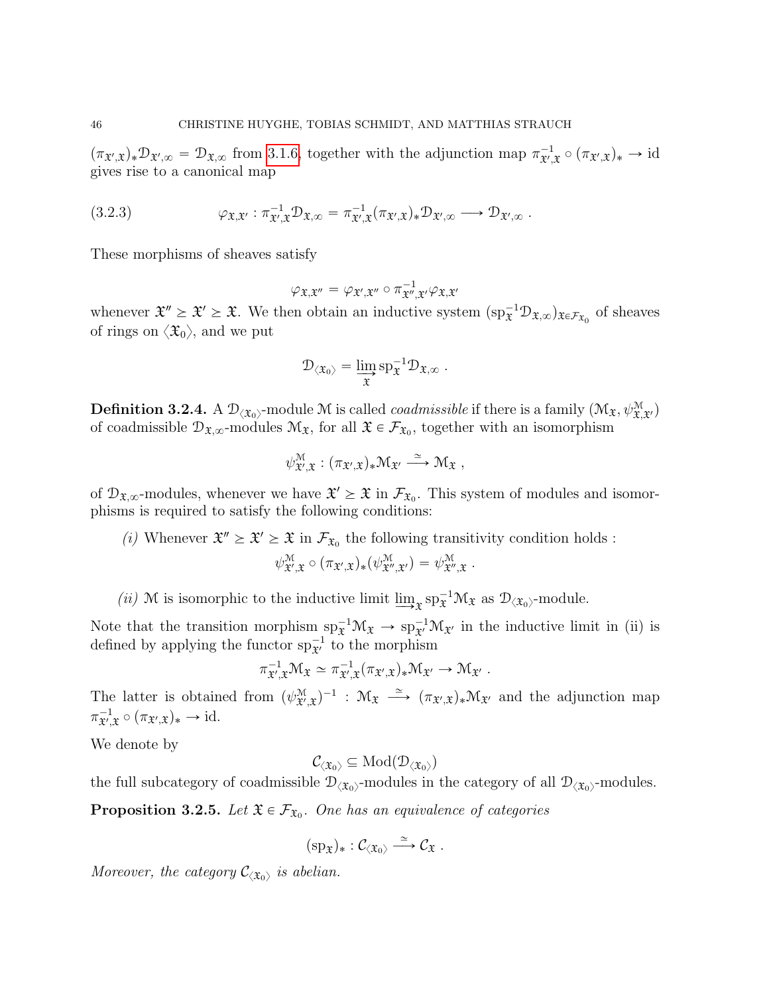$(\pi_{\mathfrak{X}',\mathfrak{X}})_*\mathcal{D}_{\mathfrak{X}',\infty} = \mathcal{D}_{\mathfrak{X},\infty}$  from [3.1.6,](#page-38-0) together with the adjunction map  $\pi_{\mathfrak{X}',\mathfrak{X}}^{-1} \circ (\pi_{\mathfrak{X}',\mathfrak{X}})_* \to id$ gives rise to a canonical map

(3.2.3) 
$$
\varphi_{\mathfrak{X},\mathfrak{X}'} : \pi_{\mathfrak{X}',\mathfrak{X}}^{-1} \mathcal{D}_{\mathfrak{X},\infty} = \pi_{\mathfrak{X}',\mathfrak{X}}^{-1} (\pi_{\mathfrak{X}',\mathfrak{X}})_* \mathcal{D}_{\mathfrak{X}',\infty} \longrightarrow \mathcal{D}_{\mathfrak{X}',\infty}.
$$

These morphisms of sheaves satisfy

$$
\varphi_{\mathfrak{X},\mathfrak{X}''}=\varphi_{\mathfrak{X}',\mathfrak{X}''}\circ\pi_{\mathfrak{X}'',\mathfrak{X}'}^{-1}\varphi_{\mathfrak{X},\mathfrak{X}'}
$$

whenever  $\mathfrak{X}'' \geq \mathfrak{X} \geq \mathfrak{X}$ . We then obtain an inductive system  $(\text{sp}_{\mathfrak{X}}^{-1} \mathcal{D}_{\mathfrak{X},\infty})_{\mathfrak{X} \in \mathcal{F}_{\mathfrak{X}_0}}$  of sheaves of rings on  $\langle \mathfrak{X}_0 \rangle$ , and we put

$$
\mathcal{D}_{\langle \mathfrak{X}_0 \rangle} = \varinjlim_{\mathfrak{X}} sp_{\mathfrak{X}}^{-1} \mathcal{D}_{\mathfrak{X}, \infty} .
$$

**Definition 3.2.4.** A  $\mathcal{D}_{\langle \mathfrak{X}_0 \rangle}$ -module M is called *coadmissible* if there is a family  $(\mathcal{M}_{\mathfrak{X}}, \psi_{\mathfrak{X}, \mathfrak{X'}}^{\mathfrak{M}})$ of coadmissible  $\mathcal{D}_{\mathfrak{X},\infty}$ -modules  $\mathcal{M}_{\mathfrak{X}}$ , for all  $\mathfrak{X} \in \mathcal{F}_{\mathfrak{X}_0}$ , together with an isomorphism

$$
\psi^{\mathcal{M}}_{\mathfrak{X}',\mathfrak{X}}:(\pi_{\mathfrak{X}',\mathfrak{X}})_*\mathfrak{M}_{\mathfrak{X}'}\stackrel{\simeq}{\longrightarrow}\mathfrak{M}_{\mathfrak{X}}\ ,
$$

of  $\mathcal{D}_{\mathfrak{X},\infty}$ -modules, whenever we have  $\mathfrak{X}' \geq \mathfrak{X}$  in  $\mathcal{F}_{\mathfrak{X}_0}$ . This system of modules and isomorphisms is required to satisfy the following conditions:

(*i*) Whenever  $\mathfrak{X}'' \geq \mathfrak{X} \geq \mathfrak{X}$  in  $\mathcal{F}_{\mathfrak{X}_0}$  the following transitivity condition holds :

$$
\psi_{\mathfrak{X}',\mathfrak{X}}^{\mathfrak{M}} \circ (\pi_{\mathfrak{X}',\mathfrak{X}})_*(\psi_{\mathfrak{X}'',\mathfrak{X}'}^{\mathfrak{M}}) = \psi_{\mathfrak{X}'',\mathfrak{X}}^{\mathfrak{M}}.
$$

(*ii*) M is isomorphic to the inductive limit  $\varinjlim_{\mathfrak{X}} sp_{\mathfrak{X}}^{-1} \mathcal{M}_{\mathfrak{X}}$  as  $\mathcal{D}_{\langle \mathfrak{X}_0 \rangle}$ -module.

Note that the transition morphism  $sp_{\tilde{x}}^{-1} \mathcal{M}_{\tilde{x}} \to sp_{\tilde{x}}^{-1} \mathcal{M}_{\tilde{x}}$  in the inductive limit in (ii) is defined by applying the functor  $sp_{\mathfrak{X}'}^{-1}$  to the morphism

$$
\pi_{\mathfrak{X}',\mathfrak{X}}^{-1} \mathfrak{M}_{\mathfrak{X}} \simeq \pi_{\mathfrak{X}',\mathfrak{X}}^{-1} (\pi_{\mathfrak{X}',\mathfrak{X}})_* \mathfrak{M}_{\mathfrak{X}'} \to \mathfrak{M}_{\mathfrak{X}'}.
$$

The latter is obtained from  $(\psi_{\mathfrak{X}',\mathfrak{X}}^{\mathfrak{M}})^{-1}$  :  $\mathfrak{M}_{\mathfrak{X}} \stackrel{\simeq}{\longrightarrow} (\pi_{\mathfrak{X}',\mathfrak{X}})_*\mathfrak{M}_{\mathfrak{X}'}$  and the adjunction map  $\pi_{\mathfrak{X}',\mathfrak{X}}^{-1} \circ (\pi_{\mathfrak{X}',\mathfrak{X}})_* \to \mathrm{id}.$ 

We denote by

 $\mathcal{C}_{\langle\mathfrak{X}_0\rangle}\subseteq \mathrm{Mod}(\mathcal{D}_{\langle\mathfrak{X}_0\rangle})$ 

the full subcategory of coadmissible  $\mathcal{D}_{\langle \mathfrak{X}_0 \rangle}$ -modules in the category of all  $\mathcal{D}_{\langle \mathfrak{X}_0 \rangle}$ -modules.

<span id="page-45-0"></span>**Proposition 3.2.5.** Let  $\mathfrak{X} \in \mathcal{F}_{\mathfrak{X}_0}$ . One has an equivalence of categories

$$
(\mathrm{sp}_{\mathfrak{X}})_*:\mathcal{C}_{\langle\mathfrak{X}_0\rangle}\stackrel{\simeq}{\longrightarrow}\mathcal{C}_{\mathfrak{X}}\;.
$$

Moreover, the category  $\mathcal{C}_{\langle \mathfrak{X}_0 \rangle}$  is abelian.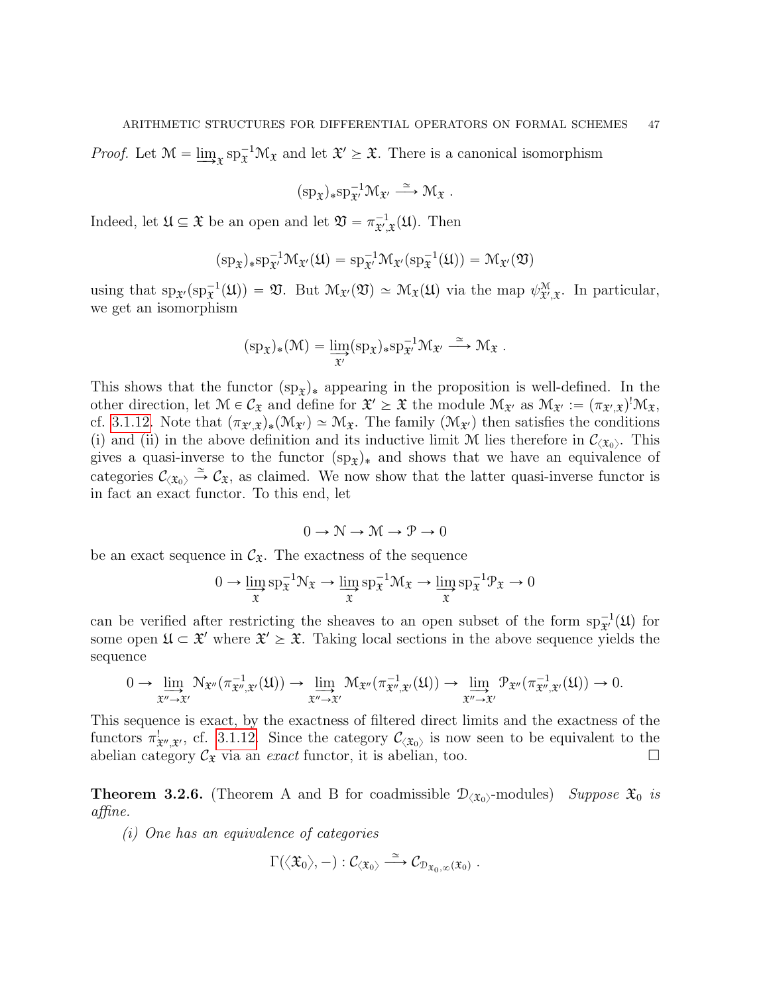*Proof.* Let  $\mathcal{M} = \varinjlim_{\mathfrak{X}} sp_{\mathfrak{X}}^{-1} \mathcal{M}_{\mathfrak{X}}$  and let  $\mathfrak{X}' \geq \mathfrak{X}$ . There is a canonical isomorphism

$$
(\mathrm{sp}_{\mathfrak{X}})_*\mathrm{sp}_{\mathfrak{X}'}^{-1}\mathfrak{M}_{\mathfrak{X}'}\stackrel{\simeq}{\longrightarrow} \mathfrak{M}_{\mathfrak{X}}\;.
$$

Indeed, let  $\mathfrak{U} \subseteq \mathfrak{X}$  be an open and let  $\mathfrak{V} = \pi_{\mathfrak{X}',\mathfrak{X}}^{-1}(\mathfrak{U})$ . Then

$$
(sp_{\mathfrak{X}})_{*}sp_{\mathfrak{X}'}^{-1}\mathfrak{M}_{\mathfrak{X}'}(\mathfrak{U})=sp_{\mathfrak{X}'}^{-1}\mathfrak{M}_{\mathfrak{X}'}(sp_{\mathfrak{X}}^{-1}(\mathfrak{U}))=\mathfrak{M}_{\mathfrak{X}'}(\mathfrak{V})
$$

using that  $sp_{\mathfrak{X}'}(sp_{\mathfrak{X}}^{-1}(\mathfrak{U})) = \mathfrak{V}$ . But  $\mathcal{M}_{\mathfrak{X}}(\mathfrak{V}) \simeq \mathcal{M}_{\mathfrak{X}}(\mathfrak{U})$  via the map  $\psi_{\mathfrak{X}',\mathfrak{X}}^{\mathcal{M}}$ . In particular, we get an isomorphism

$$
(\mathrm{sp}_{\mathfrak{X}})_*(\mathfrak{M}) = \varinjlim_{\mathfrak{X}'} (\mathrm{sp}_{\mathfrak{X}})_* \mathrm{sp}_{\mathfrak{X}'}^{-1} \mathfrak{M}_{\mathfrak{X}'} \xrightarrow{\simeq} \mathfrak{M}_{\mathfrak{X}}.
$$

This shows that the functor  $(sp_x)_*$  appearing in the proposition is well-defined. In the other direction, let  $\mathcal{M} \in \mathcal{C}_{\mathfrak{X}}$  and define for  $\mathfrak{X}' \geq \mathfrak{X}$  the module  $\mathcal{M}_{\mathfrak{X}'}$  as  $\mathcal{M}_{\mathfrak{X}'} := (\pi_{\mathfrak{X}',\mathfrak{X}})^! \mathcal{M}_{\mathfrak{X}}$ , cf. [3.1.12.](#page-41-0) Note that  $(\pi_{\mathfrak{X}',\mathfrak{X}})_*(\mathfrak{M}_{\mathfrak{X}'}) \simeq \mathfrak{M}_{\mathfrak{X}}$ . The family  $(\mathfrak{M}_{\mathfrak{X}'})$  then satisfies the conditions (i) and (ii) in the above definition and its inductive limit M lies therefore in  $\mathcal{C}_{\langle \mathfrak{X}_0 \rangle}$ . This gives a quasi-inverse to the functor  $(sp_x)_*$  and shows that we have an equivalence of categories  $\mathcal{C}_{\langle \mathfrak{X}_0 \rangle} \stackrel{\simeq}{\to} \mathcal{C}_{\mathfrak{X}}$ , as claimed. We now show that the latter quasi-inverse functor is in fact an exact functor. To this end, let

$$
0\to \mathbb{N}\to \mathbb{M}\to \mathcal{P}\to 0
$$

be an exact sequence in  $\mathcal{C}_{\mathfrak{X}}$ . The exactness of the sequence

$$
0 \to \varinjlim_{\mathfrak{X}} \mathrm{sp}_{\mathfrak{X}}^{-1} \mathcal{N}_{\mathfrak{X}} \to \varinjlim_{\mathfrak{X}} \mathrm{sp}_{\mathfrak{X}}^{-1} \mathcal{M}_{\mathfrak{X}} \to \varinjlim_{\mathfrak{X}} \mathrm{sp}_{\mathfrak{X}}^{-1} \mathcal{P}_{\mathfrak{X}} \to 0
$$

can be verified after restricting the sheaves to an open subset of the form  $sp_{\mathcal{X}}^{-1}(\mathfrak{U})$  for some open  $\mathfrak{U} \subset \mathfrak{X}'$  where  $\mathfrak{X}' \geq \mathfrak{X}$ . Taking local sections in the above sequence yields the sequence

$$
0 \to \lim_{\mathfrak{X}'' \to \mathfrak{X}'} \mathcal{N}_{\mathfrak{X}''}(\pi_{\mathfrak{X}'',\mathfrak{X}'}^{-1}(\mathfrak{U})) \to \lim_{\mathfrak{X}'' \to \mathfrak{X}'} \mathcal{M}_{\mathfrak{X}''}(\pi_{\mathfrak{X}'',\mathfrak{X}'}^{-1}(\mathfrak{U})) \to \lim_{\mathfrak{X}'' \to \mathfrak{X}'} \mathcal{P}_{\mathfrak{X}''}(\pi_{\mathfrak{X}'',\mathfrak{X}'}^{-1}(\mathfrak{U})) \to 0.
$$

This sequence is exact, by the exactness of filtered direct limits and the exactness of the functors  $\pi^!_{\mathfrak{X}'',\mathfrak{X}'},$  cf. [3.1.12.](#page-41-0) Since the category  $\mathcal{C}_{\langle \mathfrak{X}_0 \rangle}$  is now seen to be equivalent to the abelian category  $\mathcal{C}_{\mathfrak{X}}$  via an *exact* functor, it is abelian, too.

<span id="page-46-0"></span>**Theorem 3.2.6.** (Theorem A and B for coadmissible  $\mathcal{D}_{\langle \mathfrak{X}_0 \rangle}$ -modules) Suppose  $\mathfrak{X}_0$  is affine.

(i) One has an equivalence of categories

$$
\Gamma(\langle \mathfrak{X}_0 \rangle, -) : \mathcal{C}_{\langle \mathfrak{X}_0 \rangle} \stackrel{\simeq}{\longrightarrow} \mathcal{C}_{\mathfrak{D}_{\mathfrak{X}_0, \infty}(\mathfrak{X}_0)}.
$$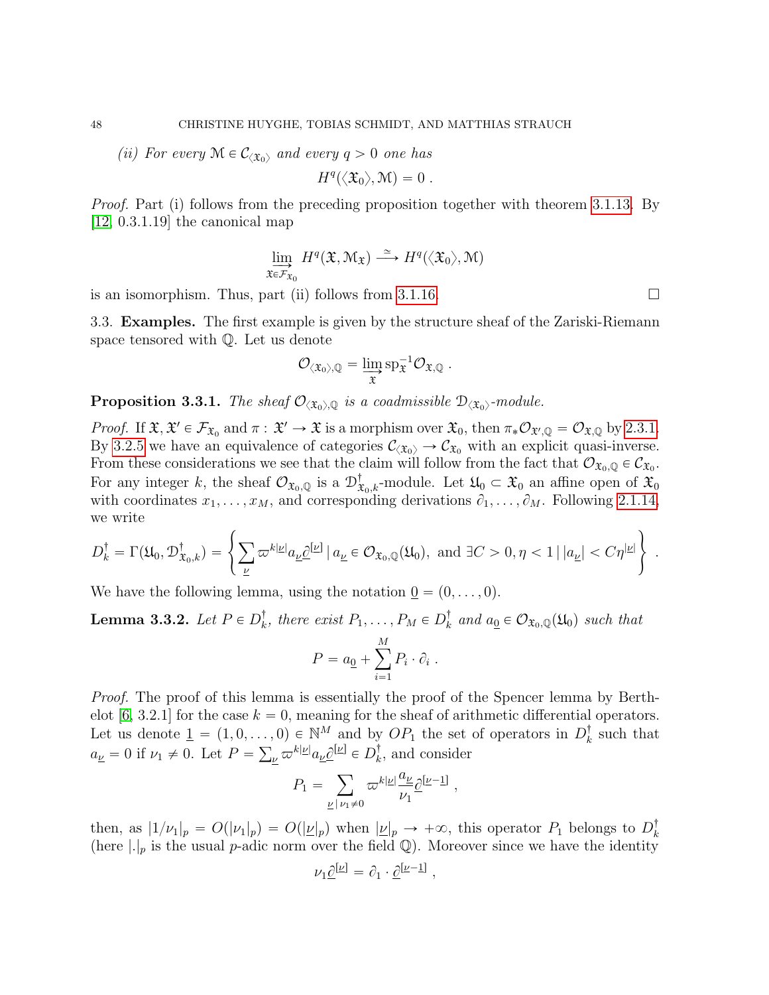(ii) For every  $\mathcal{M} \in \mathcal{C}_{\langle \mathfrak{X}_0 \rangle}$  and every  $q > 0$  one has

$$
H^q(\langle \mathfrak{X}_0 \rangle, \mathfrak{M}) = 0.
$$

Proof. Part (i) follows from the preceding proposition together with theorem [3.1.13.](#page-42-0) By [\[12,](#page-52-18) 0.3.1.19] the canonical map

$$
\lim_{\mathfrak{X}\in\mathcal{F}_{\mathfrak{X}_0}}H^q(\mathfrak{X},\mathcal{M}_{\mathfrak{X}})\stackrel{\simeq}{\longrightarrow} H^q(\langle\mathfrak{X}_0\rangle,\mathcal{M})
$$

is an isomorphism. Thus, part (ii) follows from [3.1.16.](#page-43-0)  $\Box$ 

<span id="page-47-0"></span>3.3. Examples. The first example is given by the structure sheaf of the Zariski-Riemann space tensored with Q. Let us denote

$$
\mathcal{O}_{\langle \mathfrak{X}_0 \rangle, \mathbb{Q}} = \varinjlim_{\mathfrak{X}} \mathrm{sp}_{\mathfrak{X}}^{-1} \mathcal{O}_{\mathfrak{X}, \mathbb{Q}}.
$$

**Proposition 3.3.1.** The sheaf  $\mathcal{O}_{\langle \mathfrak{X}_0 \rangle, \mathbb{Q}}$  is a coadmissible  $\mathcal{D}_{\langle \mathfrak{X}_0 \rangle}$ -module.

*Proof.* If  $\mathfrak{X}, \mathfrak{X}' \in \mathcal{F}_{\mathfrak{X}_0}$  and  $\pi : \mathfrak{X}' \to \mathfrak{X}$  is a morphism over  $\mathfrak{X}_0$ , then  $\pi_* \mathcal{O}_{\mathfrak{X}',\mathbb{Q}} = \mathcal{O}_{\mathfrak{X},\mathbb{Q}}$  by [2.3.1.](#page-29-1) By [3.2.5](#page-45-0) we have an equivalence of categories  $\mathcal{C}_{\langle \mathfrak{X}_0 \rangle} \to \mathcal{C}_{\mathfrak{X}_0}$  with an explicit quasi-inverse. From these considerations we see that the claim will follow from the fact that  $\mathcal{O}_{\mathfrak{X}_0,\mathbb{Q}} \in \mathcal{C}_{\mathfrak{X}_0}$ . For any integer k, the sheaf  $\mathcal{O}_{\mathfrak{X}_0,\mathbb{Q}}$  is a  $\mathcal{D}^{\dagger}_{\mathfrak{X}_0,k}$ -module. Let  $\mathfrak{U}_0 \subset \mathfrak{X}_0$  an affine open of  $\mathfrak{X}_0$ with coordinates  $x_1, \ldots, x_M$ , and corresponding derivations  $\partial_1, \ldots, \partial_M$ . Following [2.1.14,](#page-11-2) we write  $\mathbb{R}^2$ 

we write  
\n
$$
D_k^{\dagger} = \Gamma(\mathfrak{U}_0, \mathcal{D}_{\mathfrak{X}_0, k}^{\dagger}) = \left\{ \sum_{\underline{\nu}} \varpi^{k|\underline{\nu}|} a_{\underline{\nu}} \underline{\partial}^{[\underline{\nu}]} \mid a_{\underline{\nu}} \in \mathcal{O}_{\mathfrak{X}_0, \mathbb{Q}}(\mathfrak{U}_0), \text{ and } \exists C > 0, \eta < 1 \mid |a_{\underline{\nu}}| < C\eta^{|\underline{\nu}|} \right\}.
$$

We have the following lemma, using the notation  $0 = (0, \ldots, 0)$ .

<span id="page-47-1"></span>Lemma 3.3.2. Let  $P \in D_k^\dagger$  $\bar{k}$ , there exist  $P_1, \ldots, P_M \in D_k^{\dagger}$  $\mathcal{C}_k$  and  $a_0 \in \mathcal{O}_{\mathfrak{X}_0,\mathbb{Q}}(\mathfrak{U}_0)$  such that

$$
P = a_{\underline{0}} + \sum_{i=1}^{M} P_i \cdot \partial_i .
$$

Proof. The proof of this lemma is essentially the proof of the Spencer lemma by Berth-elot [\[6,](#page-52-19) 3.2.1] for the case  $k = 0$ , meaning for the sheaf of arithmetic differential operators. Let us denote  $\underline{1} = (1, 0, \ldots, 0) \in \mathbb{N}^M$  and by  $OP_1$  the set of operators in  $D_k^{\dagger}$  $k=0, 0 \in \mathbb{N}^M$  and by  $OP_1$  the set of operators in  $D_k^{\dagger}$  such that  $a_{\underline{\nu}} = 0$  if  $\nu_1 \neq 0$ . Let  $P = \sum_{\underline{\nu}} \varpi^{k|\underline{\nu}|} a_{\underline{\nu}} \underline{\partial}^{[\underline{\nu}]} \in D_k^{\dagger}$  $\mathbf{k}$ , and consider

$$
P_1 = \sum_{\underline{\nu} \mid \nu_1 \neq 0} \varpi^{k|\underline{\nu}|} \frac{a_{\underline{\nu}}}{\nu_1} \underline{\partial}^{[\underline{\nu}-\underline{1}]} \;,
$$

then, as  $|1/\nu_1|_p = O(|\nu_1|_p) = O(|\nu|_p)$  when  $|\nu|_p \to +\infty$ , this operator  $P_1$  belongs to  $D_k^{\dagger}$ k (here  $|.|_p$  is the usual p-adic norm over the field Q). Moreover since we have the identity

$$
\nu_1 \underline{\partial}^{[\underline{\nu}]} = \partial_1 \cdot \underline{\partial}^{[\underline{\nu}-\underline{1}]}\ ,
$$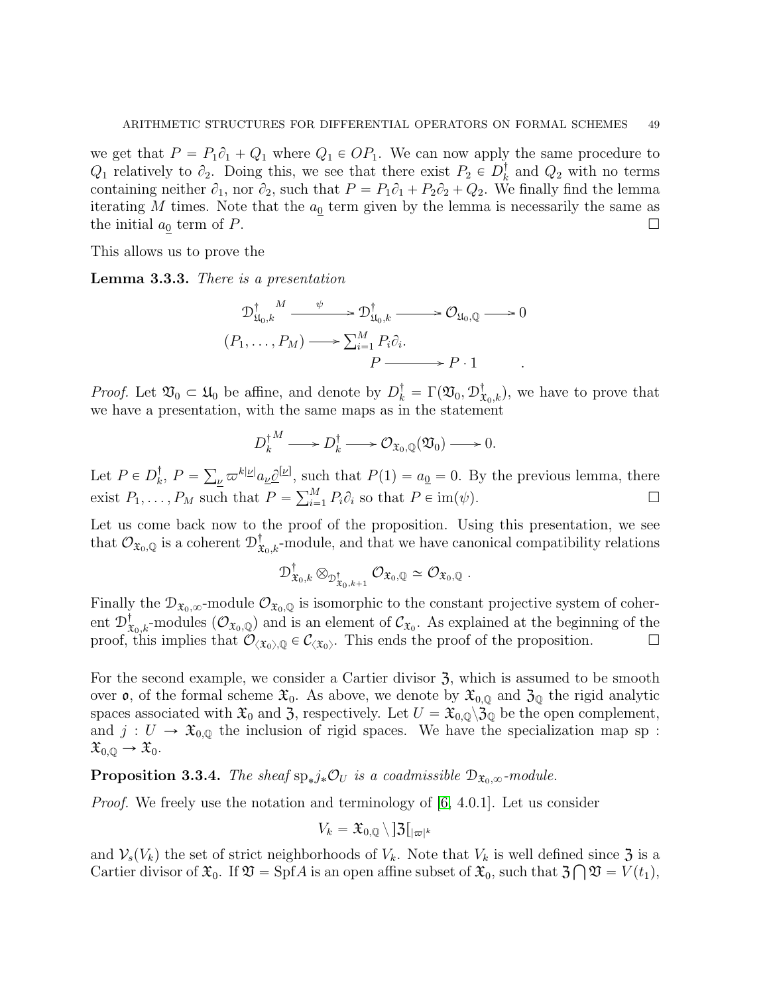we get that  $P = P_1 \partial_1 + Q_1$  where  $Q_1 \in OP_1$ . We can now apply the same procedure to  $Q_1$  relatively to  $\partial_2$ . Doing this, we see that there exist  $P_2 \in D_k^{\dagger}$  $\frac{1}{k}$  and  $Q_2$  with no terms containing neither  $\partial_1$ , nor  $\partial_2$ , such that  $P = P_1\partial_1 + P_2\partial_2 + Q_2$ . We finally find the lemma iterating M times. Note that the  $a_0$  term given by the lemma is necessarily the same as the initial  $a_0$  term of P.

This allows us to prove the

Lemma 3.3.3. There is a presentation

$$
\mathcal{D}_{\mathfrak{U}_0,k}^{\dagger} \xrightarrow{\psi} \mathcal{D}_{\mathfrak{U}_0,k}^{\dagger} \longrightarrow \mathcal{O}_{\mathfrak{U}_0,\mathbb{Q}} \longrightarrow 0
$$
  
\n
$$
(P_1,\ldots,P_M) \longrightarrow \sum_{i=1}^M P_i \partial_i.
$$
  
\n
$$
P \xrightarrow{\qquad} P \cdot 1
$$

*Proof.* Let  $\mathfrak{V}_0 \subset \mathfrak{U}_0$  be affine, and denote by  $D_k^{\dagger} = \Gamma(\mathfrak{V}_0, \mathfrak{D}_{\mathfrak{X}_0,k}^{\dagger})$ , we have to prove that we have a presentation, with the same maps as in the statement

$$
D_k^{\dagger M} \longrightarrow D_k^{\dagger} \longrightarrow \mathcal{O}_{\mathfrak{X}_0,\mathbb{Q}}(\mathfrak{V}_0) \longrightarrow 0.
$$

Let  $P \in D_k^{\dagger}$  $k, P =$  $v_{\mu} \varpi^{k|\mu|} a_{\mu} \underline{\partial}^{[\mu]},$  such that  $P(1) = a_0 = 0$ . By the previous lemma, there exist  $P_1, \ldots, P_M$  such that  $P = \sum_{i=1}^M P_i \partial_i$  so that  $P \in \text{im}(\psi)$ .

Let us come back now to the proof of the proposition. Using this presentation, we see that  $\mathcal{O}_{\mathfrak{X}_0,\mathbb{Q}}$  is a coherent  $\mathcal{D}^\dagger_{\mathfrak{X}_0,k}$ -module, and that we have canonical compatibility relations

$$
\mathcal{D}^{\dagger}_{\mathfrak{X}_0,k}\otimes_{\mathcal{D}^{\dagger}_{\mathfrak{X}_0,k+1}}\mathcal{O}_{\mathfrak{X}_0,\mathbb{Q}}\simeq\mathcal{O}_{\mathfrak{X}_0,\mathbb{Q}}.
$$

Finally the  $\mathcal{D}_{\mathfrak{X}_0,\infty}$ -module  $\mathcal{O}_{\mathfrak{X}_0,\mathbb{Q}}$  is isomorphic to the constant projective system of coherent  $\mathcal{D}^{\dagger}_{\mathfrak{X}_0,k}$ -modules  $(\mathcal{O}_{\mathfrak{X}_0,\mathbb{Q}})$  and is an element of  $\mathcal{C}_{\mathfrak{X}_0}$ . As explained at the beginning of the proof, this implies that  $\mathcal{O}_{\langle\mathfrak{X}_0\rangle,\mathbb{Q}}\in\mathcal{C}_{\langle\mathfrak{X}_0\rangle}$ . This ends the proof of the proposition.

For the second example, we consider a Cartier divisor  $\mathfrak{Z}$ , which is assumed to be smooth over  $\mathfrak{o}$ , of the formal scheme  $\mathfrak{X}_0$ . As above, we denote by  $\mathfrak{X}_{0,\mathbb{Q}}$  and  $\mathfrak{Z}_0$  the rigid analytic spaces associated with  $\mathfrak{X}_0$  and  $\mathfrak{Z}_2$ , respectively. Let  $U = \mathfrak{X}_{0,\mathbb{Q}} \setminus \mathfrak{Z}_{\mathbb{Q}}$  be the open complement, and  $j: U \to \mathfrak{X}_{0,0}$  the inclusion of rigid spaces. We have the specialization map sp :  $\mathfrak{X}_{0,\mathbb{Q}} \to \mathfrak{X}_0.$ 

<span id="page-48-0"></span>**Proposition 3.3.4.** The sheaf  $sp_*j_*\mathcal{O}_U$  is a coadmissible  $\mathcal{D}_{\mathfrak{X}_0,\infty}$ -module.

*Proof.* We freely use the notation and terminology of  $[6, 4.0.1]$ . Let us consider

$$
V_k = \mathfrak{X}_{0,\mathbb{Q}} \!\setminus\! \,]\mathfrak{Z}\big[_{|\varpi|^k}
$$

and  $V_s(V_k)$  the set of strict neighborhoods of  $V_k$ . Note that  $V_k$  is well defined since  $\mathfrak{Z}$  is a Cartier divisor of  $\mathfrak{X}_0$ . If  $\mathfrak{V} = \mathrm{Spf}A$  is an open affine subset of  $\mathfrak{X}_0$ , such that  $\mathfrak{Z} \bigcap \mathfrak{V} = V(t_1)$ ,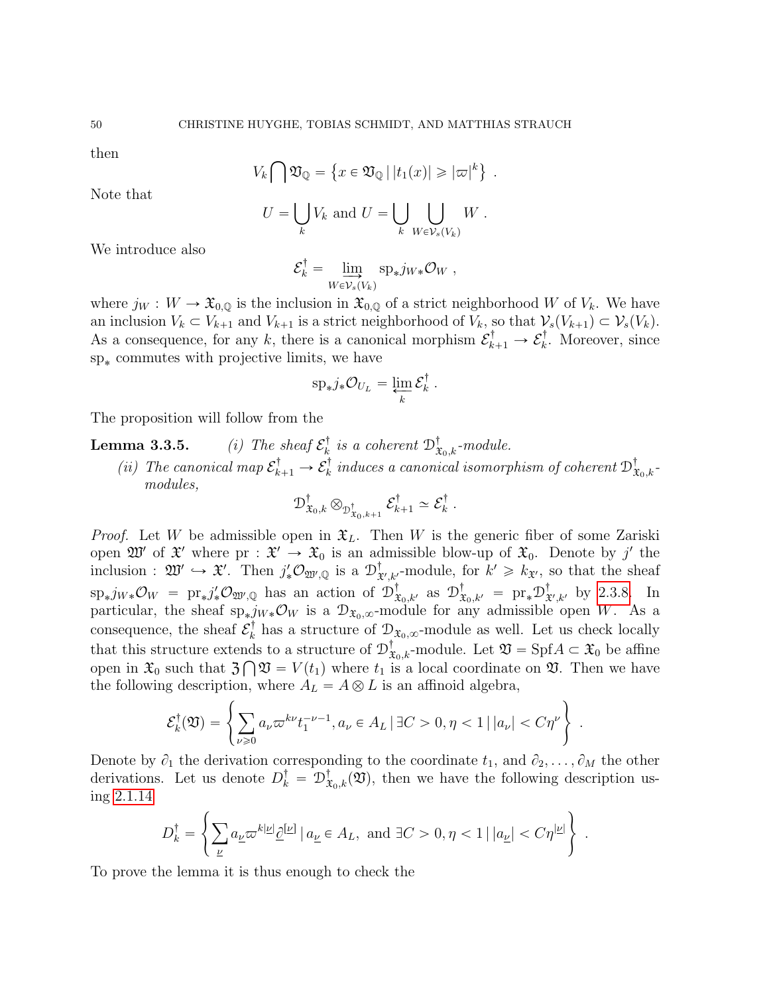then

Note that

$$
V_k \bigcap \mathfrak{V}_{\mathbb{Q}} = \left\{ x \in \mathfrak{V}_{\mathbb{Q}} \, | \, |t_1(x)| \geqslant |\varpi|^k \right\} \, .
$$

$$
U = \bigcup_{k} V_k \text{ and } U = \bigcup_{k} \bigcup_{W \in \mathcal{V}_s(V_k)} W.
$$

We introduce also

$$
\mathcal{E}_k^{\dagger} = \lim_{W \in \mathcal{V}_s(V_k)} \text{sp}_* j_{W*} \mathcal{O}_W,
$$

where  $j_W : W \to \mathfrak{X}_{0,0}$  is the inclusion in  $\mathfrak{X}_{0,0}$  of a strict neighborhood W of  $V_k$ . We have an inclusion  $V_k \subset V_{k+1}$  and  $V_{k+1}$  is a strict neighborhood of  $V_k$ , so that  $\mathcal{V}_s(V_{k+1}) \subset \mathcal{V}_s(V_k)$ . As a consequence, for any k, there is a canonical morphism  $\mathcal{E}_{k+1}^{\dagger} \to \mathcal{E}_{k}^{\dagger}$  $\overline{k}$ . Moreover, since  ${\rm sp}_\ast$  commutes with projective limits, we have

$$
\mathrm{sp}_* j_* \mathcal{O}_{U_L} = \varprojlim_k \mathcal{E}_k^{\dagger} .
$$

The proposition will follow from the

**Lemma 3.3.5.** (i) The sheaf  $\mathcal{E}_k^{\dagger}$  $\mathcal{L}_{k}^{\dagger}$  is a coherent  $\mathcal{D}^{\dagger}_{\mathfrak{X}_{0},k}$ -module. (ii) The canonical map  $\mathcal{E}_{k+1}^{\dagger} \rightarrow \mathcal{E}_{k}^{\dagger}$  $\mathcal{L}_k^\dagger$  induces a canonical isomorphism of coherent  $\mathfrak{D}^\dagger_{\mathfrak{X}_0,k^-}$ modules,

$$
\mathcal{D}^{\dagger}_{\mathfrak{X}_0,k}\otimes_{\mathcal{D}^{\dagger}_{\mathfrak{X}_0,k+1}} \mathcal{E}^{\dagger}_{k+1} \simeq \mathcal{E}^{\dagger}_{k}
$$

.

.

*Proof.* Let W be admissible open in  $\mathfrak{X}_L$ . Then W is the generic fiber of some Zariski open  $\mathfrak{W}'$  of  $\mathfrak{X}'$  where  $pr : \mathfrak{X}' \to \mathfrak{X}_0$  is an admissible blow-up of  $\mathfrak{X}_0$ . Denote by j' the inclusion :  $\mathfrak{W}' \hookrightarrow \mathfrak{X}'$ . Then  $j'_* \mathcal{O}_{\mathfrak{W}',\mathbb{Q}}$  is a  $\mathcal{D}^{\dagger}_{\mathfrak{X}}$  $_{\mathfrak{X}',k'}^{\dagger}$ -module, for  $k' \geq k_{\mathfrak{X}'},$  so that the sheaf  $\sup_* j_{W*} \mathcal{O}_W = \text{pr}_* j'_* \mathcal{O}_{\mathfrak{W}',\mathbb{Q}}$  has an action of  $\mathcal{D}^{\dagger}_{\mathfrak{X}_0,k'}$  as  $\mathcal{D}^{\dagger}_{\mathfrak{X}_0,k'} = \text{pr}_* \mathcal{D}^{\dagger}_{\mathfrak{X}_0}$  $_{\mathfrak{X}',k'}^{\dagger}$  by [2.3.8.](#page-34-0) In particular, the sheaf  $sp_*j_{W*}\mathcal{O}_W$  is a  $\mathcal{D}_{\mathfrak{X}_0,\infty}$ -module for any admissible open W. As a consequence, the sheaf  $\mathcal{E}_k^{\dagger}$  $\mathcal{L}_k^{\dagger}$  has a structure of  $\mathcal{D}_{\mathfrak{X}_0,\infty}$ -module as well. Let us check locally that this structure extends to a structure of  $\mathcal{D}^{\dagger}_{\mathfrak{X}_0,k}$ -module. Let  $\mathfrak{V} = \text{Spf}A \subset \mathfrak{X}_0$  be affine open in  $\mathfrak{X}_0$  such that  $\mathfrak{Z} \bigcap \mathfrak{V} = V(t_1)$  where  $t_1$  is a local coordinate on  $\mathfrak{V}$ . Then we have  $\frac{1}{2}$ 

the following description, where 
$$
A_L = A \otimes L
$$
 is an affinoid algebra,  
\n
$$
\mathcal{E}_k^{\dagger}(\mathfrak{V}) = \left\{ \sum_{\nu \geq 0} a_{\nu} \varpi^{k\nu} t_1^{-\nu - 1}, a_{\nu} \in A_L \,|\, \exists C > 0, \eta < 1 \,|\, |a_{\nu}| < C\eta^{\nu} \right\} \,.
$$

Denote by  $\partial_1$  the derivation corresponding to the coordinate  $t_1$ , and  $\partial_2, \ldots, \partial_M$  the other derivations. Let us denote  $D_k^{\dagger} = D_{\mathfrak{X}_0,k}^{\dagger}(\mathfrak{V})$ , then we have the following description using [2.1.14](#page-11-2) +

$$
D_k^\dagger=\left\{\sum_\underline{\nu}a_{\underline{\nu}}\varpi^{k|\underline{\nu}|}\underline{\partial}^{[\underline{\nu}]}\,|\,a_{\underline{\nu}}\in A_L,\text{ and }\exists C>0,\eta<1\,|\,|a_{\underline{\nu}}|
$$

To prove the lemma it is thus enough to check the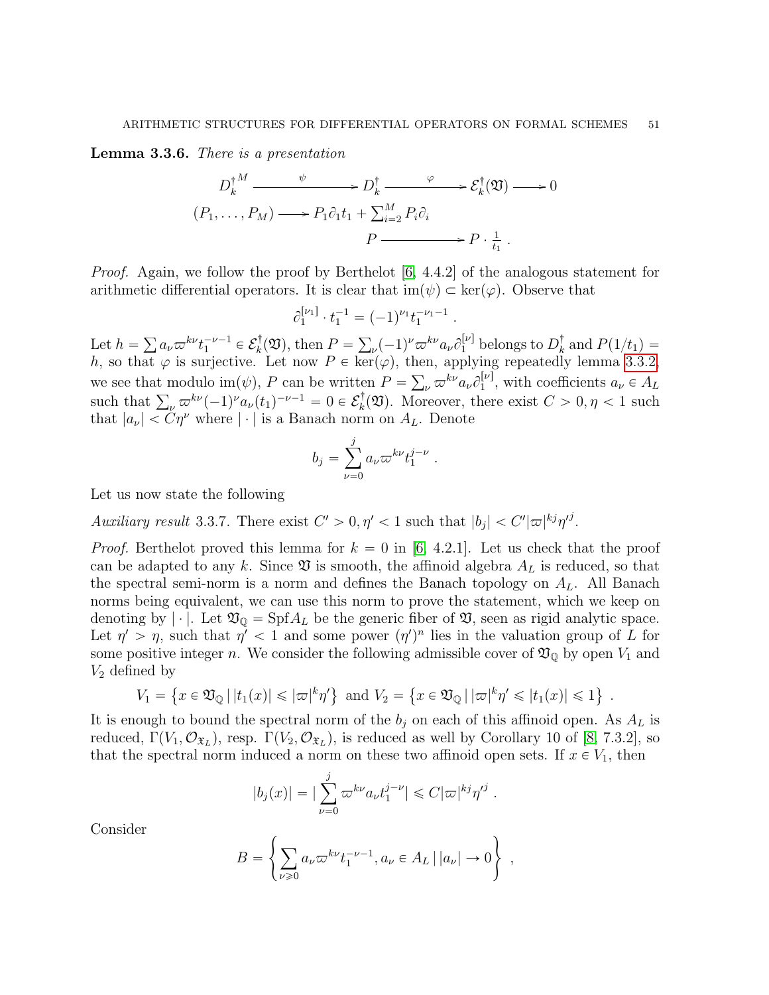<span id="page-50-0"></span>Lemma 3.3.6. There is a presentation

$$
D_k^{\dagger M} \xrightarrow{\psi} D_k^{\dagger} \xrightarrow{\varphi} \mathcal{E}_k^{\dagger}(\mathfrak{V}) \longrightarrow 0
$$
  
\n
$$
(P_1, \dots, P_M) \longrightarrow P_1 \partial_1 t_1 + \sum_{i=2}^M P_i \partial_i
$$
  
\n
$$
P \xrightarrow{\psi} P \cdot \frac{1}{t_1}.
$$

*Proof.* Again, we follow the proof by Berthelot  $[6, 4.4.2]$  of the analogous statement for arithmetic differential operators. It is clear that  $\text{im}(\psi) \subset \text{ker}(\varphi)$ . Observe that

$$
\partial_1^{\nu_1} \cdot t_1^{-1} = (-1)^{\nu_1} t_1^{-\nu_1 - 1}.
$$

Let  $h =$  $a_{\nu}\varpi^{k\nu}t_1^{-\nu-1}\in\mathcal{E}_k^{\dagger}$  $k(\mathfrak{V}),$  then  $P =$  $(\nu - 1)^{\nu} \varpi^{k\nu} a_{\nu} \partial_1^{[\nu]}$  belongs to  $D_k^{\dagger}$  $\frac{1}{k}$  and  $P(1/t_1) =$ h, so that  $\varphi$  is surjective. Let now  $P \in \text{ker}(\varphi)$ , then, applying repeatedly lemma [3.3.2,](#page-47-1) we see that modulo im $(\psi)$ , P can be written  $P =$ ne  $_{\nu}\,\varpi^{k\nu} a_{\nu} \partial_{1}^{[\nu]}$  $a_{\nu}^{[\nu]}$ , with coefficients  $a_{\nu} \in A_L$ we see that modulo  $\text{im}(\psi)$ , P can be writte<br>such that  $\sum_{\nu} \varpi^{k\nu} (-1)^{\nu} a_{\nu}(t_1)^{-\nu-1} = 0 \in \mathcal{E}_k^{\dagger}$  $\mathcal{E}_k^{\dagger}(\mathfrak{V})$ . Moreover, there exist  $C > 0, \eta < 1$  such that  $|a_{\nu}| < C\eta^{\nu}$  where  $|\cdot|$  is a Banach norm on  $A_{L}$ . Denote

$$
b_j = \sum_{\nu=0}^j a_\nu \varpi^{k\nu} t_1^{j-\nu} .
$$

Let us now state the following

<span id="page-50-1"></span>Auxiliary result 3.3.7. There exist  $C' > 0, \eta' < 1$  such that  $|b_j| < C' |\varpi|^{kj} \eta'^j$ .

*Proof.* Berthelot proved this lemma for  $k = 0$  in [\[6,](#page-52-19) 4.2.1]. Let us check that the proof can be adapted to any k. Since  $\mathfrak V$  is smooth, the affinoid algebra  $A_L$  is reduced, so that the spectral semi-norm is a norm and defines the Banach topology on  $A_L$ . All Banach norms being equivalent, we can use this norm to prove the statement, which we keep on denoting by |  $\cdot$  |. Let  $\mathfrak{V}_{\mathbb{Q}} = \mathrm{Spf}A_L$  be the generic fiber of  $\mathfrak{V}$ , seen as rigid analytic space. Let  $\eta' > \eta$ , such that  $\eta' < 1$  and some power  $(\eta')^n$  lies in the valuation group of L for some positive integer n. We consider the following admissible cover of  $\mathfrak{V}_{\mathbb{Q}}$  by open  $V_1$  and  $V_2$  defined by (  $\mathbb{R}^2$ (

$$
V_1 = \left\{ x \in \mathfrak{V}_{\mathbb{Q}} \, | \, |t_1(x)| \leq |\varpi|^k \eta' \right\} \text{ and } V_2 = \left\{ x \in \mathfrak{V}_{\mathbb{Q}} \, | \, |\varpi|^k \eta' \leq |t_1(x)| \leq 1 \right\} \; .
$$

It is enough to bound the spectral norm of the  $b_j$  on each of this affinoid open. As  $A_L$  is reduced,  $\Gamma(V_1, \mathcal{O}_{\mathfrak{X}_L})$ , resp.  $\Gamma(V_2, \mathcal{O}_{\mathfrak{X}_L})$ , is reduced as well by Corollary 10 of [\[8,](#page-52-20) 7.3.2], so that the spectral norm induced a norm on these two affinoid open sets. If  $x \in V_1$ , then

$$
|b_j(x)| = |\sum_{\nu=0}^j \varpi^{k\nu} a_\nu t_1^{j-\nu}| \leq C |\varpi|^{kj} \eta'^j
$$

.

Consider

$$
B = \left\{ \sum_{\nu \ge 0} a_{\nu} \varpi^{k\nu} t_1^{-\nu - 1}, a_{\nu} \in A_L \, | \, |a_{\nu}| \to 0 \right\} ,
$$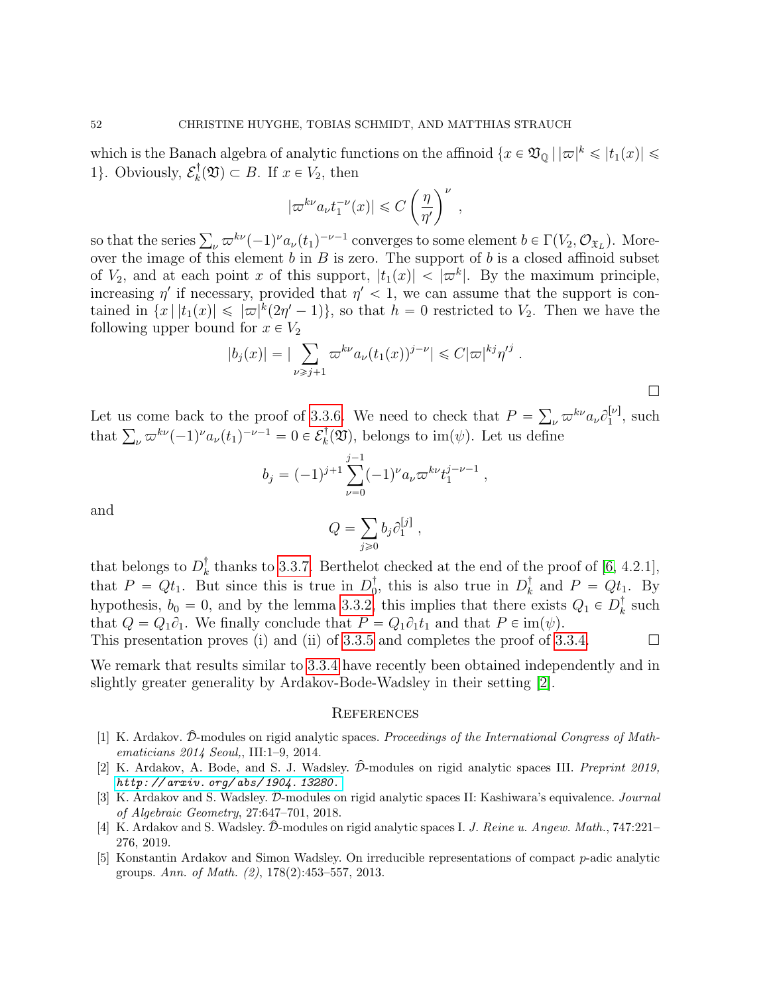which is the Banach algebra of analytic functions on the affinoid  $\{x \in \mathfrak{V}_{\mathbb{Q}} \mid |\varpi|^k \leqslant |t_1(x)| \leqslant$ 1}. Obviously,  $\mathcal{E}_k^{\dagger}$  $k(\mathfrak{V}) \subset B$ . If  $x \in V_2$ , then ˆ

$$
|\varpi^{k\nu} a_{\nu} t_1^{-\nu}(x)| \leq C \left(\frac{\eta}{\eta'}\right)^{\nu},
$$

so that the series  $\sum_{\nu} \varpi^{k\nu}(-1)^{\nu} a_{\nu}(t_1)^{-\nu-1}$  converges to some element  $b \in \Gamma(V_2, \mathcal{O}_{\mathfrak{X}_L})$ . Moreover the image of this element  $b$  in  $B$  is zero. The support of  $b$  is a closed affinoid subset of  $V_2$ , and at each point x of this support,  $|t_1(x)| < |\varpi^k|$ . By the maximum principle, increasing  $\eta'$  if necessary, provided that  $\eta' < 1$ , we can assume that the support is contained in  $\{x \mid |t_1(x)| \leqslant |\varpi|^k(2\eta'-1)\},$  so that  $h = 0$  restricted to  $V_2$ . Then we have the following upper bound for  $x \in V_2$ <br> $|b_j(x)| = |\sum_{i=1}^{\infty}$ 

$$
|b_j(x)| = |\sum_{\nu \ge j+1} \varpi^{k\nu} a_\nu (t_1(x))^{j-\nu}| \le C|\varpi|^{kj} \eta'^j.
$$

Let us come back to the proof of [3.3.6.](#page-50-0) We need to check that  $P =$  $_{\nu}\,\varpi^{k\nu} a_{\nu} \partial_{1}^{[\nu]}$ Let us come back to the proof of 3.3.6. We need to check that  $P = \sum_{\nu} \varpi^{k\nu} a_{\nu} \partial_1^{|\nu|}$ , such that  $\sum_{\nu} \varpi^{k\nu} (-1)^{\nu} a_{\nu} (t_1)^{-\nu-1} = 0 \in \mathcal{E}_k^{\dagger}(\mathfrak{V})$ , belongs to im( $\psi$ ). Let us define  $\mathbf{E}_k^{\dagger}(\mathfrak{V})$ , belongs to im $(\psi)$ . Let us define

$$
b_j = (-1)^{j+1} \sum_{\nu=0}^{j-1} (-1)^{\nu} a_{\nu} \varpi^{k\nu} t_1^{j-\nu-1} ,
$$

and

$$
Q = \sum_{j\geqslant 0} b_j \partial_1^{[j]},
$$

that belongs to  $D_k^{\dagger}$ <sup> $\bar{k}$ </sup> thanks to [3.3.7.](#page-50-1) Berthelot checked at the end of the proof of [\[6,](#page-52-19) 4.2.1], that  $P = Qt_1$ . But since this is true in  $D_0^{\dagger}$ , this is also true in  $D_k^{\dagger}$  $\frac{1}{k}$  and  $P = Qt_1$ . By hypothesis,  $b_0 = 0$ , and by the lemma [3.3.2,](#page-47-1) this implies that there exists  $Q_1 \in D_k^{\dagger}$  $_{k}^{\dagger}$  such that  $Q = Q_1 \partial_1$ . We finally conclude that  $P = Q_1 \partial_1 t_1$  and that  $P \in \text{im}(\psi)$ .

This presentation proves (i) and (ii) of [3.3.5](#page-0-1) and completes the proof of [3.3.4.](#page-48-0)  $\Box$ 

We remark that results similar to [3.3.4](#page-48-0) have recently been obtained independently and in slightly greater generality by Ardakov-Bode-Wadsley in their setting [\[2\]](#page-51-5).

#### <span id="page-51-0"></span>**REFERENCES**

- <span id="page-51-1"></span>[1] K. Ardakov.  $\hat{\mathcal{D}}$ -modules on rigid analytic spaces. Proceedings of the International Congress of Mathematicians 2014 Seoul,, III:1–9, 2014.
- <span id="page-51-5"></span>[2] K. Ardakov, A. Bode, and S. J. Wadsley.  $\hat{\mathcal{D}}$ -modules on rigid analytic spaces III. *Preprint 2019*, [http: // arxiv. org/ abs/ 1904. 13280.](http://arxiv.org/abs/1904.13280.)
- <span id="page-51-2"></span>[3] K. Ardakov and S. Wadsley.  $\hat{D}$ -modules on rigid analytic spaces II: Kashiwara's equivalence. *Journal* of Algebraic Geometry, 27:647–701, 2018.
- <span id="page-51-3"></span>[4] K. Ardakov and S. Wadsley.  $\hat{\mathcal{D}}$ -modules on rigid analytic spaces I. J. Reine u. Angew. Math., 747:221– 276, 2019.
- <span id="page-51-4"></span>[5] Konstantin Ardakov and Simon Wadsley. On irreducible representations of compact p-adic analytic groups. Ann. of Math. (2), 178(2):453–557, 2013.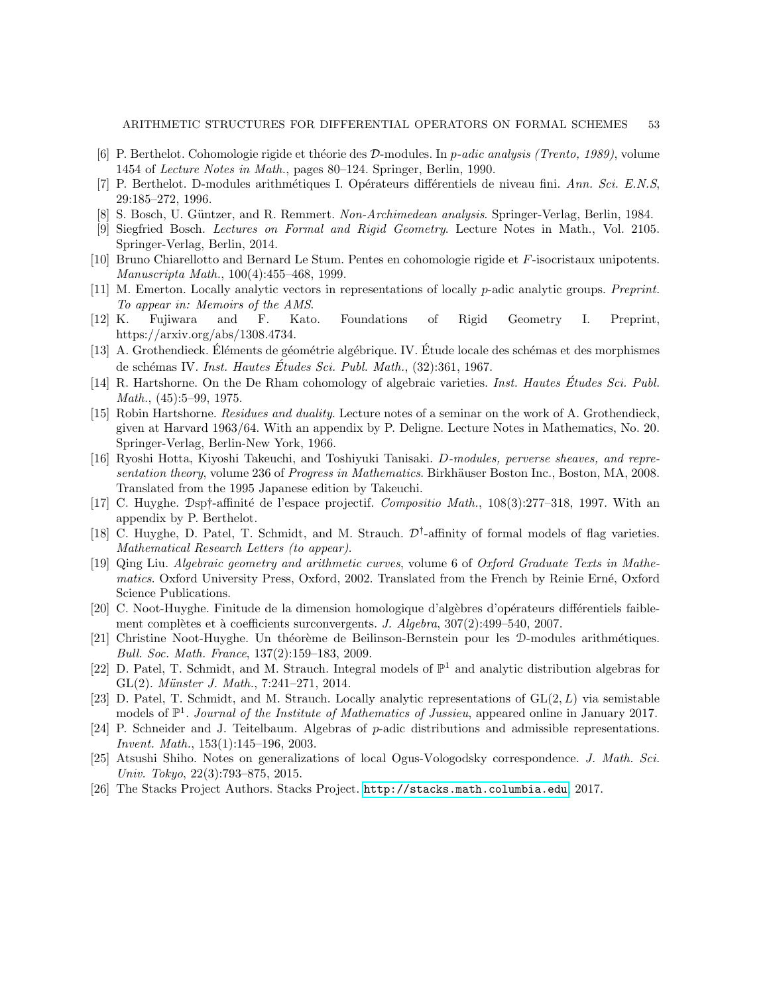- <span id="page-52-19"></span>[6] P. Berthelot. Cohomologie rigide et théorie des D-modules. In p-adic analysis (Trento, 1989), volume 1454 of Lecture Notes in Math., pages 80–124. Springer, Berlin, 1990.
- <span id="page-52-1"></span>[7] P. Berthelot. D-modules arithmétiques I. Opérateurs différentiels de niveau fini. Ann. Sci. E.N.S, 29:185–272, 1996.
- <span id="page-52-20"></span>[8] S. Bosch, U. Güntzer, and R. Remmert. Non-Archimedean analysis. Springer-Verlag, Berlin, 1984.
- <span id="page-52-5"></span>[9] Siegfried Bosch. Lectures on Formal and Rigid Geometry. Lecture Notes in Math., Vol. 2105. Springer-Verlag, Berlin, 2014.
- <span id="page-52-9"></span>[10] Bruno Chiarellotto and Bernard Le Stum. Pentes en cohomologie rigide et F-isocristaux unipotents. Manuscripta Math., 100(4):455–468, 1999.
- <span id="page-52-16"></span>[11] M. Emerton. Locally analytic vectors in representations of locally p-adic analytic groups. Preprint. To appear in: Memoirs of the AMS.
- <span id="page-52-18"></span>[12] K. Fujiwara and F. Kato. Foundations of Rigid Geometry I. Preprint, https://arxiv.org/abs/1308.4734.
- <span id="page-52-8"></span>[13] A. Grothendieck. Éléments de géométrie algébrique. IV. Étude locale des schémas et des morphismes de schémas IV. Inst. Hautes Études Sci. Publ. Math., (32):361, 1967.
- <span id="page-52-12"></span>[14] R. Hartshorne. On the De Rham cohomology of algebraic varieties. *Inst. Hautes Etudes Sci. Publ.* Math., (45):5–99, 1975.
- <span id="page-52-14"></span>[15] Robin Hartshorne. Residues and duality. Lecture notes of a seminar on the work of A. Grothendieck, given at Harvard 1963/64. With an appendix by P. Deligne. Lecture Notes in Mathematics, No. 20. Springer-Verlag, Berlin-New York, 1966.
- <span id="page-52-13"></span>[16] Ryoshi Hotta, Kiyoshi Takeuchi, and Toshiyuki Tanisaki. *D-modules, perverse sheaves, and repre*sentation theory, volume 236 of Progress in Mathematics. Birkhäuser Boston Inc., Boston, MA, 2008. Translated from the 1995 Japanese edition by Takeuchi.
- <span id="page-52-10"></span>[17] C. Huyghe. Dsp†-affinité de l'espace projectif. Compositio Math., 108(3):277–318, 1997. With an appendix by P. Berthelot.
- <span id="page-52-3"></span>[18] C. Huyghe, D. Patel, T. Schmidt, and M. Strauch.  $\mathcal{D}^{\dagger}$ -affinity of formal models of flag varieties. Mathematical Research Letters (to appear).
- <span id="page-52-17"></span>[19] Qing Liu. Algebraic geometry and arithmetic curves, volume 6 of Oxford Graduate Texts in Mathematics. Oxford University Press, Oxford, 2002. Translated from the French by Reinie Erné, Oxford Science Publications.
- <span id="page-52-11"></span>[20] C. Noot-Huyghe. Finitude de la dimension homologique d'algèbres d'opérateurs différentiels faiblement complètes et à coefficients surconvergents. J. Algebra,  $307(2):499-540$ ,  $2007$ .
- <span id="page-52-2"></span>[21] Christine Noot-Huyghe. Un théorème de Beilinson-Bernstein pour les D-modules arithmétiques. Bull. Soc. Math. France, 137(2):159–183, 2009.
- <span id="page-52-6"></span>[22] D. Patel, T. Schmidt, and M. Strauch. Integral models of  $\mathbb{P}^1$  and analytic distribution algebras for GL $(2)$ . Münster J. Math., 7:241–271, 2014.
- <span id="page-52-0"></span>[23] D. Patel, T. Schmidt, and M. Strauch. Locally analytic representations of  $GL(2, L)$  via semistable models of  $\mathbb{P}^1$ . Journal of the Institute of Mathematics of Jussieu, appeared online in January 2017.
- <span id="page-52-4"></span>[24] P. Schneider and J. Teitelbaum. Algebras of p-adic distributions and admissible representations. Invent. Math., 153(1):145–196, 2003.
- <span id="page-52-7"></span>[25] Atsushi Shiho. Notes on generalizations of local Ogus-Vologodsky correspondence. J. Math. Sci. Univ. Tokyo, 22(3):793–875, 2015.
- <span id="page-52-15"></span>[26] The Stacks Project Authors. Stacks Project. <http://stacks.math.columbia.edu>, 2017.